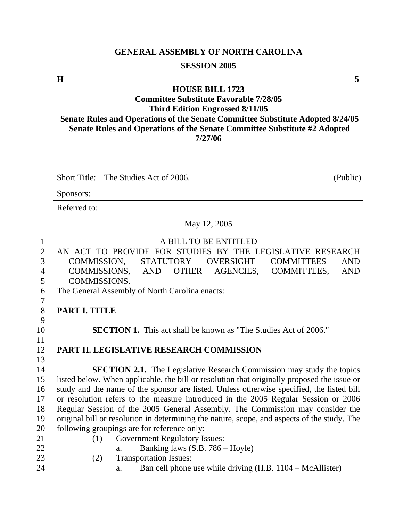# **GENERAL ASSEMBLY OF NORTH CAROLINA SESSION 2005**

**H** 5

#### **HOUSE BILL 1723**

#### **Committee Substitute Favorable 7/28/05 Third Edition Engrossed 8/11/05 Senate Rules and Operations of the Senate Committee Substitute Adopted 8/24/05 Senate Rules and Operations of the Senate Committee Substitute #2 Adopted 7/27/06**

Short Title: The Studies Act of 2006. (Public)

|                          | Sponsors:                                                                                   |  |  |  |  |  |
|--------------------------|---------------------------------------------------------------------------------------------|--|--|--|--|--|
|                          | Referred to:                                                                                |  |  |  |  |  |
|                          | May 12, 2005                                                                                |  |  |  |  |  |
| $\mathbf{1}$             | A BILL TO BE ENTITLED                                                                       |  |  |  |  |  |
| $\overline{2}$           | AN ACT TO PROVIDE FOR STUDIES BY THE LEGISLATIVE RESEARCH                                   |  |  |  |  |  |
| 3                        | COMMISSION,<br><b>STATUTORY</b><br><b>OVERSIGHT</b><br><b>COMMITTEES</b><br><b>AND</b>      |  |  |  |  |  |
| $\overline{\mathcal{A}}$ | COMMISSIONS,<br><b>AND</b><br><b>OTHER</b><br>AGENCIES,<br>COMMITTEES,<br><b>AND</b>        |  |  |  |  |  |
| 5                        | COMMISSIONS.                                                                                |  |  |  |  |  |
| 6                        | The General Assembly of North Carolina enacts:                                              |  |  |  |  |  |
| 7                        |                                                                                             |  |  |  |  |  |
| 8                        | PART I. TITLE                                                                               |  |  |  |  |  |
| 9                        |                                                                                             |  |  |  |  |  |
| 10                       | <b>SECTION 1.</b> This act shall be known as "The Studies Act of 2006."                     |  |  |  |  |  |
| 11                       |                                                                                             |  |  |  |  |  |
| 12                       | PART II. LEGISLATIVE RESEARCH COMMISSION                                                    |  |  |  |  |  |
| 13                       |                                                                                             |  |  |  |  |  |
| 14                       | <b>SECTION 2.1.</b> The Legislative Research Commission may study the topics                |  |  |  |  |  |
| 15                       | listed below. When applicable, the bill or resolution that originally proposed the issue or |  |  |  |  |  |
| 16                       | study and the name of the sponsor are listed. Unless otherwise specified, the listed bill   |  |  |  |  |  |
| 17                       | or resolution refers to the measure introduced in the 2005 Regular Session or 2006          |  |  |  |  |  |
| 18                       | Regular Session of the 2005 General Assembly. The Commission may consider the               |  |  |  |  |  |
| 19                       | original bill or resolution in determining the nature, scope, and aspects of the study. The |  |  |  |  |  |
| 20                       | following groupings are for reference only:                                                 |  |  |  |  |  |
| 21                       | <b>Government Regulatory Issues:</b><br>(1)                                                 |  |  |  |  |  |
| 22                       | Banking laws (S.B. 786 – Hoyle)<br>a.                                                       |  |  |  |  |  |
| 23                       | <b>Transportation Issues:</b><br>(2)                                                        |  |  |  |  |  |
| 24                       | Ban cell phone use while driving (H.B. 1104 – McAllister)<br>a.                             |  |  |  |  |  |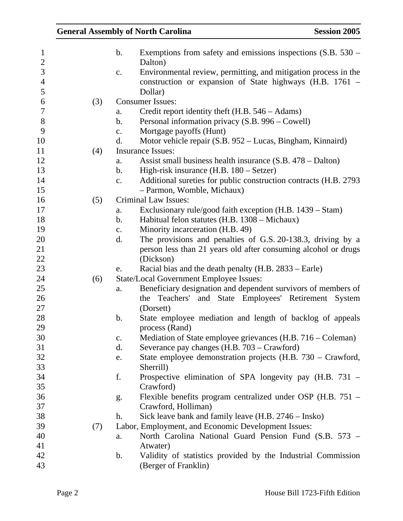|     |                | <b>General Assembly of North Carolina</b>                                 | <b>Session 2005</b> |
|-----|----------------|---------------------------------------------------------------------------|---------------------|
|     | b.             | Exemptions from safety and emissions inspections $(S.B. 530 –$<br>Dalton) |                     |
|     | c.             | Environmental review, permitting, and mitigation process in the           |                     |
|     |                | construction or expansion of State highways (H.B. 1761 -<br>Dollar)       |                     |
| (3) |                | <b>Consumer Issues:</b>                                                   |                     |
|     | a.             | Credit report identity theft $(H.B. 546 - Adams)$                         |                     |
|     | b.             | Personal information privacy (S.B. 996 – Cowell)                          |                     |
|     | $\mathbf{c}$ . | Mortgage payoffs (Hunt)                                                   |                     |
|     | d.             | Motor vehicle repair (S.B. 952 – Lucas, Bingham, Kinnaird)                |                     |
| (4) |                | <b>Insurance Issues:</b>                                                  |                     |
|     | a.             | Assist small business health insurance (S.B. 478 – Dalton)                |                     |
|     | b.             | High-risk insurance (H.B. 180 – Setzer)                                   |                     |
|     | $\mathbf{c}$ . | Additional sureties for public construction contracts (H.B. 2793)         |                     |
|     |                | - Parmon, Womble, Michaux)                                                |                     |
| (5) |                | <b>Criminal Law Issues:</b>                                               |                     |
|     | a.             | Exclusionary rule/good faith exception (H.B. 1439 – Stam)                 |                     |
|     | b.             | Habitual felon statutes (H.B. 1308 – Michaux)                             |                     |
|     | $\mathbf{c}$ . | Minority incarceration (H.B. 49)                                          |                     |
|     | d.             | The provisions and penalties of G.S. 20-138.3, driving by a               |                     |
|     |                | person less than 21 years old after consuming alcohol or drugs            |                     |
|     |                | (Dickson)                                                                 |                     |
|     | e.             | Racial bias and the death penalty (H.B. 2833 – Earle)                     |                     |
| (6) |                | <b>State/Local Government Employee Issues:</b>                            |                     |
|     | a.             | Beneficiary designation and dependent survivors of members of             |                     |
|     |                | the Teachers' and State Employees' Retirement System                      |                     |
|     |                | (Dorsett)                                                                 |                     |
|     | b.             | State employee mediation and length of backlog of appeals                 |                     |
|     |                | process (Rand)                                                            |                     |
|     | c.             | Mediation of State employee grievances (H.B. 716 – Coleman)               |                     |
|     | d.             | Severance pay changes (H.B. 703 – Crawford)                               |                     |
|     | e.             | State employee demonstration projects (H.B. 730 – Crawford,               |                     |
|     |                | Sherrill)                                                                 |                     |
|     | f.             | Prospective elimination of SPA longevity pay (H.B. 731 –                  |                     |
|     |                | Crawford)                                                                 |                     |
|     | g.             | Flexible benefits program centralized under OSP (H.B. 751 –               |                     |
|     |                | Crawford, Holliman)                                                       |                     |
|     | h.             | Sick leave bank and family leave (H.B. 2746 – Insko)                      |                     |
| (7) |                | Labor, Employment, and Economic Development Issues:                       |                     |
|     | a.             | North Carolina National Guard Pension Fund (S.B. 573 –                    |                     |
|     |                | Atwater)                                                                  |                     |
|     | $\mathbf b$ .  | Validity of statistics provided by the Industrial Commission              |                     |
|     |                | (Berger of Franklin)                                                      |                     |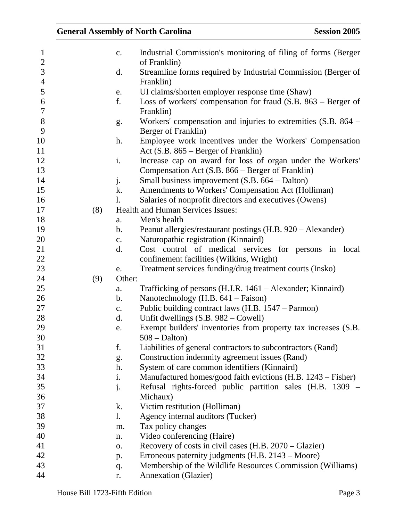| $\mathbf{1}$   |     | $\mathbf{c}$ . | Industrial Commission's monitoring of filing of forms (Berger)  |
|----------------|-----|----------------|-----------------------------------------------------------------|
| $\mathbf{2}$   |     |                | of Franklin)                                                    |
| 3              |     | d.             | Streamline forms required by Industrial Commission (Berger of   |
| $\overline{4}$ |     |                | Franklin)                                                       |
| 5              |     | e.             | UI claims/shorten employer response time (Shaw)                 |
| 6              |     | f.             | Loss of workers' compensation for fraud $(S.B. 863 - Berger of$ |
| $\tau$         |     |                | Franklin)                                                       |
| 8              |     | g.             | Workers' compensation and injuries to extremities (S.B. 864 –   |
| 9              |     |                | Berger of Franklin)                                             |
| 10             |     | h.             | Employee work incentives under the Workers' Compensation        |
| 11             |     |                | Act $(S.B. 865 - Berger of Franklin)$                           |
| 12             |     | i.             | Increase cap on award for loss of organ under the Workers'      |
| 13             |     |                | Compensation Act (S.B. 866 – Berger of Franklin)                |
| 14             |     | j.             | Small business improvement (S.B. 664 – Dalton)                  |
| 15             |     | k.             | Amendments to Workers' Compensation Act (Holliman)              |
| 16             |     | $\mathbf{l}$ . | Salaries of nonprofit directors and executives (Owens)          |
| 17             | (8) |                | <b>Health and Human Services Issues:</b>                        |
| 18             |     | a.             | Men's health                                                    |
| 19             |     | b.             | Peanut allergies/restaurant postings (H.B. 920 – Alexander)     |
| 20             |     | c.             | Naturopathic registration (Kinnaird)                            |
| 21             |     | d.             | Cost control of medical services for persons in local           |
| 22             |     |                | confinement facilities (Wilkins, Wright)                        |
| 23             |     | e.             | Treatment services funding/drug treatment courts (Insko)        |
| 24             | (9) | Other:         |                                                                 |
| 25             |     | a.             | Trafficking of persons (H.J.R. 1461 – Alexander; Kinnaird)      |
| 26             |     | $\mathbf b$ .  | Nanotechnology (H.B. 641 – Faison)                              |
| 27             |     | c.             | Public building contract laws (H.B. 1547 – Parmon)              |
| 28             |     | d.             | Unfit dwellings (S.B. 982 – Cowell)                             |
| 29             |     | e.             | Exempt builders' inventories from property tax increases (S.B.  |
| 30             |     |                | $508 - \text{Dalton}$                                           |
| 31             |     | f.             | Liabilities of general contractors to subcontractors (Rand)     |
| 32             |     | g.             | Construction indemnity agreement issues (Rand)                  |
| 33             |     | h.             | System of care common identifiers (Kinnaird)                    |
| 34             |     | i.             | Manufactured homes/good faith evictions (H.B. 1243 – Fisher)    |
| 35             |     | $\dot{J}$ .    | Refusal rights-forced public partition sales (H.B. 1309 –       |
| 36             |     |                | Michaux)                                                        |
| 37             |     | k.             | Victim restitution (Holliman)                                   |
| 38             |     | 1.             | Agency internal auditors (Tucker)                               |
| 39             |     | m.             | Tax policy changes                                              |
| 40             |     | n.             | Video conferencing (Haire)                                      |
| 41             |     | 0.             | Recovery of costs in civil cases (H.B. 2070 – Glazier)          |
| 42             |     | p.             | Erroneous paternity judgments (H.B. 2143 – Moore)               |
| 43             |     | q.             | Membership of the Wildlife Resources Commission (Williams)      |
| 44             |     | r.             | <b>Annexation</b> (Glazier)                                     |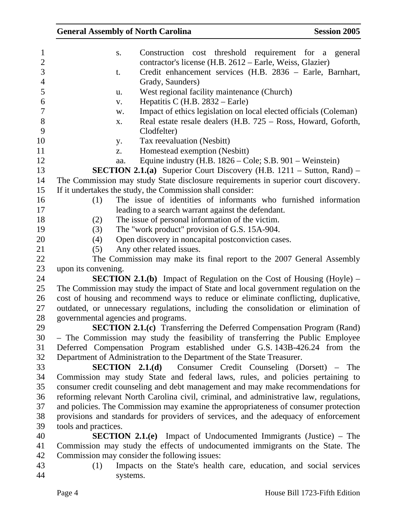| <b>General Assembly of North Carolina</b><br><b>Session 2005</b>                                                           |
|----------------------------------------------------------------------------------------------------------------------------|
| Construction cost threshold requirement for a<br>general<br>S.<br>contractor's license (H.B. 2612 – Earle, Weiss, Glazier) |
| Credit enhancement services (H.B. 2836 - Earle, Barnhart,<br>t.<br>Grady, Saunders)                                        |
| West regional facility maintenance (Church)<br>u.                                                                          |
| Hepatitis C $(H.B. 2832 - Earle)$<br>V.                                                                                    |
| Impact of ethics legislation on local elected officials (Coleman)<br>w.                                                    |
| Real estate resale dealers (H.B. 725 – Ross, Howard, Goforth,<br>X.                                                        |
| Clodfelter)                                                                                                                |
| Tax reevaluation (Nesbitt)<br>y.                                                                                           |
| Homestead exemption (Nesbitt)<br>Z.                                                                                        |
| Equine industry $(H.B. 1826 - Cole; S.B. 901 - Weinstein)$<br>aa.                                                          |
| <b>SECTION 2.1.(a)</b> Superior Court Discovery (H.B. $1211 -$ Sutton, Rand) –                                             |
| The Commission may study State disclosure requirements in superior court discovery.                                        |
| If it undertakes the study, the Commission shall consider:                                                                 |
| The issue of identities of informants who furnished information<br>(1)                                                     |
| leading to a search warrant against the defendant.                                                                         |
| The issue of personal information of the victim.<br>(2)                                                                    |
| The "work product" provision of G.S. 15A-904.<br>(3)                                                                       |
| Open discovery in noncapital postconviction cases.<br>(4)                                                                  |
| Any other related issues.<br>(5)                                                                                           |
| The Commission may make its final report to the 2007 General Assembly                                                      |
| upon its convening.                                                                                                        |
| <b>SECTION 2.1.(b)</b> Impact of Regulation on the Cost of Housing (Hoyle) $-$                                             |
| The Commission may study the impact of State and local government regulation on the                                        |
| cost of housing and recommend ways to reduce or eliminate conflicting, duplicative,                                        |
| outdated, or unnecessary regulations, including the consolidation or elimination of                                        |
| governmental agencies and programs.                                                                                        |
| <b>SECTION 2.1.(c)</b> Transferring the Deferred Compensation Program (Rand)                                               |
| - The Commission may study the feasibility of transferring the Public Employee                                             |
| Deferred Compensation Program established under G.S. 143B-426.24 from the                                                  |
| Department of Administration to the Department of the State Treasurer.                                                     |
| <b>SECTION 2.1.(d)</b> Consumer Credit Counseling (Dorsett) – The                                                          |
| Commission may study State and federal laws, rules, and policies pertaining to                                             |
| consumer credit counseling and debt management and may make recommendations for                                            |
| reforming relevant North Carolina civil, criminal, and administrative law, regulations,                                    |
| and policies. The Commission may examine the appropriateness of consumer protection                                        |
| provisions and standards for providers of services, and the adequacy of enforcement                                        |
| tools and practices.                                                                                                       |
| <b>SECTION 2.1.(e)</b> Impact of Undocumented Immigrants (Justice) – The                                                   |
| Commission may study the effects of undocumented immigrants on the State. The                                              |
| Commission may consider the following issues:<br>(1)                                                                       |
| Impacts on the State's health care, education, and social services                                                         |
| systems.                                                                                                                   |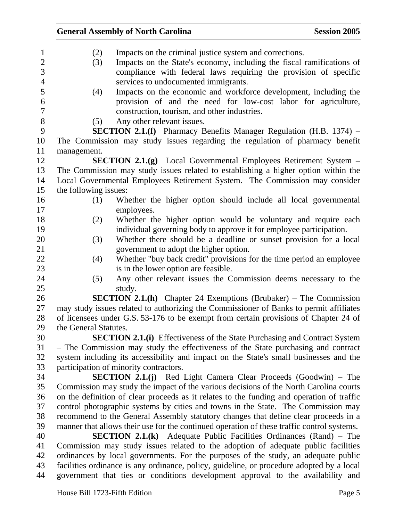| $\mathbf{1}$   | (2)                   | Impacts on the criminal justice system and corrections.                                    |
|----------------|-----------------------|--------------------------------------------------------------------------------------------|
| $\mathbf{2}$   | (3)                   | Impacts on the State's economy, including the fiscal ramifications of                      |
| 3              |                       | compliance with federal laws requiring the provision of specific                           |
| $\overline{4}$ |                       | services to undocumented immigrants.                                                       |
| 5              | (4)                   | Impacts on the economic and workforce development, including the                           |
| 6              |                       | provision of and the need for low-cost labor for agriculture,                              |
| $\overline{7}$ |                       | construction, tourism, and other industries.                                               |
| $8\,$          | (5)                   | Any other relevant issues.                                                                 |
| 9              |                       | <b>SECTION 2.1.(f)</b> Pharmacy Benefits Manager Regulation (H.B. 1374) $-$                |
| 10             |                       | The Commission may study issues regarding the regulation of pharmacy benefit               |
| 11             | management.           |                                                                                            |
| 12             |                       | SECTION 2.1.(g) Local Governmental Employees Retirement System -                           |
| 13             |                       | The Commission may study issues related to establishing a higher option within the         |
| 14             |                       | Local Governmental Employees Retirement System. The Commission may consider                |
| 15             | the following issues: |                                                                                            |
| 16             | (1)                   | Whether the higher option should include all local governmental                            |
| 17             |                       | employees.                                                                                 |
| 18             | (2)                   | Whether the higher option would be voluntary and require each                              |
| 19             |                       | individual governing body to approve it for employee participation.                        |
| 20             | (3)                   | Whether there should be a deadline or sunset provision for a local                         |
| 21             |                       | government to adopt the higher option.                                                     |
| 22             | (4)                   | Whether "buy back credit" provisions for the time period an employee                       |
| 23             |                       | is in the lower option are feasible.                                                       |
| 24             | (5)                   | Any other relevant issues the Commission deems necessary to the                            |
| 25             |                       | study.                                                                                     |
| 26             |                       | <b>SECTION 2.1.(h)</b> Chapter 24 Exemptions (Brubaker) – The Commission                   |
| 27             |                       | may study issues related to authorizing the Commissioner of Banks to permit affiliates     |
| 28             |                       | of licensees under G.S. 53-176 to be exempt from certain provisions of Chapter 24 of       |
| 29             | the General Statutes. |                                                                                            |
| 30             |                       | <b>SECTION 2.1.(i)</b> Effectiveness of the State Purchasing and Contract System           |
| 31             |                       | - The Commission may study the effectiveness of the State purchasing and contract          |
| 32             |                       | system including its accessibility and impact on the State's small businesses and the      |
| 33             |                       | participation of minority contractors.                                                     |
| 34             |                       | <b>SECTION 2.1.(j)</b> Red Light Camera Clear Proceeds (Goodwin) – The                     |
| 35             |                       | Commission may study the impact of the various decisions of the North Carolina courts      |
| 36             |                       | on the definition of clear proceeds as it relates to the funding and operation of traffic  |
| 37             |                       | control photographic systems by cities and towns in the State. The Commission may          |
| 38             |                       | recommend to the General Assembly statutory changes that define clear proceeds in a        |
| 39             |                       | manner that allows their use for the continued operation of these traffic control systems. |
| 40             |                       | <b>SECTION 2.1.(k)</b> Adequate Public Facilities Ordinances (Rand) – The                  |
| 41             |                       | Commission may study issues related to the adoption of adequate public facilities          |
| 42             |                       | ordinances by local governments. For the purposes of the study, an adequate public         |
| 43             |                       | facilities ordinance is any ordinance, policy, guideline, or procedure adopted by a local  |
| 44             |                       | government that ties or conditions development approval to the availability and            |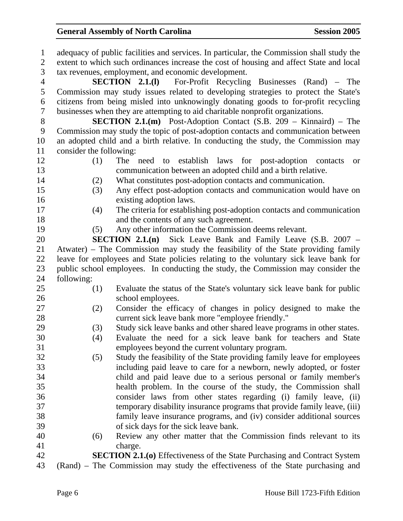| $\mathbf{1}$   |                         | adequacy of public facilities and services. In particular, the Commission shall study the |
|----------------|-------------------------|-------------------------------------------------------------------------------------------|
| $\overline{2}$ |                         | extent to which such ordinances increase the cost of housing and affect State and local   |
| 3              |                         | tax revenues, employment, and economic development.                                       |
| $\overline{4}$ |                         | <b>SECTION 2.1.(1)</b> For-Profit Recycling Businesses (Rand) – The                       |
| 5              |                         | Commission may study issues related to developing strategies to protect the State's       |
| 6              |                         | citizens from being misled into unknowingly donating goods to for-profit recycling        |
| 7              |                         | businesses when they are attempting to aid charitable nonprofit organizations.            |
| 8              |                         | <b>SECTION 2.1.(m)</b> Post-Adoption Contact (S.B. 209 – Kinnaird) – The                  |
| 9              |                         | Commission may study the topic of post-adoption contacts and communication between        |
| 10             |                         | an adopted child and a birth relative. In conducting the study, the Commission may        |
| 11             | consider the following: |                                                                                           |
| 12             | (1)                     | establish laws for post-adoption contacts<br>The need to<br><b>or</b>                     |
| 13             |                         | communication between an adopted child and a birth relative.                              |
| 14             | (2)                     | What constitutes post-adoption contacts and communication.                                |
| 15             | (3)                     | Any effect post-adoption contacts and communication would have on                         |
| 16             |                         | existing adoption laws.                                                                   |
| 17             | (4)                     | The criteria for establishing post-adoption contacts and communication                    |
| 18             |                         | and the contents of any such agreement.                                                   |
| 19             | (5)                     | Any other information the Commission deems relevant.                                      |
| 20             |                         | <b>SECTION 2.1.(n)</b> Sick Leave Bank and Family Leave (S.B. 2007 –                      |
| 21             |                         | Atwater) – The Commission may study the feasibility of the State providing family         |
| 22             |                         | leave for employees and State policies relating to the voluntary sick leave bank for      |
| 23             |                         | public school employees. In conducting the study, the Commission may consider the         |
| 24             | following:              |                                                                                           |
| 25             | (1)                     | Evaluate the status of the State's voluntary sick leave bank for public                   |
| 26             |                         | school employees.                                                                         |
| 27             | (2)                     | Consider the efficacy of changes in policy designed to make the                           |
| 28             |                         | current sick leave bank more "employee friendly."                                         |
| 29             | (3)                     | Study sick leave banks and other shared leave programs in other states.                   |
| 30             | (4)                     | Evaluate the need for a sick leave bank for teachers and State                            |
| 31             |                         | employees beyond the current voluntary program.                                           |
| 32             | (5)                     | Study the feasibility of the State providing family leave for employees                   |
| 33             |                         | including paid leave to care for a newborn, newly adopted, or foster                      |
| 34             |                         | child and paid leave due to a serious personal or family member's                         |
| 35             |                         | health problem. In the course of the study, the Commission shall                          |
| 36             |                         | consider laws from other states regarding (i) family leave, (ii)                          |
| 37             |                         | temporary disability insurance programs that provide family leave, (iii)                  |
| 38             |                         | family leave insurance programs, and (iv) consider additional sources                     |
| 39             |                         | of sick days for the sick leave bank.                                                     |
| 40             | (6)                     | Review any other matter that the Commission finds relevant to its                         |
| 41             |                         | charge.                                                                                   |
| 42             |                         | <b>SECTION 2.1.(0)</b> Effectiveness of the State Purchasing and Contract System          |
| 43             |                         | (Rand) – The Commission may study the effectiveness of the State purchasing and           |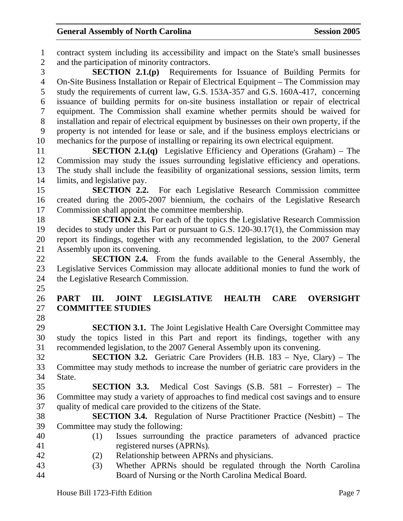1 contract system including its accessibility and impact on the State's small businesses 2 and the participation of minority contractors. 3 **SECTION 2.1.(p)** Requirements for Issuance of Building Permits for 4 On-Site Business Installation or Repair of Electrical Equipment – The Commission may 5 study the requirements of current law, G.S. 153A-357 and G.S. 160A-417, concerning 6 issuance of building permits for on-site business installation or repair of electrical 7 equipment. The Commission shall examine whether permits should be waived for 8 installation and repair of electrical equipment by businesses on their own property, if the 9 property is not intended for lease or sale, and if the business employs electricians or 10 mechanics for the purpose of installing or repairing its own electrical equipment. 11 **SECTION 2.1.(q)** Legislative Efficiency and Operations (Graham) – The 12 Commission may study the issues surrounding legislative efficiency and operations. 13 The study shall include the feasibility of organizational sessions, session limits, term 14 limits, and legislative pay. 15 **SECTION 2.2.** For each Legislative Research Commission committee 16 created during the 2005-2007 biennium, the cochairs of the Legislative Research 17 Commission shall appoint the committee membership. 18 **SECTION 2.3.** For each of the topics the Legislative Research Commission 19 decides to study under this Part or pursuant to G.S. 120-30.17(1), the Commission may 20 report its findings, together with any recommended legislation, to the 2007 General 21 Assembly upon its convening. 22 **SECTION 2.4.** From the funds available to the General Assembly, the 23 Legislative Services Commission may allocate additional monies to fund the work of 24 the Legislative Research Commission. 25 26 **PART III. JOINT LEGISLATIVE HEALTH CARE OVERSIGHT**  27 **COMMITTEE STUDIES**  28 29 **SECTION 3.1.** The Joint Legislative Health Care Oversight Committee may 30 study the topics listed in this Part and report its findings, together with any 31 recommended legislation, to the 2007 General Assembly upon its convening. 32 **SECTION 3.2.** Geriatric Care Providers (H.B. 183 – Nye, Clary) – The 33 Committee may study methods to increase the number of geriatric care providers in the 34 State. 35 **SECTION 3.3.** Medical Cost Savings (S.B. 581 – Forrester) – The 36 Committee may study a variety of approaches to find medical cost savings and to ensure 37 quality of medical care provided to the citizens of the State. 38 **SECTION 3.4.** Regulation of Nurse Practitioner Practice (Nesbitt) – The 39 Committee may study the following: 40 (1) Issues surrounding the practice parameters of advanced practice 41 registered nurses (APRNs). 42 (2) Relationship between APRNs and physicians. 43 (3) Whether APRNs should be regulated through the North Carolina 44 Board of Nursing or the North Carolina Medical Board.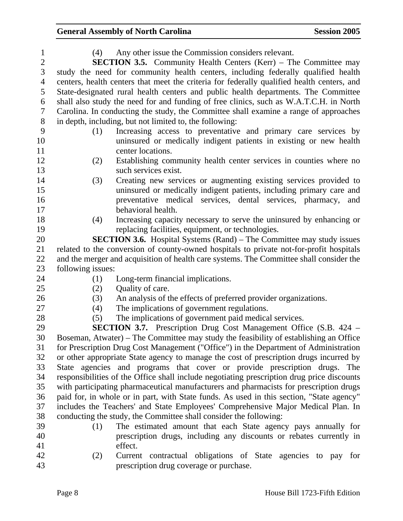| $\mathbf{1}$   | Any other issue the Commission considers relevant.<br>(4)                                  |
|----------------|--------------------------------------------------------------------------------------------|
| $\mathbf{2}$   | <b>SECTION 3.5.</b> Community Health Centers (Kerr) – The Committee may                    |
| 3              | study the need for community health centers, including federally qualified health          |
| $\overline{4}$ | centers, health centers that meet the criteria for federally qualified health centers, and |
| 5              | State-designated rural health centers and public health departments. The Committee         |
| 6              | shall also study the need for and funding of free clinics, such as W.A.T.C.H. in North     |
| $\tau$         | Carolina. In conducting the study, the Committee shall examine a range of approaches       |
| $8\,$          | in depth, including, but not limited to, the following:                                    |
| 9              | Increasing access to preventative and primary care services by<br>(1)                      |
| 10<br>11       | uninsured or medically indigent patients in existing or new health<br>center locations.    |
| 12             | Establishing community health center services in counties where no<br>(2)                  |
| 13             | such services exist.                                                                       |
| 14             | Creating new services or augmenting existing services provided to<br>(3)                   |
| 15             | uninsured or medically indigent patients, including primary care and                       |
| 16             | preventative medical services, dental services, pharmacy, and                              |
| 17             | behavioral health.                                                                         |
| 18             | Increasing capacity necessary to serve the uninsured by enhancing or<br>(4)                |
| 19             | replacing facilities, equipment, or technologies.                                          |
| 20             | <b>SECTION 3.6.</b> Hospital Systems (Rand) – The Committee may study issues               |
| 21             | related to the conversion of county-owned hospitals to private not-for-profit hospitals    |
| 22             | and the merger and acquisition of health care systems. The Committee shall consider the    |
| 23             | following issues:                                                                          |
| 24             | Long-term financial implications.<br>(1)                                                   |
| 25             | Quality of care.<br>(2)                                                                    |
| 26             | An analysis of the effects of preferred provider organizations.<br>(3)                     |
| 27             | The implications of government regulations.<br>(4)                                         |
| 28             | The implications of government paid medical services.<br>(5)                               |
| 29             | <b>SECTION 3.7.</b> Prescription Drug Cost Management Office (S.B. 424 –                   |
| 30             | Boseman, Atwater) – The Committee may study the feasibility of establishing an Office      |
| 31             | for Prescription Drug Cost Management ("Office") in the Department of Administration       |
| 32             | or other appropriate State agency to manage the cost of prescription drugs incurred by     |
| 33             | State agencies and programs that cover or provide prescription drugs. The                  |
| 34             | responsibilities of the Office shall include negotiating prescription drug price discounts |
| 35             | with participating pharmaceutical manufacturers and pharmacists for prescription drugs     |
| 36             | paid for, in whole or in part, with State funds. As used in this section, "State agency"   |
| 37             | includes the Teachers' and State Employees' Comprehensive Major Medical Plan. In           |
| 38             | conducting the study, the Committee shall consider the following:                          |
| 39             | The estimated amount that each State agency pays annually for<br>(1)                       |
| 40             | prescription drugs, including any discounts or rebates currently in                        |
| 41             | effect.                                                                                    |
| 42             | Current contractual obligations of State agencies to pay for<br>(2)                        |

43 prescription drug coverage or purchase.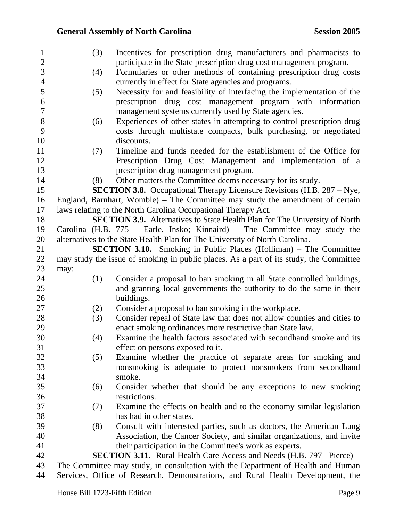|      |     | <b>General Assembly of North Carolina</b>                                                                                  | <b>Session 2005</b> |
|------|-----|----------------------------------------------------------------------------------------------------------------------------|---------------------|
|      | (3) | Incentives for prescription drug manufacturers and pharmacists to                                                          |                     |
|      |     | participate in the State prescription drug cost management program.                                                        |                     |
|      | (4) | Formularies or other methods of containing prescription drug costs<br>currently in effect for State agencies and programs. |                     |
|      | (5) | Necessity for and feasibility of interfacing the implementation of the                                                     |                     |
|      |     | prescription drug cost management program with information                                                                 |                     |
|      |     | management systems currently used by State agencies.                                                                       |                     |
|      | (6) | Experiences of other states in attempting to control prescription drug                                                     |                     |
|      |     | costs through multistate compacts, bulk purchasing, or negotiated<br>discounts.                                            |                     |
|      | (7) | Timeline and funds needed for the establishment of the Office for                                                          |                     |
|      |     | Prescription Drug Cost Management and implementation of a                                                                  |                     |
|      |     | prescription drug management program.                                                                                      |                     |
|      | (8) | Other matters the Committee deems necessary for its study.                                                                 |                     |
|      |     | <b>SECTION 3.8.</b> Occupational Therapy Licensure Revisions (H.B. 287 – Nye,                                              |                     |
|      |     | England, Barnhart, Womble) – The Committee may study the amendment of certain                                              |                     |
|      |     | laws relating to the North Carolina Occupational Therapy Act.                                                              |                     |
|      |     | <b>SECTION 3.9.</b> Alternatives to State Health Plan for The University of North                                          |                     |
|      |     | Carolina (H.B. 775 – Earle, Insko; Kinnaird) – The Committee may study the                                                 |                     |
|      |     | alternatives to the State Health Plan for The University of North Carolina.                                                |                     |
|      |     | <b>SECTION 3.10.</b> Smoking in Public Places (Holliman) – The Committee                                                   |                     |
|      |     | may study the issue of smoking in public places. As a part of its study, the Committee                                     |                     |
| may: |     |                                                                                                                            |                     |
|      | (1) | Consider a proposal to ban smoking in all State controlled buildings,                                                      |                     |
|      |     | and granting local governments the authority to do the same in their                                                       |                     |
|      |     | buildings.                                                                                                                 |                     |
|      | (2) | Consider a proposal to ban smoking in the workplace.                                                                       |                     |
|      | (3) | Consider repeal of State law that does not allow counties and cities to                                                    |                     |
|      |     | enact smoking ordinances more restrictive than State law.                                                                  |                     |
|      | (4) | Examine the health factors associated with secondhand smoke and its                                                        |                     |
|      |     | effect on persons exposed to it.                                                                                           |                     |
|      | (5) | Examine whether the practice of separate areas for smoking and                                                             |                     |
|      |     | nonsmoking is adequate to protect nonsmokers from secondhand<br>smoke.                                                     |                     |
|      | (6) | Consider whether that should be any exceptions to new smoking                                                              |                     |
|      |     | restrictions.                                                                                                              |                     |
|      | (7) | Examine the effects on health and to the economy similar legislation                                                       |                     |
|      |     | has had in other states.                                                                                                   |                     |
|      | (8) | Consult with interested parties, such as doctors, the American Lung                                                        |                     |
|      |     | Association, the Cancer Society, and similar organizations, and invite                                                     |                     |
|      |     | their participation in the Committee's work as experts.                                                                    |                     |
|      |     | <b>SECTION 3.11.</b> Rural Health Care Access and Needs (H.B. 797 – Pierce) –                                              |                     |
|      |     | The Committee may study, in consultation with the Department of Health and Human                                           |                     |
|      |     | Services, Office of Research, Demonstrations, and Rural Health Development, the                                            |                     |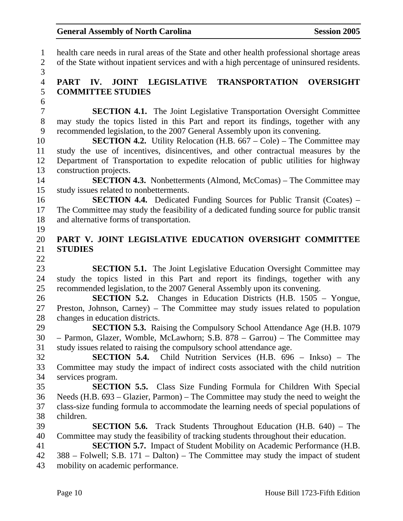1 health care needs in rural areas of the State and other health professional shortage areas 2 of the State without inpatient services and with a high percentage of uninsured residents. 3 4 **PART IV. JOINT LEGISLATIVE TRANSPORTATION OVERSIGHT**  5 **COMMITTEE STUDIES**  6 7 **SECTION 4.1.** The Joint Legislative Transportation Oversight Committee 8 may study the topics listed in this Part and report its findings, together with any 9 recommended legislation, to the 2007 General Assembly upon its convening. 10 **SECTION 4.2.** Utility Relocation (H.B. 667 – Cole) – The Committee may 11 study the use of incentives, disincentives, and other contractual measures by the 12 Department of Transportation to expedite relocation of public utilities for highway 13 construction projects. 14 **SECTION 4.3.** Nonbetterments (Almond, McComas) – The Committee may 15 study issues related to nonbetterments. 16 **SECTION 4.4.** Dedicated Funding Sources for Public Transit (Coates) – 17 The Committee may study the feasibility of a dedicated funding source for public transit 18 and alternative forms of transportation. 19 20 **PART V. JOINT LEGISLATIVE EDUCATION OVERSIGHT COMMITTEE**  21 **STUDIES**  22 23 **SECTION 5.1.** The Joint Legislative Education Oversight Committee may 24 study the topics listed in this Part and report its findings, together with any 25 recommended legislation, to the 2007 General Assembly upon its convening. 26 **SECTION 5.2.** Changes in Education Districts (H.B. 1505 – Yongue, 27 Preston, Johnson, Carney) – The Committee may study issues related to population 28 changes in education districts. 29 **SECTION 5.3.** Raising the Compulsory School Attendance Age (H.B. 1079 30 – Parmon, Glazer, Womble, McLawhorn; S.B. 878 – Garrou) – The Committee may 31 study issues related to raising the compulsory school attendance age. 32 **SECTION 5.4.** Child Nutrition Services (H.B. 696 – Inkso) – The 33 Committee may study the impact of indirect costs associated with the child nutrition 34 services program. 35 **SECTION 5.5.** Class Size Funding Formula for Children With Special 36 Needs (H.B. 693 – Glazier, Parmon) – The Committee may study the need to weight the 37 class-size funding formula to accommodate the learning needs of special populations of 38 children. 39 **SECTION 5.6.** Track Students Throughout Education (H.B. 640) – The 40 Committee may study the feasibility of tracking students throughout their education. 41 **SECTION 5.7.** Impact of Student Mobility on Academic Performance (H.B. 42 388 – Folwell; S.B. 171 – Dalton) – The Committee may study the impact of student 43 mobility on academic performance.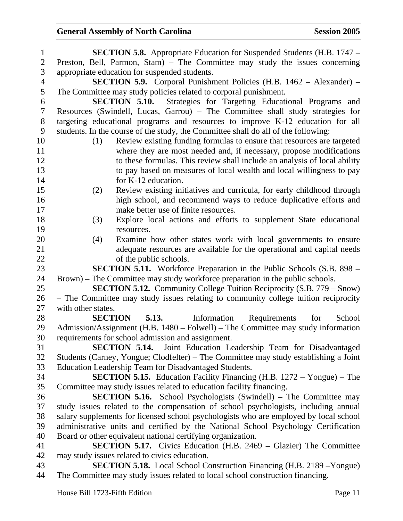| $\mathbf{1}$   | <b>SECTION 5.8.</b> Appropriate Education for Suspended Students (H.B. 1747 –                            |
|----------------|----------------------------------------------------------------------------------------------------------|
| $\overline{2}$ | Preston, Bell, Parmon, Stam) – The Committee may study the issues concerning                             |
| 3              | appropriate education for suspended students.                                                            |
| $\overline{4}$ | <b>SECTION 5.9.</b> Corporal Punishment Policies (H.B. 1462 – Alexander) –                               |
| 5              | The Committee may study policies related to corporal punishment.                                         |
| 6              | <b>SECTION 5.10.</b><br>Strategies for Targeting Educational Programs and                                |
| $\tau$         | Resources (Swindell, Lucas, Garrou) - The Committee shall study strategies for                           |
| 8              | targeting educational programs and resources to improve K-12 education for all                           |
| 9              | students. In the course of the study, the Committee shall do all of the following:                       |
| 10             | Review existing funding formulas to ensure that resources are targeted<br>(1)                            |
| 11             | where they are most needed and, if necessary, propose modifications                                      |
| 12             | to these formulas. This review shall include an analysis of local ability                                |
| 13             | to pay based on measures of local wealth and local willingness to pay                                    |
| 14             | for K-12 education.                                                                                      |
| 15             | Review existing initiatives and curricula, for early childhood through<br>(2)                            |
| 16             | high school, and recommend ways to reduce duplicative efforts and                                        |
| 17             | make better use of finite resources.                                                                     |
| 18             | Explore local actions and efforts to supplement State educational<br>(3)                                 |
| 19             | resources.                                                                                               |
| 20             | Examine how other states work with local governments to ensure<br>(4)                                    |
| 21             | adequate resources are available for the operational and capital needs                                   |
| 22             | of the public schools.                                                                                   |
| 23             | <b>SECTION 5.11.</b> Workforce Preparation in the Public Schools (S.B. 898 –                             |
| 24             | Brown) – The Committee may study workforce preparation in the public schools.                            |
| 25             | <b>SECTION 5.12.</b> Community College Tuition Reciprocity (S.B. 779 – Snow)                             |
| 26<br>27       | - The Committee may study issues relating to community college tuition reciprocity<br>with other states. |
| 28             | SECTION 5.13.<br>Information<br>Requirements<br>for<br>School                                            |
| 29             | Admission/Assignment (H.B. 1480 – Folwell) – The Committee may study information                         |
| 30             | requirements for school admission and assignment.                                                        |
| 31             | <b>SECTION 5.14.</b> Joint Education Leadership Team for Disadvantaged                                   |
| 32             | Students (Carney, Yongue; Clodfelter) – The Committee may study establishing a Joint                     |
| 33             | Education Leadership Team for Disadvantaged Students.                                                    |
| 34             | <b>SECTION 5.15.</b> Education Facility Financing (H.B. 1272 – Yongue) – The                             |
| 35             | Committee may study issues related to education facility financing.                                      |
| 36             | <b>SECTION 5.16.</b> School Psychologists (Swindell) – The Committee may                                 |
| 37             | study issues related to the compensation of school psychologists, including annual                       |
| 38             | salary supplements for licensed school psychologists who are employed by local school                    |
| 39             | administrative units and certified by the National School Psychology Certification                       |
| 40             | Board or other equivalent national certifying organization.                                              |
| 41             | <b>SECTION 5.17.</b> Civics Education (H.B. 2469 – Glazier) The Committee                                |
| 42             | may study issues related to civics education.                                                            |
| 43             | <b>SECTION 5.18.</b> Local School Construction Financing (H.B. 2189 – Yongue)                            |
| 44             | The Committee may study issues related to local school construction financing.                           |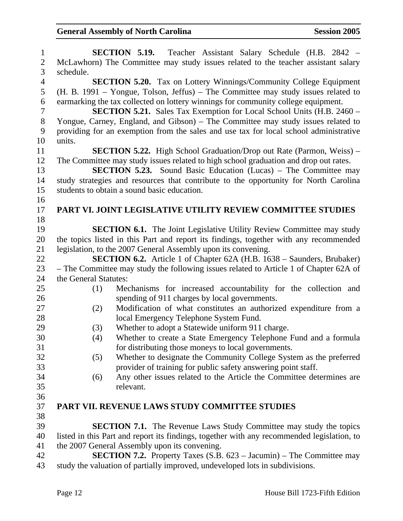| $\mathbf{1}$   | SECTION 5.19.<br>Teacher Assistant Salary Schedule (H.B. 2842 –                             |
|----------------|---------------------------------------------------------------------------------------------|
| $\sqrt{2}$     | McLawhorn) The Committee may study issues related to the teacher assistant salary           |
| $\overline{3}$ | schedule.                                                                                   |
| $\overline{4}$ | <b>SECTION 5.20.</b> Tax on Lottery Winnings/Community College Equipment                    |
| 5              | (H. B. 1991 – Yongue, Tolson, Jeffus) – The Committee may study issues related to           |
| 6              | earmarking the tax collected on lottery winnings for community college equipment.           |
| $\tau$         | <b>SECTION 5.21.</b> Sales Tax Exemption for Local School Units (H.B. 2460 –                |
| $8\,$          | Yongue, Carney, England, and Gibson) – The Committee may study issues related to            |
| 9              | providing for an exemption from the sales and use tax for local school administrative       |
| 10             | units.                                                                                      |
| 11             | <b>SECTION 5.22.</b> High School Graduation/Drop out Rate (Parmon, Weiss) –                 |
| 12             | The Committee may study issues related to high school graduation and drop out rates.        |
| 13             | <b>SECTION 5.23.</b> Sound Basic Education (Lucas) – The Committee may                      |
| 14             | study strategies and resources that contribute to the opportunity for North Carolina        |
| 15             | students to obtain a sound basic education.                                                 |
| 16             |                                                                                             |
| 17             | PART VI. JOINT LEGISLATIVE UTILITY REVIEW COMMITTEE STUDIES                                 |
| 18             |                                                                                             |
| 19             | <b>SECTION 6.1.</b> The Joint Legislative Utility Review Committee may study                |
| 20             | the topics listed in this Part and report its findings, together with any recommended       |
| 21             | legislation, to the 2007 General Assembly upon its convening.                               |
| 22             | <b>SECTION 6.2.</b> Article 1 of Chapter 62A (H.B. 1638 – Saunders, Brubaker)               |
| 23             | - The Committee may study the following issues related to Article 1 of Chapter 62A of       |
| 24             | the General Statutes:                                                                       |
| 25             | Mechanisms for increased accountability for the collection and<br>(1)                       |
| 26             | spending of 911 charges by local governments.                                               |
| 27             | Modification of what constitutes an authorized expenditure from a<br>(2)                    |
| 28             | local Emergency Telephone System Fund.                                                      |
| 29             | Whether to adopt a Statewide uniform 911 charge.<br>(3)                                     |
| 30             | Whether to create a State Emergency Telephone Fund and a formula<br>(4)                     |
| 31             | for distributing those moneys to local governments.                                         |
| 32             | Whether to designate the Community College System as the preferred<br>(5)                   |
| 33             | provider of training for public safety answering point staff.                               |
| 34             | Any other issues related to the Article the Committee determines are<br>(6)                 |
| 35             | relevant.                                                                                   |
| 36             |                                                                                             |
| 37             | <b>PART VII. REVENUE LAWS STUDY COMMITTEE STUDIES</b>                                       |
| 38             |                                                                                             |
| 39             | <b>SECTION 7.1.</b> The Revenue Laws Study Committee may study the topics                   |
| 40             | listed in this Part and report its findings, together with any recommended legislation, to  |
| 41             | the 2007 General Assembly upon its convening.                                               |
| 42             | <b>SECTION 7.2.</b> Property Taxes $(S.B. 623 - \text{Jacumin}) - \text{The Committee may}$ |
| 43             | study the valuation of partially improved, undeveloped lots in subdivisions.                |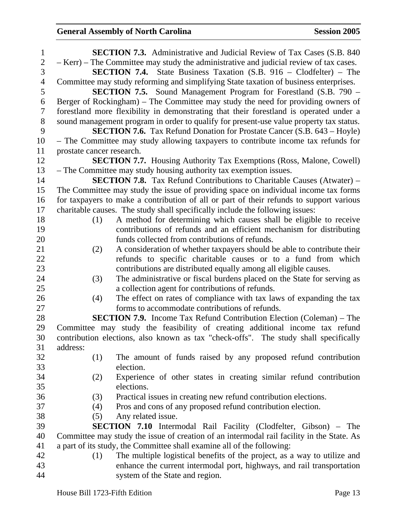| $\mathbf{1}$   |                           | <b>SECTION 7.3.</b> Administrative and Judicial Review of Tax Cases (S.B. 840)            |
|----------------|---------------------------|-------------------------------------------------------------------------------------------|
| $\overline{2}$ |                           | - Kerr) – The Committee may study the administrative and judicial review of tax cases.    |
| 3              |                           | <b>SECTION 7.4.</b> State Business Taxation $(S.B. 916 - Clodfelter) - The$               |
| $\overline{4}$ |                           | Committee may study reforming and simplifying State taxation of business enterprises.     |
| 5              |                           | <b>SECTION 7.5.</b> Sound Management Program for Forestland (S.B. 790 –                   |
| 6              |                           | Berger of Rockingham) – The Committee may study the need for providing owners of          |
| 7              |                           | forestland more flexibility in demonstrating that their forestland is operated under a    |
| 8              |                           | sound management program in order to qualify for present-use value property tax status.   |
| 9              |                           | <b>SECTION 7.6.</b> Tax Refund Donation for Prostate Cancer (S.B. 643 – Hoyle)            |
| 10             |                           | - The Committee may study allowing taxpayers to contribute income tax refunds for         |
| 11             | prostate cancer research. |                                                                                           |
| 12             |                           | <b>SECTION 7.7.</b> Housing Authority Tax Exemptions (Ross, Malone, Cowell)               |
| 13             |                           | - The Committee may study housing authority tax exemption issues.                         |
| 14             |                           | <b>SECTION 7.8.</b> Tax Refund Contributions to Charitable Causes (Atwater) –             |
| 15             |                           | The Committee may study the issue of providing space on individual income tax forms       |
| 16             |                           | for taxpayers to make a contribution of all or part of their refunds to support various   |
| 17             |                           | charitable causes. The study shall specifically include the following issues:             |
| 18             | (1)                       | A method for determining which causes shall be eligible to receive                        |
| 19             |                           | contributions of refunds and an efficient mechanism for distributing                      |
| 20             |                           | funds collected from contributions of refunds.                                            |
| 21             | (2)                       | A consideration of whether taxpayers should be able to contribute their                   |
| 22             |                           | refunds to specific charitable causes or to a fund from which                             |
| 23             |                           | contributions are distributed equally among all eligible causes.                          |
| 24             | (3)                       | The administrative or fiscal burdens placed on the State for serving as                   |
| 25             |                           | a collection agent for contributions of refunds.                                          |
| 26             | (4)                       | The effect on rates of compliance with tax laws of expanding the tax                      |
| 27             |                           | forms to accommodate contributions of refunds.                                            |
| 28             |                           | <b>SECTION 7.9.</b> Income Tax Refund Contribution Election (Coleman) – The               |
| 29             |                           | Committee may study the feasibility of creating additional income tax refund              |
| 30             |                           | contribution elections, also known as tax "check-offs". The study shall specifically      |
| 31             | address:                  |                                                                                           |
| 32             | (1)                       | The amount of funds raised by any proposed refund contribution                            |
| 33             |                           | election.                                                                                 |
| 34             | (2)                       | Experience of other states in creating similar refund contribution                        |
| 35             |                           | elections.                                                                                |
| 36             | (3)                       | Practical issues in creating new refund contribution elections.                           |
| 37             | (4)                       | Pros and cons of any proposed refund contribution election.                               |
| 38             | (5)                       | Any related issue.                                                                        |
| 39             |                           | <b>SECTION 7.10</b> Intermodal Rail Facility (Clodfelter, Gibson) – The                   |
| 40             |                           | Committee may study the issue of creation of an intermodal rail facility in the State. As |
| 41             |                           | a part of its study, the Committee shall examine all of the following:                    |
| 42             | (1)                       | The multiple logistical benefits of the project, as a way to utilize and                  |
| 43             |                           | enhance the current intermodal port, highways, and rail transportation                    |
| 44             |                           | system of the State and region.                                                           |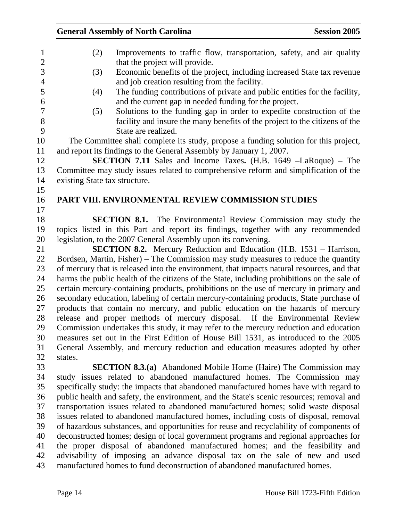| $\mathbf{1}$   | (2)                           | Improvements to traffic flow, transportation, safety, and air quality                                                                                                                 |
|----------------|-------------------------------|---------------------------------------------------------------------------------------------------------------------------------------------------------------------------------------|
| $\overline{2}$ |                               | that the project will provide.                                                                                                                                                        |
| 3              | (3)                           | Economic benefits of the project, including increased State tax revenue                                                                                                               |
| $\overline{4}$ |                               | and job creation resulting from the facility.                                                                                                                                         |
| 5              | (4)                           | The funding contributions of private and public entities for the facility,                                                                                                            |
| 6              |                               | and the current gap in needed funding for the project.                                                                                                                                |
| 7              | (5)                           | Solutions to the funding gap in order to expedite construction of the                                                                                                                 |
| 8              |                               | facility and insure the many benefits of the project to the citizens of the                                                                                                           |
| 9              |                               | State are realized.                                                                                                                                                                   |
| 10             |                               | The Committee shall complete its study, propose a funding solution for this project,                                                                                                  |
| 11             |                               | and report its findings to the General Assembly by January 1, 2007.                                                                                                                   |
| 12             |                               | <b>SECTION 7.11</b> Sales and Income Taxes. (H.B. 1649 –LaRoque) – The                                                                                                                |
| 13             |                               | Committee may study issues related to comprehensive reform and simplification of the                                                                                                  |
| 14             | existing State tax structure. |                                                                                                                                                                                       |
| 15             |                               |                                                                                                                                                                                       |
| 16             |                               | PART VIII. ENVIRONMENTAL REVIEW COMMISSION STUDIES                                                                                                                                    |
| 17             |                               |                                                                                                                                                                                       |
| 18             |                               | <b>SECTION 8.1.</b> The Environmental Review Commission may study the                                                                                                                 |
| 19             |                               | topics listed in this Part and report its findings, together with any recommended                                                                                                     |
| 20             |                               | legislation, to the 2007 General Assembly upon its convening.                                                                                                                         |
| 21             |                               | <b>SECTION 8.2.</b> Mercury Reduction and Education (H.B. 1531 – Harrison,                                                                                                            |
| 22             |                               | Bordsen, Martin, Fisher) – The Commission may study measures to reduce the quantity                                                                                                   |
| 23             |                               | of mercury that is released into the environment, that impacts natural resources, and that                                                                                            |
| 24<br>25       |                               | harms the public health of the citizens of the State, including prohibitions on the sale of<br>certain mercury-containing products, prohibitions on the use of mercury in primary and |
| 26             |                               | secondary education, labeling of certain mercury-containing products, State purchase of                                                                                               |
| 27             |                               | products that contain no mercury, and public education on the hazards of mercury                                                                                                      |
| 28             |                               | release and proper methods of mercury disposal. If the Environmental Review                                                                                                           |
| 29             |                               | Commission undertakes this study, it may refer to the mercury reduction and education                                                                                                 |
| 30             |                               | measures set out in the First Edition of House Bill 1531, as introduced to the 2005                                                                                                   |
| 31             |                               | General Assembly, and mercury reduction and education measures adopted by other                                                                                                       |
| 32             | states.                       |                                                                                                                                                                                       |
| 33             |                               | <b>SECTION 8.3.(a)</b> Abandoned Mobile Home (Haire) The Commission may                                                                                                               |
| 34             |                               | study issues related to abandoned manufactured homes. The Commission may                                                                                                              |
| 35             |                               | specifically study: the impacts that abandoned manufactured homes have with regard to                                                                                                 |
| 36             |                               | public health and safety, the environment, and the State's scenic resources; removal and                                                                                              |
| 37             |                               | transportation issues related to abandoned manufactured homes; solid waste disposal                                                                                                   |
| 38             |                               | issues related to abandoned manufactured homes, including costs of disposal, removal                                                                                                  |
| 39             |                               | of hazardous substances, and opportunities for reuse and recyclability of components of                                                                                               |
| 40             |                               | deconstructed homes; design of local government programs and regional approaches for                                                                                                  |
| 41             |                               | the proper disposal of abandoned manufactured homes; and the feasibility and                                                                                                          |
| 42             |                               | advisability of imposing an advance disposal tax on the sale of new and used                                                                                                          |
| 43             |                               | manufactured homes to fund deconstruction of abandoned manufactured homes.                                                                                                            |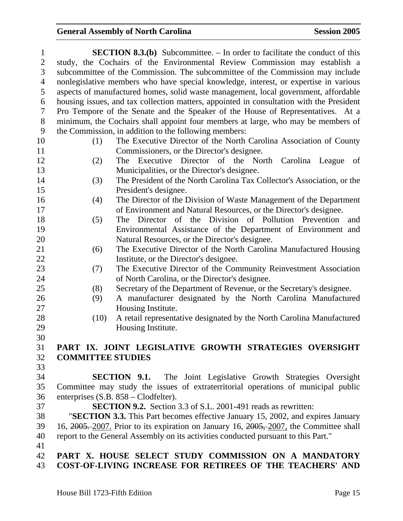| $\mathbf{1}$   | <b>SECTION 8.3.(b)</b> Subcommittee. – In order to facilitate the conduct of this        |
|----------------|------------------------------------------------------------------------------------------|
| $\overline{2}$ | study, the Cochairs of the Environmental Review Commission may establish a               |
| 3              | subcommittee of the Commission. The subcommittee of the Commission may include           |
| $\overline{4}$ | nonlegislative members who have special knowledge, interest, or expertise in various     |
| 5              | aspects of manufactured homes, solid waste management, local government, affordable      |
| 6              | housing issues, and tax collection matters, appointed in consultation with the President |
| $\tau$         | Pro Tempore of the Senate and the Speaker of the House of Representatives. At a          |
| $8\,$          | minimum, the Cochairs shall appoint four members at large, who may be members of         |
| 9              | the Commission, in addition to the following members:                                    |
| 10             | The Executive Director of the North Carolina Association of County<br>(1)                |
| 11             | Commissioners, or the Director's designee.                                               |
| 12             | Executive Director of the North Carolina League<br>(2)<br>The<br>of                      |
| 13             | Municipalities, or the Director's designee.                                              |
| 14             | The President of the North Carolina Tax Collector's Association, or the<br>(3)           |
| 15             | President's designee.                                                                    |
| 16             | The Director of the Division of Waste Management of the Department<br>(4)                |
| 17             | of Environment and Natural Resources, or the Director's designee.                        |
| 18             | The Director of the Division of Pollution Prevention<br>(5)<br>and                       |
| 19             | Environmental Assistance of the Department of Environment and                            |
| 20             | Natural Resources, or the Director's designee.                                           |
| 21             | The Executive Director of the North Carolina Manufactured Housing<br>(6)                 |
| 22             | Institute, or the Director's designee.                                                   |
| 23             | The Executive Director of the Community Reinvestment Association<br>(7)                  |
| 24             | of North Carolina, or the Director's designee.                                           |
| 25             | Secretary of the Department of Revenue, or the Secretary's designee.<br>(8)              |
| 26             | A manufacturer designated by the North Carolina Manufactured<br>(9)                      |
| 27             | Housing Institute.                                                                       |
| 28             | (10)<br>A retail representative designated by the North Carolina Manufactured            |
| 29             | Housing Institute.                                                                       |
| 30             |                                                                                          |
| 31             | PART IX. JOINT LEGISLATIVE GROWTH STRATEGIES OVERSIGHT                                   |
| 32             | <b>COMMITTEE STUDIES</b>                                                                 |
| 33             |                                                                                          |
| 34             | <b>SECTION 9.1.</b> The Joint Legislative Growth Strategies Oversight                    |
| 35             | Committee may study the issues of extraterritorial operations of municipal public        |
| 36             | enterprises (S.B. 858 – Clodfelter).                                                     |
| 37             | <b>SECTION 9.2.</b> Section 3.3 of S.L. 2001-491 reads as rewritten:                     |
| 38             | "SECTION 3.3. This Part becomes effective January 15, 2002, and expires January          |
| 39             | 16, 2005. 2007. Prior to its expiration on January 16, 2005, 2007, the Committee shall   |
| 40             | report to the General Assembly on its activities conducted pursuant to this Part."       |
| 41             |                                                                                          |
| 42             | PART X. HOUSE SELECT STUDY COMMISSION ON A MANDATORY                                     |
| 43             | COST-OF-LIVING INCREASE FOR RETIREES OF THE TEACHERS' AND                                |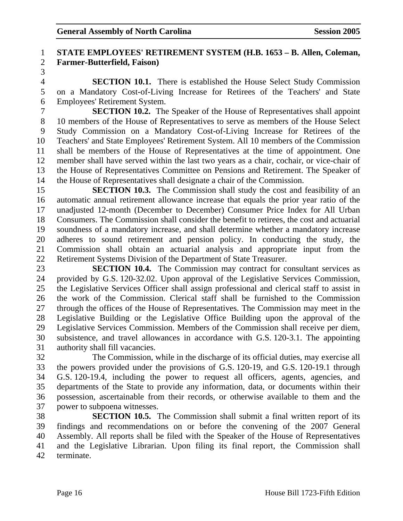### 1 **STATE EMPLOYEES' RETIREMENT SYSTEM (H.B. 1653 – B. Allen, Coleman,**  2 **Farmer-Butterfield, Faison)**

3

4 **SECTION 10.1.** There is established the House Select Study Commission 5 on a Mandatory Cost-of-Living Increase for Retirees of the Teachers' and State 6 Employees' Retirement System.

7 **SECTION 10.2.** The Speaker of the House of Representatives shall appoint 8 10 members of the House of Representatives to serve as members of the House Select 9 Study Commission on a Mandatory Cost-of-Living Increase for Retirees of the 10 Teachers' and State Employees' Retirement System. All 10 members of the Commission 11 shall be members of the House of Representatives at the time of appointment. One 12 member shall have served within the last two years as a chair, cochair, or vice-chair of 13 the House of Representatives Committee on Pensions and Retirement. The Speaker of 14 the House of Representatives shall designate a chair of the Commission.

15 **SECTION 10.3.** The Commission shall study the cost and feasibility of an 16 automatic annual retirement allowance increase that equals the prior year ratio of the 17 unadjusted 12-month (December to December) Consumer Price Index for All Urban 18 Consumers. The Commission shall consider the benefit to retirees, the cost and actuarial 19 soundness of a mandatory increase, and shall determine whether a mandatory increase 20 adheres to sound retirement and pension policy. In conducting the study, the 21 Commission shall obtain an actuarial analysis and appropriate input from the 22 Retirement Systems Division of the Department of State Treasurer.

23 **SECTION 10.4.** The Commission may contract for consultant services as 24 provided by G.S. 120-32.02. Upon approval of the Legislative Services Commission, 25 the Legislative Services Officer shall assign professional and clerical staff to assist in 26 the work of the Commission. Clerical staff shall be furnished to the Commission 27 through the offices of the House of Representatives. The Commission may meet in the 28 Legislative Building or the Legislative Office Building upon the approval of the 29 Legislative Services Commission. Members of the Commission shall receive per diem, 30 subsistence, and travel allowances in accordance with G.S. 120-3.1. The appointing 31 authority shall fill vacancies.

32 The Commission, while in the discharge of its official duties, may exercise all 33 the powers provided under the provisions of G.S. 120-19, and G.S. 120-19.1 through 34 G.S. 120-19.4, including the power to request all officers, agents, agencies, and 35 departments of the State to provide any information, data, or documents within their 36 possession, ascertainable from their records, or otherwise available to them and the 37 power to subpoena witnesses.

38 **SECTION 10.5.** The Commission shall submit a final written report of its 39 findings and recommendations on or before the convening of the 2007 General 40 Assembly. All reports shall be filed with the Speaker of the House of Representatives 41 and the Legislative Librarian. Upon filing its final report, the Commission shall 42 terminate.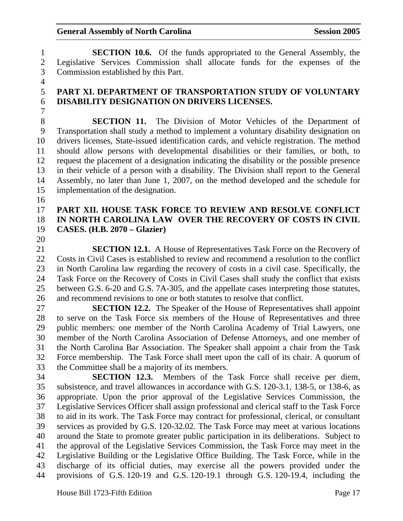1 **SECTION 10.6.** Of the funds appropriated to the General Assembly, the 2 Legislative Services Commission shall allocate funds for the expenses of the 3 Commission established by this Part.

5 **PART XI. DEPARTMENT OF TRANSPORTATION STUDY OF VOLUNTARY**  6 **DISABILITY DESIGNATION ON DRIVERS LICENSES.** 

8 **SECTION 11.** The Division of Motor Vehicles of the Department of 9 Transportation shall study a method to implement a voluntary disability designation on 10 drivers licenses, State-issued identification cards, and vehicle registration. The method 11 should allow persons with developmental disabilities or their families, or both, to 12 request the placement of a designation indicating the disability or the possible presence 13 in their vehicle of a person with a disability. The Division shall report to the General 14 Assembly, no later than June 1, 2007, on the method developed and the schedule for 15 implementation of the designation.

16

4

7

### 17 **PART XII. HOUSE TASK FORCE TO REVIEW AND RESOLVE CONFLICT**  18 **IN NORTH CAROLINA LAW OVER THE RECOVERY OF COSTS IN CIVIL**  19 **CASES. (H.B. 2070 – Glazier)**

20

21 **SECTION 12.1.** A House of Representatives Task Force on the Recovery of 22 Costs in Civil Cases is established to review and recommend a resolution to the conflict 23 in North Carolina law regarding the recovery of costs in a civil case. Specifically, the 24 Task Force on the Recovery of Costs in Civil Cases shall study the conflict that exists 25 between G.S. 6-20 and G.S. 7A-305, and the appellate cases interpreting those statutes, 26 and recommend revisions to one or both statutes to resolve that conflict.

27 **SECTION 12.2.** The Speaker of the House of Representatives shall appoint 28 to serve on the Task Force six members of the House of Representatives and three 29 public members: one member of the North Carolina Academy of Trial Lawyers, one 30 member of the North Carolina Association of Defense Attorneys, and one member of 31 the North Carolina Bar Association. The Speaker shall appoint a chair from the Task 32 Force membership. The Task Force shall meet upon the call of its chair. A quorum of 33 the Committee shall be a majority of its members.

34 **SECTION 12.3.** Members of the Task Force shall receive per diem, 35 subsistence, and travel allowances in accordance with G.S. 120-3.1, 138-5, or 138-6, as 36 appropriate. Upon the prior approval of the Legislative Services Commission, the 37 Legislative Services Officer shall assign professional and clerical staff to the Task Force 38 to aid in its work. The Task Force may contract for professional, clerical, or consultant 39 services as provided by G.S. 120-32.02. The Task Force may meet at various locations 40 around the State to promote greater public participation in its deliberations. Subject to 41 the approval of the Legislative Services Commission, the Task Force may meet in the 42 Legislative Building or the Legislative Office Building. The Task Force, while in the 43 discharge of its official duties, may exercise all the powers provided under the 44 provisions of G.S. 120-19 and G.S. 120-19.1 through G.S. 120-19.4, including the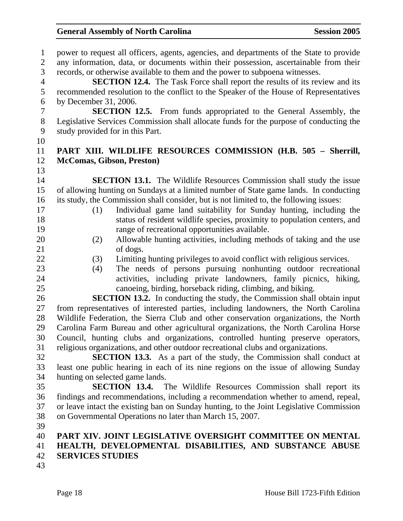1 power to request all officers, agents, agencies, and departments of the State to provide 2 any information, data, or documents within their possession, ascertainable from their 3 records, or otherwise available to them and the power to subpoena witnesses. 4 **SECTION 12.4.** The Task Force shall report the results of its review and its 5 recommended resolution to the conflict to the Speaker of the House of Representatives 6 by December 31, 2006. 7 **SECTION 12.5.** From funds appropriated to the General Assembly, the 8 Legislative Services Commission shall allocate funds for the purpose of conducting the 9 study provided for in this Part. 10 11 **PART XIII. WILDLIFE RESOURCES COMMISSION (H.B. 505 – Sherrill,**  12 **McComas, Gibson, Preston)**  13 14 **SECTION 13.1.** The Wildlife Resources Commission shall study the issue 15 of allowing hunting on Sundays at a limited number of State game lands. In conducting 16 its study, the Commission shall consider, but is not limited to, the following issues: 17 (1) Individual game land suitability for Sunday hunting, including the 18 status of resident wildlife species, proximity to population centers, and 19 range of recreational opportunities available. 20 (2) Allowable hunting activities, including methods of taking and the use 21 of dogs. 22 (3) Limiting hunting privileges to avoid conflict with religious services. 23 (4) The needs of persons pursuing nonhunting outdoor recreational 24 activities, including private landowners, family picnics, hiking, 25 canoeing, birding, horseback riding, climbing, and biking. 26 **SECTION 13.2.** In conducting the study, the Commission shall obtain input 27 from representatives of interested parties, including landowners, the North Carolina 28 Wildlife Federation, the Sierra Club and other conservation organizations, the North 29 Carolina Farm Bureau and other agricultural organizations, the North Carolina Horse 30 Council, hunting clubs and organizations, controlled hunting preserve operators, 31 religious organizations, and other outdoor recreational clubs and organizations. 32 **SECTION 13.3.** As a part of the study, the Commission shall conduct at 33 least one public hearing in each of its nine regions on the issue of allowing Sunday 34 hunting on selected game lands. 35 **SECTION 13.4.** The Wildlife Resources Commission shall report its 36 findings and recommendations, including a recommendation whether to amend, repeal, 37 or leave intact the existing ban on Sunday hunting, to the Joint Legislative Commission 38 on Governmental Operations no later than March 15, 2007. 39 40 **PART XIV. JOINT LEGISLATIVE OVERSIGHT COMMITTEE ON MENTAL**  41 **HEALTH, DEVELOPMENTAL DISABILITIES, AND SUBSTANCE ABUSE**  42 **SERVICES STUDIES**  43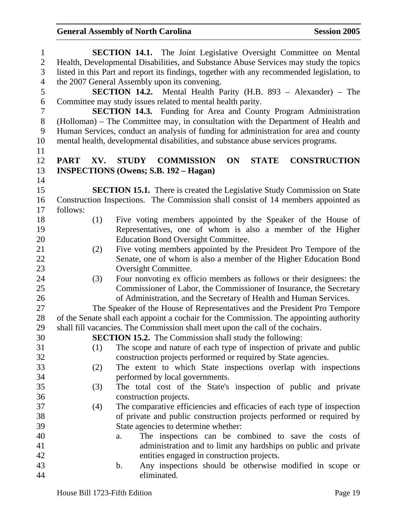| $\mathbf{1}$   |             |     | SECTION 14.1. The Joint Legislative Oversight Committee on Mental                          |
|----------------|-------------|-----|--------------------------------------------------------------------------------------------|
| $\overline{2}$ |             |     | Health, Developmental Disabilities, and Substance Abuse Services may study the topics      |
| 3              |             |     | listed in this Part and report its findings, together with any recommended legislation, to |
| $\overline{4}$ |             |     | the 2007 General Assembly upon its convening.                                              |
| 5              |             |     | SECTION 14.2. Mental Health Parity (H.B. 893 - Alexander) - The                            |
| 6              |             |     | Committee may study issues related to mental health parity.                                |
| $\overline{7}$ |             |     | <b>SECTION 14.3.</b> Funding for Area and County Program Administration                    |
| $8\,$          |             |     | (Holloman) – The Committee may, in consultation with the Department of Health and          |
| 9              |             |     | Human Services, conduct an analysis of funding for administration for area and county      |
| 10             |             |     | mental health, developmental disabilities, and substance abuse services programs.          |
| 11             |             |     |                                                                                            |
| 12             | <b>PART</b> | XV. | <b>CONSTRUCTION</b><br><b>STUDY</b><br>ON<br><b>STATE</b><br><b>COMMISSION</b>             |
| 13             |             |     | <b>INSPECTIONS (Owens; S.B. 192 – Hagan)</b>                                               |
| 14             |             |     |                                                                                            |
| 15             |             |     | <b>SECTION 15.1.</b> There is created the Legislative Study Commission on State            |
| 16             |             |     | Construction Inspections. The Commission shall consist of 14 members appointed as          |
| 17             | follows:    |     |                                                                                            |
| 18             |             | (1) | Five voting members appointed by the Speaker of the House of                               |
| 19             |             |     | Representatives, one of whom is also a member of the Higher                                |
| 20             |             |     | <b>Education Bond Oversight Committee.</b>                                                 |
| 21             |             | (2) | Five voting members appointed by the President Pro Tempore of the                          |
| 22             |             |     | Senate, one of whom is also a member of the Higher Education Bond                          |
| 23             |             |     | Oversight Committee.                                                                       |
| 24             |             | (3) | Four nonvoting ex officio members as follows or their designees: the                       |
| 25             |             |     | Commissioner of Labor, the Commissioner of Insurance, the Secretary                        |
| 26             |             |     | of Administration, and the Secretary of Health and Human Services.                         |
| 27             |             |     | The Speaker of the House of Representatives and the President Pro Tempore                  |
| 28             |             |     | of the Senate shall each appoint a cochair for the Commission. The appointing authority    |
| 29             |             |     | shall fill vacancies. The Commission shall meet upon the call of the cochairs.             |
| 30             |             |     | <b>SECTION 15.2.</b> The Commission shall study the following:                             |
| 31             |             | (1) | The scope and nature of each type of inspection of private and public                      |
| 32             |             |     | construction projects performed or required by State agencies.                             |
| 33             |             | (2) | The extent to which State inspections overlap with inspections                             |
| 34             |             |     | performed by local governments.                                                            |
| 35             |             | (3) | The total cost of the State's inspection of public and private                             |
| 36             |             |     | construction projects.                                                                     |
| 37             |             | (4) | The comparative efficiencies and efficacies of each type of inspection                     |
| 38             |             |     | of private and public construction projects performed or required by                       |
| 39             |             |     | State agencies to determine whether:                                                       |
| 40             |             |     | The inspections can be combined to save the costs of<br>a.                                 |
| 41             |             |     | administration and to limit any hardships on public and private                            |
| 42             |             |     | entities engaged in construction projects.                                                 |
| 43             |             |     | Any inspections should be otherwise modified in scope or<br>b.                             |
| 44             |             |     | eliminated.                                                                                |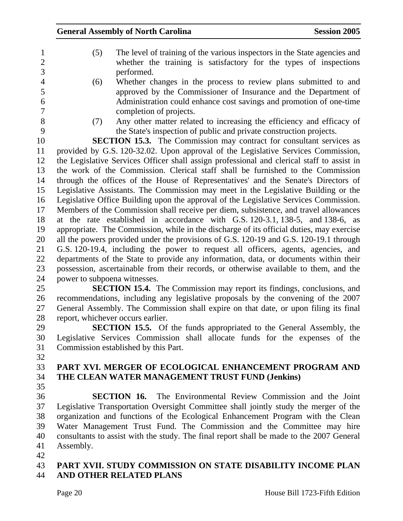|  | The level of training of the various inspectors in the State agencies and |
|--|---------------------------------------------------------------------------|
|  | whether the training is satisfactory for the types of inspections         |
|  | performed.                                                                |
|  | Whether changes in the process to review plans submitted to and           |

- 4 (6) Whether changes in the process to review plans submitted to and 5 approved by the Commissioner of Insurance and the Department of 6 Administration could enhance cost savings and promotion of one-time 7 completion of projects.
- 
- 8 (7) Any other matter related to increasing the efficiency and efficacy of 9 the State's inspection of public and private construction projects.

10 **SECTION 15.3.** The Commission may contract for consultant services as 11 provided by G.S. 120-32.02. Upon approval of the Legislative Services Commission, 12 the Legislative Services Officer shall assign professional and clerical staff to assist in 13 the work of the Commission. Clerical staff shall be furnished to the Commission 14 through the offices of the House of Representatives' and the Senate's Directors of 15 Legislative Assistants. The Commission may meet in the Legislative Building or the 16 Legislative Office Building upon the approval of the Legislative Services Commission. 17 Members of the Commission shall receive per diem, subsistence, and travel allowances 18 at the rate established in accordance with G.S. 120-3.1, 138-5, and 138-6, as 19 appropriate. The Commission, while in the discharge of its official duties, may exercise 20 all the powers provided under the provisions of G.S. 120-19 and G.S. 120-19.1 through 21 G.S. 120-19.4, including the power to request all officers, agents, agencies, and 22 departments of the State to provide any information, data, or documents within their 23 possession, ascertainable from their records, or otherwise available to them, and the 24 power to subpoena witnesses.

- 25 **SECTION 15.4.** The Commission may report its findings, conclusions, and 26 recommendations, including any legislative proposals by the convening of the 2007 27 General Assembly. The Commission shall expire on that date, or upon filing its final 28 report, whichever occurs earlier.
- 29 **SECTION 15.5.** Of the funds appropriated to the General Assembly, the 30 Legislative Services Commission shall allocate funds for the expenses of the 31 Commission established by this Part.
- 32

## 33 **PART XVI. MERGER OF ECOLOGICAL ENHANCEMENT PROGRAM AND**  34 **THE CLEAN WATER MANAGEMENT TRUST FUND (Jenkins)**

35

36 **SECTION 16.** The Environmental Review Commission and the Joint 37 Legislative Transportation Oversight Committee shall jointly study the merger of the 38 organization and functions of the Ecological Enhancement Program with the Clean 39 Water Management Trust Fund. The Commission and the Committee may hire 40 consultants to assist with the study. The final report shall be made to the 2007 General 41 Assembly.

42

### 43 **PART XVII. STUDY COMMISSION ON STATE DISABILITY INCOME PLAN**  44 **AND OTHER RELATED PLANS**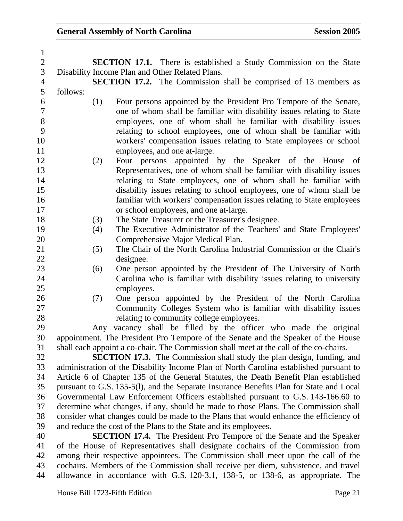| $\mathbf{1}$   |          |     |                                                                                         |
|----------------|----------|-----|-----------------------------------------------------------------------------------------|
| $\overline{2}$ |          |     | <b>SECTION 17.1.</b> There is established a Study Commission on the State               |
| 3              |          |     | Disability Income Plan and Other Related Plans.                                         |
| $\overline{4}$ |          |     | <b>SECTION 17.2.</b> The Commission shall be comprised of 13 members as                 |
| 5              | follows: |     |                                                                                         |
| 6              |          | (1) | Four persons appointed by the President Pro Tempore of the Senate,                      |
| $\overline{7}$ |          |     | one of whom shall be familiar with disability issues relating to State                  |
| $8\,$          |          |     | employees, one of whom shall be familiar with disability issues                         |
| 9              |          |     | relating to school employees, one of whom shall be familiar with                        |
| 10             |          |     | workers' compensation issues relating to State employees or school                      |
| 11             |          |     | employees, and one at-large.                                                            |
| 12             |          | (2) | Four persons appointed by the Speaker of the House of                                   |
| 13             |          |     | Representatives, one of whom shall be familiar with disability issues                   |
| 14             |          |     | relating to State employees, one of whom shall be familiar with                         |
| 15             |          |     | disability issues relating to school employees, one of whom shall be                    |
| 16             |          |     | familiar with workers' compensation issues relating to State employees                  |
| 17             |          |     | or school employees, and one at-large.                                                  |
| 18             |          | (3) | The State Treasurer or the Treasurer's designee.                                        |
| 19             |          | (4) | The Executive Administrator of the Teachers' and State Employees'                       |
| 20             |          |     | Comprehensive Major Medical Plan.                                                       |
| 21             |          | (5) | The Chair of the North Carolina Industrial Commission or the Chair's                    |
| 22             |          |     | designee.                                                                               |
| 23             |          | (6) | One person appointed by the President of The University of North                        |
| 24             |          |     | Carolina who is familiar with disability issues relating to university                  |
| 25             |          |     | employees.                                                                              |
| 26             |          | (7) | One person appointed by the President of the North Carolina                             |
| 27             |          |     | Community Colleges System who is familiar with disability issues                        |
| 28             |          |     | relating to community college employees.                                                |
| 29             |          |     | Any vacancy shall be filled by the officer who made the original                        |
| 30             |          |     | appointment. The President Pro Tempore of the Senate and the Speaker of the House       |
| 31             |          |     | shall each appoint a co-chair. The Commission shall meet at the call of the co-chairs.  |
| 32             |          |     | <b>SECTION 17.3.</b> The Commission shall study the plan design, funding, and           |
| 33             |          |     | administration of the Disability Income Plan of North Carolina established pursuant to  |
| 34             |          |     | Article 6 of Chapter 135 of the General Statutes, the Death Benefit Plan established    |
| 35             |          |     | pursuant to G.S. 135-5(1), and the Separate Insurance Benefits Plan for State and Local |
| 36             |          |     | Governmental Law Enforcement Officers established pursuant to G.S. 143-166.60 to        |
| 37             |          |     | determine what changes, if any, should be made to those Plans. The Commission shall     |
| 38             |          |     | consider what changes could be made to the Plans that would enhance the efficiency of   |
| 39             |          |     | and reduce the cost of the Plans to the State and its employees.                        |
| 40             |          |     | <b>SECTION 17.4.</b> The President Pro Tempore of the Senate and the Speaker            |
| 41             |          |     | of the House of Representatives shall designate cochairs of the Commission from         |
| 42             |          |     | among their respective appointees. The Commission shall meet upon the call of the       |
| 43             |          |     | cochairs. Members of the Commission shall receive per diem, subsistence, and travel     |
| 44             |          |     | allowance in accordance with G.S. 120-3.1, 138-5, or 138-6, as appropriate. The         |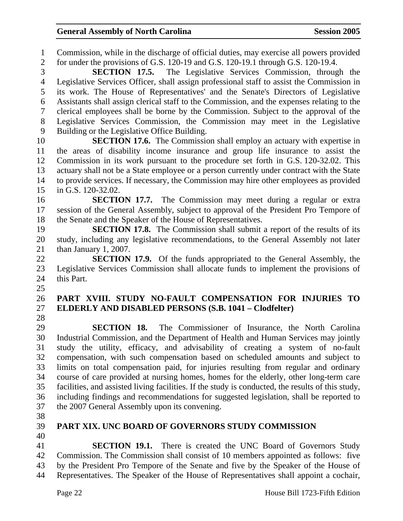1 Commission, while in the discharge of official duties, may exercise all powers provided 2 for under the provisions of G.S. 120-19 and G.S. 120-19.1 through G.S. 120-19.4.

3 **SECTION 17.5.** The Legislative Services Commission, through the 4 Legislative Services Officer, shall assign professional staff to assist the Commission in 5 its work. The House of Representatives' and the Senate's Directors of Legislative 6 Assistants shall assign clerical staff to the Commission, and the expenses relating to the 7 clerical employees shall be borne by the Commission. Subject to the approval of the 8 Legislative Services Commission, the Commission may meet in the Legislative 9 Building or the Legislative Office Building.

10 **SECTION 17.6.** The Commission shall employ an actuary with expertise in 11 the areas of disability income insurance and group life insurance to assist the 12 Commission in its work pursuant to the procedure set forth in G.S. 120-32.02. This 13 actuary shall not be a State employee or a person currently under contract with the State 14 to provide services. If necessary, the Commission may hire other employees as provided 15 in G.S. 120-32.02.

16 **SECTION 17.7.** The Commission may meet during a regular or extra 17 session of the General Assembly, subject to approval of the President Pro Tempore of 18 the Senate and the Speaker of the House of Representatives.

19 **SECTION 17.8.** The Commission shall submit a report of the results of its 20 study, including any legislative recommendations, to the General Assembly not later 21 than January 1, 2007.

22 **SECTION 17.9.** Of the funds appropriated to the General Assembly, the 23 Legislative Services Commission shall allocate funds to implement the provisions of 24 this Part. 25

### 26 **PART XVIII. STUDY NO-FAULT COMPENSATION FOR INJURIES TO**  27 **ELDERLY AND DISABLED PERSONS (S.B. 1041 – Clodfelter)**

28

29 **SECTION 18.** The Commissioner of Insurance, the North Carolina 30 Industrial Commission, and the Department of Health and Human Services may jointly 31 study the utility, efficacy, and advisability of creating a system of no-fault 32 compensation, with such compensation based on scheduled amounts and subject to 33 limits on total compensation paid, for injuries resulting from regular and ordinary 34 course of care provided at nursing homes, homes for the elderly, other long-term care 35 facilities, and assisted living facilities. If the study is conducted, the results of this study, 36 including findings and recommendations for suggested legislation, shall be reported to 37 the 2007 General Assembly upon its convening.

- 38
- 

### 39 **PART XIX. UNC BOARD OF GOVERNORS STUDY COMMISSION**

40

41 **SECTION 19.1.** There is created the UNC Board of Governors Study 42 Commission. The Commission shall consist of 10 members appointed as follows: five 43 by the President Pro Tempore of the Senate and five by the Speaker of the House of 44 Representatives. The Speaker of the House of Representatives shall appoint a cochair,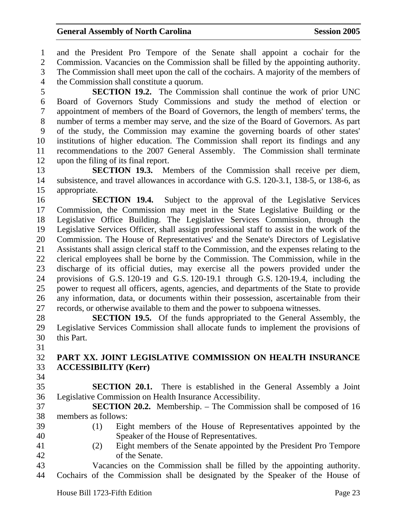1 and the President Pro Tempore of the Senate shall appoint a cochair for the 2 Commission. Vacancies on the Commission shall be filled by the appointing authority. 3 The Commission shall meet upon the call of the cochairs. A majority of the members of 4 the Commission shall constitute a quorum. 5 **SECTION 19.2.** The Commission shall continue the work of prior UNC 6 Board of Governors Study Commissions and study the method of election or 7 appointment of members of the Board of Governors, the length of members' terms, the 8 number of terms a member may serve, and the size of the Board of Governors. As part 9 of the study, the Commission may examine the governing boards of other states' 10 institutions of higher education. The Commission shall report its findings and any 11 recommendations to the 2007 General Assembly. The Commission shall terminate 12 upon the filing of its final report.

13 **SECTION 19.3.** Members of the Commission shall receive per diem, 14 subsistence, and travel allowances in accordance with G.S. 120-3.1, 138-5, or 138-6, as 15 appropriate.

16 **SECTION 19.4.** Subject to the approval of the Legislative Services 17 Commission, the Commission may meet in the State Legislative Building or the 18 Legislative Office Building. The Legislative Services Commission, through the 19 Legislative Services Officer, shall assign professional staff to assist in the work of the 20 Commission. The House of Representatives' and the Senate's Directors of Legislative 21 Assistants shall assign clerical staff to the Commission, and the expenses relating to the 22 clerical employees shall be borne by the Commission. The Commission, while in the 23 discharge of its official duties, may exercise all the powers provided under the 24 provisions of G.S. 120-19 and G.S. 120-19.1 through G.S. 120-19.4, including the 25 power to request all officers, agents, agencies, and departments of the State to provide 26 any information, data, or documents within their possession, ascertainable from their 27 records, or otherwise available to them and the power to subpoena witnesses.

28 **SECTION 19.5.** Of the funds appropriated to the General Assembly, the 29 Legislative Services Commission shall allocate funds to implement the provisions of 30 this Part.

31

32 **PART XX. JOINT LEGISLATIVE COMMISSION ON HEALTH INSURANCE**  33 **ACCESSIBILITY (Kerr)** 

34

35 **SECTION 20.1.** There is established in the General Assembly a Joint 36 Legislative Commission on Health Insurance Accessibility.

37 **SECTION 20.2.** Membership. – The Commission shall be composed of 16 38 members as follows:

- 
- 

39 (1) Eight members of the House of Representatives appointed by the 40 Speaker of the House of Representatives.

41 (2) Eight members of the Senate appointed by the President Pro Tempore 42 of the Senate.

43 Vacancies on the Commission shall be filled by the appointing authority. 44 Cochairs of the Commission shall be designated by the Speaker of the House of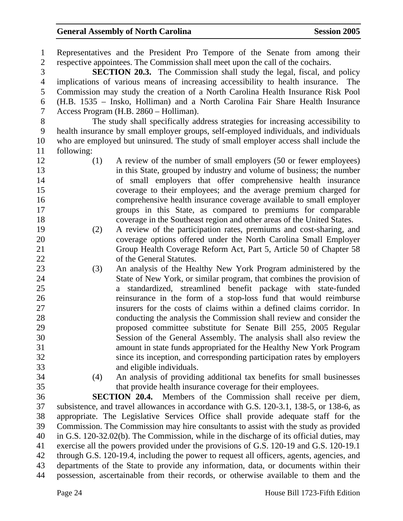1 Representatives and the President Pro Tempore of the Senate from among their 2 respective appointees. The Commission shall meet upon the call of the cochairs.

3 **SECTION 20.3.** The Commission shall study the legal, fiscal, and policy 4 implications of various means of increasing accessibility to health insurance. The 5 Commission may study the creation of a North Carolina Health Insurance Risk Pool 6 (H.B. 1535 – Insko, Holliman) and a North Carolina Fair Share Health Insurance 7 Access Program (H.B. 2860 – Holliman).

8 The study shall specifically address strategies for increasing accessibility to 9 health insurance by small employer groups, self-employed individuals, and individuals 10 who are employed but uninsured. The study of small employer access shall include the 11 following:

- 12 (1) A review of the number of small employers (50 or fewer employees) 13 in this State, grouped by industry and volume of business; the number 14 of small employers that offer comprehensive health insurance 15 coverage to their employees; and the average premium charged for 16 comprehensive health insurance coverage available to small employer 17 groups in this State, as compared to premiums for comparable 18 coverage in the Southeast region and other areas of the United States.
- 19 (2) A review of the participation rates, premiums and cost-sharing, and 20 coverage options offered under the North Carolina Small Employer 21 Group Health Coverage Reform Act, Part 5, Article 50 of Chapter 58 22 of the General Statutes.
- 23 (3) An analysis of the Healthy New York Program administered by the 24 State of New York, or similar program, that combines the provision of 25 a standardized, streamlined benefit package with state-funded 26 reinsurance in the form of a stop-loss fund that would reimburse 27 insurers for the costs of claims within a defined claims corridor. In 28 conducting the analysis the Commission shall review and consider the 29 proposed committee substitute for Senate Bill 255, 2005 Regular 30 Session of the General Assembly. The analysis shall also review the 31 amount in state funds appropriated for the Healthy New York Program 32 since its inception, and corresponding participation rates by employers 33 and eligible individuals.
- 
- 34 (4) An analysis of providing additional tax benefits for small businesses 35 that provide health insurance coverage for their employees.

36 **SECTION 20.4.** Members of the Commission shall receive per diem, 37 subsistence, and travel allowances in accordance with G.S. 120-3.1, 138-5, or 138-6, as 38 appropriate. The Legislative Services Office shall provide adequate staff for the 39 Commission. The Commission may hire consultants to assist with the study as provided 40 in G.S. 120-32.02(b). The Commission, while in the discharge of its official duties, may 41 exercise all the powers provided under the provisions of G.S. 120-19 and G.S. 120-19.1 42 through G.S. 120-19.4, including the power to request all officers, agents, agencies, and 43 departments of the State to provide any information, data, or documents within their 44 possession, ascertainable from their records, or otherwise available to them and the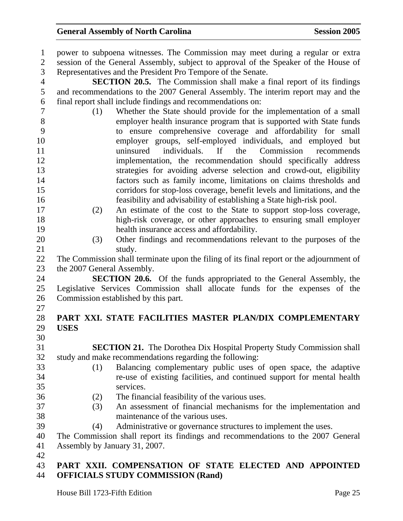| $\mathbf{1}$<br>$\overline{2}$<br>3 | power to subpoena witnesses. The Commission may meet during a regular or extra<br>session of the General Assembly, subject to approval of the Speaker of the House of<br>Representatives and the President Pro Tempore of the Senate. |
|-------------------------------------|---------------------------------------------------------------------------------------------------------------------------------------------------------------------------------------------------------------------------------------|
| $\overline{4}$                      | <b>SECTION 20.5.</b> The Commission shall make a final report of its findings                                                                                                                                                         |
| 5                                   | and recommendations to the 2007 General Assembly. The interim report may and the                                                                                                                                                      |
| 6                                   | final report shall include findings and recommendations on:                                                                                                                                                                           |
| 7                                   | Whether the State should provide for the implementation of a small<br>(1)                                                                                                                                                             |
| $8\,$                               | employer health insurance program that is supported with State funds                                                                                                                                                                  |
| 9                                   | to ensure comprehensive coverage and affordability for small                                                                                                                                                                          |
| 10                                  | employer groups, self-employed individuals, and employed but<br>individuals. If                                                                                                                                                       |
| 11                                  | Commission<br>uninsured<br>the<br>recommends                                                                                                                                                                                          |
| 12<br>13                            | implementation, the recommendation should specifically address                                                                                                                                                                        |
| 14                                  | strategies for avoiding adverse selection and crowd-out, eligibility                                                                                                                                                                  |
| 15                                  | factors such as family income, limitations on claims thresholds and<br>corridors for stop-loss coverage, benefit levels and limitations, and the                                                                                      |
| 16                                  | feasibility and advisability of establishing a State high-risk pool.                                                                                                                                                                  |
| 17                                  | An estimate of the cost to the State to support stop-loss coverage,<br>(2)                                                                                                                                                            |
| 18                                  | high-risk coverage, or other approaches to ensuring small employer                                                                                                                                                                    |
| 19                                  | health insurance access and affordability.                                                                                                                                                                                            |
| 20                                  | Other findings and recommendations relevant to the purposes of the<br>(3)                                                                                                                                                             |
| 21                                  | study.                                                                                                                                                                                                                                |
| 22                                  | The Commission shall terminate upon the filing of its final report or the adjournment of                                                                                                                                              |
| 23                                  | the 2007 General Assembly.                                                                                                                                                                                                            |
| 24                                  | <b>SECTION 20.6.</b> Of the funds appropriated to the General Assembly, the                                                                                                                                                           |
| 25                                  | Legislative Services Commission shall allocate funds for the expenses of the                                                                                                                                                          |
| 26                                  | Commission established by this part.                                                                                                                                                                                                  |
| 27                                  |                                                                                                                                                                                                                                       |
| 28                                  | PART XXI. STATE FACILITIES MASTER PLAN/DIX COMPLEMENTARY                                                                                                                                                                              |
| 29                                  | <b>USES</b>                                                                                                                                                                                                                           |
| 30                                  |                                                                                                                                                                                                                                       |
| 31                                  | <b>SECTION 21.</b> The Dorothea Dix Hospital Property Study Commission shall                                                                                                                                                          |
| 32                                  | study and make recommendations regarding the following:                                                                                                                                                                               |
| 33                                  | Balancing complementary public uses of open space, the adaptive<br>(1)                                                                                                                                                                |
| 34                                  | re-use of existing facilities, and continued support for mental health                                                                                                                                                                |
| 35                                  | services.                                                                                                                                                                                                                             |
| 36                                  | The financial feasibility of the various uses.<br>(2)                                                                                                                                                                                 |
| 37                                  | An assessment of financial mechanisms for the implementation and<br>(3)                                                                                                                                                               |
| 38                                  | maintenance of the various uses.                                                                                                                                                                                                      |
| 39                                  | Administrative or governance structures to implement the uses.<br>(4)                                                                                                                                                                 |
| 40                                  | The Commission shall report its findings and recommendations to the 2007 General                                                                                                                                                      |
| 41                                  | Assembly by January 31, 2007.                                                                                                                                                                                                         |
| 42                                  |                                                                                                                                                                                                                                       |

### 43 **PART XXII. COMPENSATION OF STATE ELECTED AND APPOINTED**  44 **OFFICIALS STUDY COMMISSION (Rand)**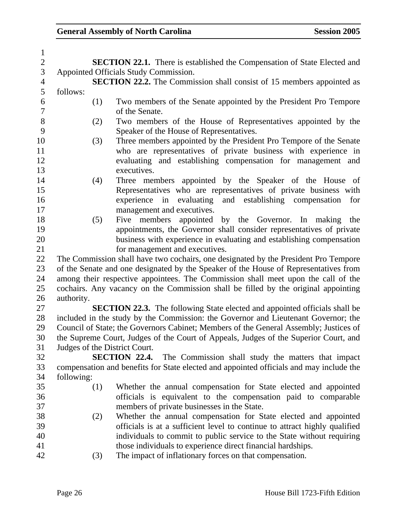| $\mathbf{1}$             |            |     |                                                                                         |
|--------------------------|------------|-----|-----------------------------------------------------------------------------------------|
| $\overline{c}$           |            |     | <b>SECTION 22.1.</b> There is established the Compensation of State Elected and         |
| $\mathfrak{Z}$           |            |     | Appointed Officials Study Commission.                                                   |
| $\overline{\mathcal{A}}$ |            |     | <b>SECTION 22.2.</b> The Commission shall consist of 15 members appointed as            |
| 5                        | follows:   |     |                                                                                         |
| 6                        |            | (1) | Two members of the Senate appointed by the President Pro Tempore                        |
| $\boldsymbol{7}$         |            |     | of the Senate.                                                                          |
| 8                        |            | (2) | Two members of the House of Representatives appointed by the                            |
| 9                        |            |     | Speaker of the House of Representatives.                                                |
| 10                       |            | (3) | Three members appointed by the President Pro Tempore of the Senate                      |
| 11                       |            |     | who are representatives of private business with experience in                          |
| 12                       |            |     | evaluating and establishing compensation for management and                             |
| 13                       |            |     | executives.                                                                             |
| 14                       |            | (4) | Three members appointed by the Speaker of the House of                                  |
| 15                       |            |     | Representatives who are representatives of private business with                        |
| 16                       |            |     | establishing compensation<br>experience<br>in<br>evaluating<br>and<br>for               |
| 17                       |            |     | management and executives.                                                              |
| 18                       |            | (5) | by the Governor. In making<br>Five members appointed<br>the                             |
| 19                       |            |     | appointments, the Governor shall consider representatives of private                    |
| 20                       |            |     | business with experience in evaluating and establishing compensation                    |
| 21                       |            |     | for management and executives.                                                          |
| 22                       |            |     | The Commission shall have two cochairs, one designated by the President Pro Tempore     |
| 23                       |            |     | of the Senate and one designated by the Speaker of the House of Representatives from    |
| 24                       |            |     | among their respective appointees. The Commission shall meet upon the call of the       |
| 25                       |            |     | cochairs. Any vacancy on the Commission shall be filled by the original appointing      |
| 26                       | authority. |     |                                                                                         |
| 27                       |            |     | <b>SECTION 22.3.</b> The following State elected and appointed officials shall be       |
| 28                       |            |     | included in the study by the Commission: the Governor and Lieutenant Governor; the      |
| 29                       |            |     | Council of State; the Governors Cabinet; Members of the General Assembly; Justices of   |
| 30                       |            |     | the Supreme Court, Judges of the Court of Appeals, Judges of the Superior Court, and    |
| 31                       |            |     | Judges of the District Court.                                                           |
| 32                       |            |     | SECTION 22.4.<br>The Commission shall study the matters that impact                     |
| 33                       |            |     | compensation and benefits for State elected and appointed officials and may include the |
| 34                       | following: |     |                                                                                         |
| 35                       |            | (1) | Whether the annual compensation for State elected and appointed                         |
| 36                       |            |     | officials is equivalent to the compensation paid to comparable                          |
| 37                       |            |     | members of private businesses in the State.                                             |
| 38                       |            | (2) | Whether the annual compensation for State elected and appointed                         |
| 39                       |            |     | officials is at a sufficient level to continue to attract highly qualified              |
| 40                       |            |     | individuals to commit to public service to the State without requiring                  |
| 41                       |            |     | those individuals to experience direct financial hardships.                             |
| 42                       |            | (3) | The impact of inflationary forces on that compensation.                                 |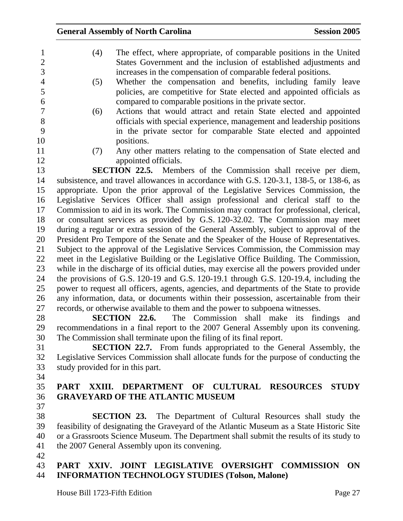| $\mathbf{1}$<br>$\mathbf{2}$ | (4)                                                                                  | The effect, where appropriate, of comparable positions in the United<br>States Government and the inclusion of established adjustments and                                       |  |  |
|------------------------------|--------------------------------------------------------------------------------------|----------------------------------------------------------------------------------------------------------------------------------------------------------------------------------|--|--|
| 3                            |                                                                                      | increases in the compensation of comparable federal positions.                                                                                                                   |  |  |
| $\overline{4}$               | (5)                                                                                  | Whether the compensation and benefits, including family leave                                                                                                                    |  |  |
| 5<br>6                       |                                                                                      | policies, are competitive for State elected and appointed officials as                                                                                                           |  |  |
| 7                            | (6)                                                                                  | compared to comparable positions in the private sector.<br>Actions that would attract and retain State elected and appointed                                                     |  |  |
| 8                            |                                                                                      | officials with special experience, management and leadership positions                                                                                                           |  |  |
| 9                            |                                                                                      | in the private sector for comparable State elected and appointed                                                                                                                 |  |  |
| 10                           |                                                                                      | positions.                                                                                                                                                                       |  |  |
| 11                           | (7)                                                                                  | Any other matters relating to the compensation of State elected and                                                                                                              |  |  |
| 12                           |                                                                                      | appointed officials.                                                                                                                                                             |  |  |
| 13                           |                                                                                      | <b>SECTION 22.5.</b> Members of the Commission shall receive per diem,                                                                                                           |  |  |
| 14                           |                                                                                      | subsistence, and travel allowances in accordance with G.S. 120-3.1, 138-5, or 138-6, as                                                                                          |  |  |
| 15                           |                                                                                      | appropriate. Upon the prior approval of the Legislative Services Commission, the                                                                                                 |  |  |
| 16                           |                                                                                      | Legislative Services Officer shall assign professional and clerical staff to the                                                                                                 |  |  |
| 17                           |                                                                                      | Commission to aid in its work. The Commission may contract for professional, clerical,                                                                                           |  |  |
| 18                           |                                                                                      | or consultant services as provided by G.S. 120-32.02. The Commission may meet                                                                                                    |  |  |
| 19                           |                                                                                      | during a regular or extra session of the General Assembly, subject to approval of the                                                                                            |  |  |
| 20                           | President Pro Tempore of the Senate and the Speaker of the House of Representatives. |                                                                                                                                                                                  |  |  |
| 21                           | Subject to the approval of the Legislative Services Commission, the Commission may   |                                                                                                                                                                                  |  |  |
| 22                           |                                                                                      | meet in the Legislative Building or the Legislative Office Building. The Commission,                                                                                             |  |  |
| 23                           |                                                                                      | while in the discharge of its official duties, may exercise all the powers provided under                                                                                        |  |  |
| 24<br>25                     |                                                                                      | the provisions of G.S. 120-19 and G.S. 120-19.1 through G.S. 120-19.4, including the<br>power to request all officers, agents, agencies, and departments of the State to provide |  |  |
| 26                           |                                                                                      | any information, data, or documents within their possession, ascertainable from their                                                                                            |  |  |
| 27                           |                                                                                      | records, or otherwise available to them and the power to subpoena witnesses.                                                                                                     |  |  |
| 28                           |                                                                                      | The Commission shall make its findings<br>SECTION 22.6.<br>and                                                                                                                   |  |  |
| 29                           |                                                                                      | recommendations in a final report to the 2007 General Assembly upon its convening.                                                                                               |  |  |
| 30                           |                                                                                      | The Commission shall terminate upon the filing of its final report.                                                                                                              |  |  |
| 31                           |                                                                                      | <b>SECTION 22.7.</b> From funds appropriated to the General Assembly, the                                                                                                        |  |  |
| 32                           |                                                                                      | Legislative Services Commission shall allocate funds for the purpose of conducting the                                                                                           |  |  |
| 33                           | study provided for in this part.                                                     |                                                                                                                                                                                  |  |  |
| 34                           |                                                                                      |                                                                                                                                                                                  |  |  |
| 35                           | <b>PART</b><br>XXIII.                                                                | <b>DEPARTMENT</b><br>OF<br><b>CULTURAL RESOURCES</b><br><b>STUDY</b>                                                                                                             |  |  |
| 36                           |                                                                                      | <b>GRAVEYARD OF THE ATLANTIC MUSEUM</b>                                                                                                                                          |  |  |
| 37                           |                                                                                      |                                                                                                                                                                                  |  |  |
| 38                           |                                                                                      | <b>SECTION 23.</b> The Department of Cultural Resources shall study the                                                                                                          |  |  |
| 39                           |                                                                                      | feasibility of designating the Graveyard of the Atlantic Museum as a State Historic Site                                                                                         |  |  |
| 40                           |                                                                                      | or a Grassroots Science Museum. The Department shall submit the results of its study to                                                                                          |  |  |
| 41<br>42                     |                                                                                      | the 2007 General Assembly upon its convening.                                                                                                                                    |  |  |
| $\sqrt{2}$                   |                                                                                      | <b>I BOIGLABIUS AUBROLOUS COMMUNICAL</b>                                                                                                                                         |  |  |

### 43 **PART XXIV. JOINT LEGISLATIVE OVERSIGHT COMMISSION ON**  44 **INFORMATION TECHNOLOGY STUDIES (Tolson, Malone)**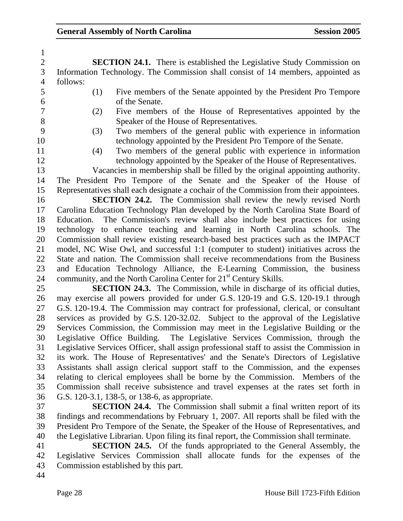2 **SECTION 24.1.** There is established the Legislative Study Commission on 3 Information Technology. The Commission shall consist of 14 members, appointed as 4 follows:

1

- 5 (1) Five members of the Senate appointed by the President Pro Tempore 6 of the Senate.
- 7 (2) Five members of the House of Representatives appointed by the 8 Speaker of the House of Representatives.
- 9 (3) Two members of the general public with experience in information 10 technology appointed by the President Pro Tempore of the Senate.
- 11 (4) Two members of the general public with experience in information 12 technology appointed by the Speaker of the House of Representatives.
- 13 Vacancies in membership shall be filled by the original appointing authority.
- 14 The President Pro Tempore of the Senate and the Speaker of the House of 15 Representatives shall each designate a cochair of the Commission from their appointees.

16 **SECTION 24.2.** The Commission shall review the newly revised North 17 Carolina Education Technology Plan developed by the North Carolina State Board of 18 Education. The Commission's review shall also include best practices for using 19 technology to enhance teaching and learning in North Carolina schools. The 20 Commission shall review existing research-based best practices such as the IMPACT 21 model, NC Wise Owl, and successful 1:1 (computer to student) initiatives across the 22 State and nation. The Commission shall receive recommendations from the Business 23 and Education Technology Alliance, the E-Learning Commission, the business 24 community, and the North Carolina Center for  $21<sup>st</sup>$  Century Skills.

- 25 **SECTION 24.3.** The Commission, while in discharge of its official duties, 26 may exercise all powers provided for under G.S. 120-19 and G.S. 120-19.1 through 27 G.S. 120-19.4. The Commission may contract for professional, clerical, or consultant 28 services as provided by G.S. 120-32.02. Subject to the approval of the Legislative 29 Services Commission, the Commission may meet in the Legislative Building or the 30 Legislative Office Building. The Legislative Services Commission, through the 31 Legislative Services Officer, shall assign professional staff to assist the Commission in 32 its work. The House of Representatives' and the Senate's Directors of Legislative 33 Assistants shall assign clerical support staff to the Commission, and the expenses 34 relating to clerical employees shall be borne by the Commission. Members of the 35 Commission shall receive subsistence and travel expenses at the rates set forth in 36 G.S. 120-3.1, 138-5, or 138-6, as appropriate.
- 37 **SECTION 24.4.** The Commission shall submit a final written report of its 38 findings and recommendations by February 1, 2007. All reports shall be filed with the 39 President Pro Tempore of the Senate, the Speaker of the House of Representatives, and 40 the Legislative Librarian. Upon filing its final report, the Commission shall terminate.
- 41 **SECTION 24.5.** Of the funds appropriated to the General Assembly, the 42 Legislative Services Commission shall allocate funds for the expenses of the 43 Commission established by this part.
- 44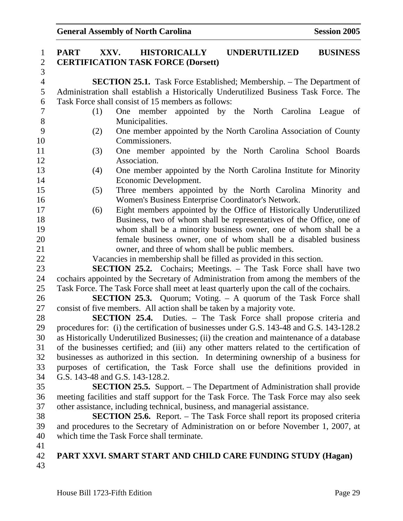| $\mathbf{1}$   | <b>UNDERUTILIZED</b><br>XXV.<br><b>HISTORICALLY</b><br><b>BUSINESS</b><br><b>PART</b>     |      |
|----------------|-------------------------------------------------------------------------------------------|------|
| $\overline{2}$ | <b>CERTIFICATION TASK FORCE (Dorsett)</b>                                                 |      |
| $\overline{3}$ |                                                                                           |      |
| $\overline{4}$ | <b>SECTION 25.1.</b> Task Force Established; Membership. – The Department of              |      |
| 5              | Administration shall establish a Historically Underutilized Business Task Force. The      |      |
| 6              | Task Force shall consist of 15 members as follows:                                        |      |
| $\sqrt{ }$     | One member appointed by the North Carolina League<br>(1)                                  | - of |
| 8              | Municipalities.                                                                           |      |
| 9              | One member appointed by the North Carolina Association of County<br>(2)                   |      |
| 10             | Commissioners.                                                                            |      |
| 11             | One member appointed by the North Carolina School Boards<br>(3)                           |      |
| 12             | Association.                                                                              |      |
| 13             | One member appointed by the North Carolina Institute for Minority<br>(4)                  |      |
| 14             | Economic Development.                                                                     |      |
| 15             | Three members appointed by the North Carolina Minority and<br>(5)                         |      |
| 16             | Women's Business Enterprise Coordinator's Network.                                        |      |
| 17             | Eight members appointed by the Office of Historically Underutilized<br>(6)                |      |
| 18             | Business, two of whom shall be representatives of the Office, one of                      |      |
| 19             | whom shall be a minority business owner, one of whom shall be a                           |      |
| 20             | female business owner, one of whom shall be a disabled business                           |      |
| 21             | owner, and three of whom shall be public members.                                         |      |
| 22             | Vacancies in membership shall be filled as provided in this section.                      |      |
| 23             | <b>SECTION 25.2.</b> Cochairs; Meetings. – The Task Force shall have two                  |      |
| 24             | cochairs appointed by the Secretary of Administration from among the members of the       |      |
| 25             | Task Force. The Task Force shall meet at least quarterly upon the call of the cochairs.   |      |
| 26             | <b>SECTION 25.3.</b> Quorum; Voting. – A quorum of the Task Force shall                   |      |
| 27             | consist of five members. All action shall be taken by a majority vote.                    |      |
| 28             | <b>SECTION 25.4.</b> Duties. – The Task Force shall propose criteria and                  |      |
| 29             | procedures for: (i) the certification of businesses under G.S. 143-48 and G.S. 143-128.2  |      |
| 30             | as Historically Underutilized Businesses; (ii) the creation and maintenance of a database |      |
| 31             | of the businesses certified; and (iii) any other matters related to the certification of  |      |
| 32             | businesses as authorized in this section. In determining ownership of a business for      |      |
| 33             | purposes of certification, the Task Force shall use the definitions provided in           |      |
| 34             | G.S. 143-48 and G.S. 143-128.2.                                                           |      |
| 35             | <b>SECTION 25.5.</b> Support. – The Department of Administration shall provide            |      |
| 36             | meeting facilities and staff support for the Task Force. The Task Force may also seek     |      |
| 37             | other assistance, including technical, business, and managerial assistance.               |      |
| 38             | <b>SECTION 25.6.</b> Report. – The Task Force shall report its proposed criteria          |      |
| 39             | and procedures to the Secretary of Administration on or before November 1, 2007, at       |      |
| 40             | which time the Task Force shall terminate.                                                |      |
| 41             |                                                                                           |      |
| 42             | PART XXVI. SMART START AND CHILD CARE FUNDING STUDY (Hagan)                               |      |
| 43             |                                                                                           |      |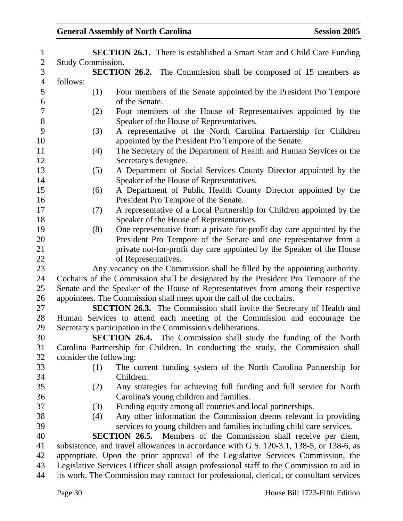| $\mathbf{1}$   | <b>SECTION 26.1.</b> There is established a Smart Start and Child Care Funding           |
|----------------|------------------------------------------------------------------------------------------|
| $\overline{c}$ | Study Commission.                                                                        |
| $\overline{3}$ | <b>SECTION 26.2.</b> The Commission shall be composed of 15 members as                   |
| $\overline{4}$ | follows:                                                                                 |
| 5              | (1)<br>Four members of the Senate appointed by the President Pro Tempore                 |
| 6              | of the Senate.                                                                           |
| $\overline{7}$ | Four members of the House of Representatives appointed by the<br>(2)                     |
| $8\,$          | Speaker of the House of Representatives.                                                 |
| 9              | A representative of the North Carolina Partnership for Children<br>(3)                   |
| 10             | appointed by the President Pro Tempore of the Senate.                                    |
| 11             | The Secretary of the Department of Health and Human Services or the<br>(4)               |
| 12             | Secretary's designee.                                                                    |
| 13             | A Department of Social Services County Director appointed by the<br>(5)                  |
| 14             | Speaker of the House of Representatives.                                                 |
| 15             | A Department of Public Health County Director appointed by the<br>(6)                    |
| 16             | President Pro Tempore of the Senate.                                                     |
| 17             | A representative of a Local Partnership for Children appointed by the<br>(7)             |
| 18             | Speaker of the House of Representatives.                                                 |
| 19             | One representative from a private for-profit day care appointed by the<br>(8)            |
| 20             | President Pro Tempore of the Senate and one representative from a                        |
| 21             | private not-for-profit day care appointed by the Speaker of the House                    |
| 22             | of Representatives.                                                                      |
| 23             | Any vacancy on the Commission shall be filled by the appointing authority.               |
| 24             | Cochairs of the Commission shall be designated by the President Pro Tempore of the       |
| 25             | Senate and the Speaker of the House of Representatives from among their respective       |
| 26             | appointees. The Commission shall meet upon the call of the cochairs.                     |
| 27             | <b>SECTION 26.3.</b> The Commission shall invite the Secretary of Health and             |
| 28             | Human Services to attend each meeting of the Commission and encourage the                |
| 29             | Secretary's participation in the Commission's deliberations.                             |
| 30             | <b>SECTION 26.4.</b> The Commission shall study the funding of the North                 |
| 31             | Carolina Partnership for Children. In conducting the study, the Commission shall         |
| 32             | consider the following:                                                                  |
| 33             | The current funding system of the North Carolina Partnership for<br>(1)                  |
| 34             | Children.                                                                                |
| 35             | Any strategies for achieving full funding and full service for North<br>(2)              |
| 36             | Carolina's young children and families.                                                  |
| 37             | Funding equity among all counties and local partnerships.<br>(3)                         |
| 38             | Any other information the Commission deems relevant in providing<br>(4)                  |
| 39             | services to young children and families including child care services.                   |
| 40             | <b>SECTION 26.5.</b> Members of the Commission shall receive per diem,                   |
| 41             | subsistence, and travel allowances in accordance with G.S. 120-3.1, 138-5, or 138-6, as  |
| 42             | appropriate. Upon the prior approval of the Legislative Services Commission, the         |
| 43             | Legislative Services Officer shall assign professional staff to the Commission to aid in |
| 44             | its work. The Commission may contract for professional, clerical, or consultant services |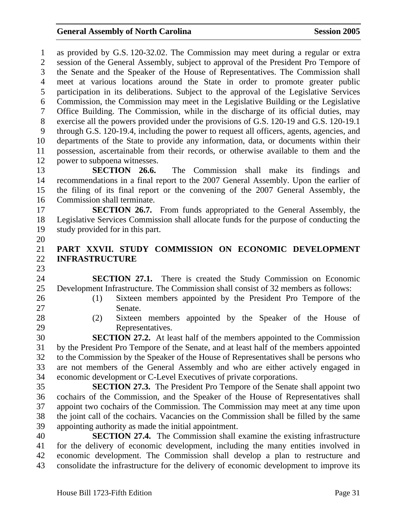1 as provided by G.S. 120-32.02. The Commission may meet during a regular or extra 2 session of the General Assembly, subject to approval of the President Pro Tempore of 3 the Senate and the Speaker of the House of Representatives. The Commission shall 4 meet at various locations around the State in order to promote greater public 5 participation in its deliberations. Subject to the approval of the Legislative Services 6 Commission, the Commission may meet in the Legislative Building or the Legislative 7 Office Building. The Commission, while in the discharge of its official duties, may 8 exercise all the powers provided under the provisions of G.S. 120-19 and G.S. 120-19.1 9 through G.S. 120-19.4, including the power to request all officers, agents, agencies, and 10 departments of the State to provide any information, data, or documents within their 11 possession, ascertainable from their records, or otherwise available to them and the 12 power to subpoena witnesses. 13 **SECTION 26.6.** The Commission shall make its findings and 14 recommendations in a final report to the 2007 General Assembly. Upon the earlier of 15 the filing of its final report or the convening of the 2007 General Assembly, the 16 Commission shall terminate. 17 **SECTION 26.7.** From funds appropriated to the General Assembly, the 18 Legislative Services Commission shall allocate funds for the purpose of conducting the 19 study provided for in this part. 20 21 **PART XXVII. STUDY COMMISSION ON ECONOMIC DEVELOPMENT**  22 **INFRASTRUCTURE**  23 24 **SECTION 27.1.** There is created the Study Commission on Economic 25 Development Infrastructure. The Commission shall consist of 32 members as follows: 26 (1) Sixteen members appointed by the President Pro Tempore of the 27 Senate. 28 (2) Sixteen members appointed by the Speaker of the House of 29 Representatives. 30 **SECTION 27.2.** At least half of the members appointed to the Commission 31 by the President Pro Tempore of the Senate, and at least half of the members appointed 32 to the Commission by the Speaker of the House of Representatives shall be persons who 33 are not members of the General Assembly and who are either actively engaged in 34 economic development or C-Level Executives of private corporations. 35 **SECTION 27.3.** The President Pro Tempore of the Senate shall appoint two 36 cochairs of the Commission, and the Speaker of the House of Representatives shall 37 appoint two cochairs of the Commission. The Commission may meet at any time upon 38 the joint call of the cochairs. Vacancies on the Commission shall be filled by the same 39 appointing authority as made the initial appointment. 40 **SECTION 27.4.** The Commission shall examine the existing infrastructure 41 for the delivery of economic development, including the many entities involved in

42 economic development. The Commission shall develop a plan to restructure and 43 consolidate the infrastructure for the delivery of economic development to improve its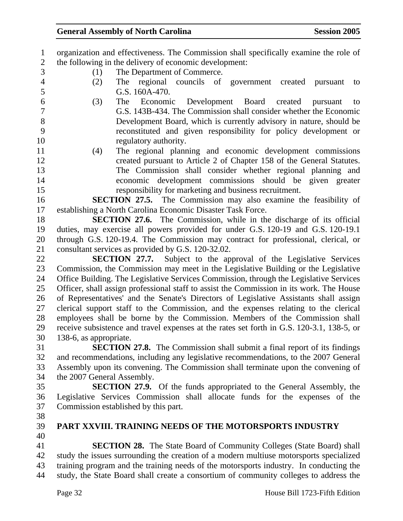| $\mathbf{1}$             | organization and effectiveness. The Commission shall specifically examine the role of     |
|--------------------------|-------------------------------------------------------------------------------------------|
| $\overline{2}$           | the following in the delivery of economic development:                                    |
| 3                        | The Department of Commerce.<br>(1)                                                        |
| $\overline{\mathcal{A}}$ | The regional councils of government created pursuant<br>(2)<br>to                         |
| 5                        | G.S. 160A-470.                                                                            |
| 6                        | (3)<br>The Economic Development Board created<br>pursuant<br>to                           |
| $\overline{7}$           | G.S. 143B-434. The Commission shall consider whether the Economic                         |
| 8                        | Development Board, which is currently advisory in nature, should be                       |
| 9                        | reconstituted and given responsibility for policy development or                          |
| 10                       | regulatory authority.                                                                     |
| 11                       | The regional planning and economic development commissions<br>(4)                         |
| 12                       | created pursuant to Article 2 of Chapter 158 of the General Statutes.                     |
| 13                       | The Commission shall consider whether regional planning and                               |
| 14                       | economic development commissions should be given greater                                  |
| 15                       | responsibility for marketing and business recruitment.                                    |
| 16                       | <b>SECTION 27.5.</b> The Commission may also examine the feasibility of                   |
| 17                       | establishing a North Carolina Economic Disaster Task Force.                               |
| 18                       | SECTION 27.6. The Commission, while in the discharge of its official                      |
| 19                       | duties, may exercise all powers provided for under G.S. 120-19 and G.S. 120-19.1          |
| 20                       | through G.S. 120-19.4. The Commission may contract for professional, clerical, or         |
| 21                       | consultant services as provided by G.S. 120-32.02.                                        |
| 22                       | <b>SECTION 27.7.</b> Subject to the approval of the Legislative Services                  |
| 23                       | Commission, the Commission may meet in the Legislative Building or the Legislative        |
| 24                       | Office Building. The Legislative Services Commission, through the Legislative Services    |
| 25                       | Officer, shall assign professional staff to assist the Commission in its work. The House  |
| 26                       | of Representatives' and the Senate's Directors of Legislative Assistants shall assign     |
| 27                       | clerical support staff to the Commission, and the expenses relating to the clerical       |
| 28                       | employees shall be borne by the Commission. Members of the Commission shall               |
| 29                       | receive subsistence and travel expenses at the rates set forth in G.S. 120-3.1, 138-5, or |
| 30                       | 138-6, as appropriate.                                                                    |
| 31                       | <b>SECTION 27.8.</b> The Commission shall submit a final report of its findings           |
| 32                       | and recommendations, including any legislative recommendations, to the 2007 General       |
| 33                       | Assembly upon its convening. The Commission shall terminate upon the convening of         |
| 34                       | the 2007 General Assembly.                                                                |
| 35                       | <b>SECTION 27.9.</b> Of the funds appropriated to the General Assembly, the               |
| 36                       | Legislative Services Commission shall allocate funds for the expenses of the              |
| 37                       | Commission established by this part.                                                      |
| 38                       |                                                                                           |
| 39                       | PART XXVIII. TRAINING NEEDS OF THE MOTORSPORTS INDUSTRY                                   |
| 40                       |                                                                                           |
| 41                       | <b>SECTION 28.</b> The State Board of Community Colleges (State Board) shall              |
| 42                       | study the issues surrounding the creation of a modern multiuse motorsports specialized    |
| 43                       | training program and the training needs of the motorsports industry. In conducting the    |
| 44                       | study, the State Board shall create a consortium of community colleges to address the     |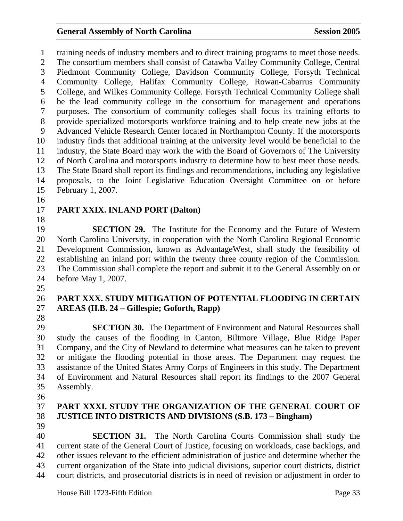1 training needs of industry members and to direct training programs to meet those needs. 2 The consortium members shall consist of Catawba Valley Community College, Central 3 Piedmont Community College, Davidson Community College, Forsyth Technical 4 Community College, Halifax Community College, Rowan-Cabarrus Community 5 College, and Wilkes Community College. Forsyth Technical Community College shall 6 be the lead community college in the consortium for management and operations 7 purposes. The consortium of community colleges shall focus its training efforts to 8 provide specialized motorsports workforce training and to help create new jobs at the 9 Advanced Vehicle Research Center located in Northampton County. If the motorsports 10 industry finds that additional training at the university level would be beneficial to the 11 industry, the State Board may work the with the Board of Governors of The University 12 of North Carolina and motorsports industry to determine how to best meet those needs. 13 The State Board shall report its findings and recommendations, including any legislative 14 proposals, to the Joint Legislative Education Oversight Committee on or before 15 February 1, 2007.

16

## 17 **PART XXIX. INLAND PORT (Dalton)**

18

19 **SECTION 29.** The Institute for the Economy and the Future of Western 20 North Carolina University, in cooperation with the North Carolina Regional Economic 21 Development Commission, known as AdvantageWest, shall study the feasibility of 22 establishing an inland port within the twenty three county region of the Commission. 23 The Commission shall complete the report and submit it to the General Assembly on or 24 before May 1, 2007.

25

### 26 **PART XXX. STUDY MITIGATION OF POTENTIAL FLOODING IN CERTAIN**  27 **AREAS (H.B. 24 – Gillespie; Goforth, Rapp)**

28

29 **SECTION 30.** The Department of Environment and Natural Resources shall 30 study the causes of the flooding in Canton, Biltmore Village, Blue Ridge Paper 31 Company, and the City of Newland to determine what measures can be taken to prevent 32 or mitigate the flooding potential in those areas. The Department may request the 33 assistance of the United States Army Corps of Engineers in this study. The Department 34 of Environment and Natural Resources shall report its findings to the 2007 General 35 Assembly.

- 36
- 

## 37 **PART XXXI. STUDY THE ORGANIZATION OF THE GENERAL COURT OF**  38 **JUSTICE INTO DISTRICTS AND DIVISIONS (S.B. 173 – Bingham)**

39 40 **SECTION 31.** The North Carolina Courts Commission shall study the 41 current state of the General Court of Justice, focusing on workloads, case backlogs, and 42 other issues relevant to the efficient administration of justice and determine whether the 43 current organization of the State into judicial divisions, superior court districts, district 44 court districts, and prosecutorial districts is in need of revision or adjustment in order to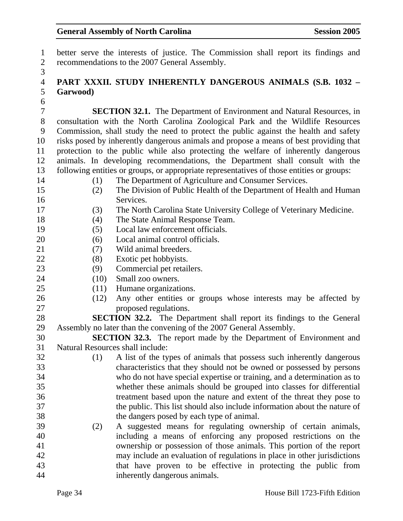1 better serve the interests of justice. The Commission shall report its findings and 2 recommendations to the 2007 General Assembly.

## 4 **PART XXXII. STUDY INHERENTLY DANGEROUS ANIMALS (S.B. 1032 –**  5 **Garwood)**

6

3

7 **SECTION 32.1.** The Department of Environment and Natural Resources, in 8 consultation with the North Carolina Zoological Park and the Wildlife Resources 9 Commission, shall study the need to protect the public against the health and safety 10 risks posed by inherently dangerous animals and propose a means of best providing that 11 protection to the public while also protecting the welfare of inherently dangerous 12 animals. In developing recommendations, the Department shall consult with the 13 following entities or groups, or appropriate representatives of those entities or groups:

- 14 (1) The Department of Agriculture and Consumer Services.
- 
- 15 (2) The Division of Public Health of the Department of Health and Human
- 16 Services.
- 17 (3) The North Carolina State University College of Veterinary Medicine.
- 18 (4) The State Animal Response Team.
- 19 (5) Local law enforcement officials.
- 20 (6) Local animal control officials.
- 21 (7) Wild animal breeders.
- 22 (8) Exotic pet hobbyists.
- 23 (9) Commercial pet retailers.
- 24 (10) Small zoo owners.
- 25 (11) Humane organizations.
- 26 (12) Any other entities or groups whose interests may be affected by 27 proposed regulations.

28 **SECTION 32.2.** The Department shall report its findings to the General 29 Assembly no later than the convening of the 2007 General Assembly.

30 **SECTION 32.3.** The report made by the Department of Environment and 31 Natural Resources shall include:

32 (1) A list of the types of animals that possess such inherently dangerous 33 characteristics that they should not be owned or possessed by persons 34 who do not have special expertise or training, and a determination as to 35 whether these animals should be grouped into classes for differential 36 treatment based upon the nature and extent of the threat they pose to 37 the public. This list should also include information about the nature of 38 the dangers posed by each type of animal.

39 (2) A suggested means for regulating ownership of certain animals, 40 including a means of enforcing any proposed restrictions on the 41 ownership or possession of those animals. This portion of the report 42 may include an evaluation of regulations in place in other jurisdictions 43 that have proven to be effective in protecting the public from 44 inherently dangerous animals.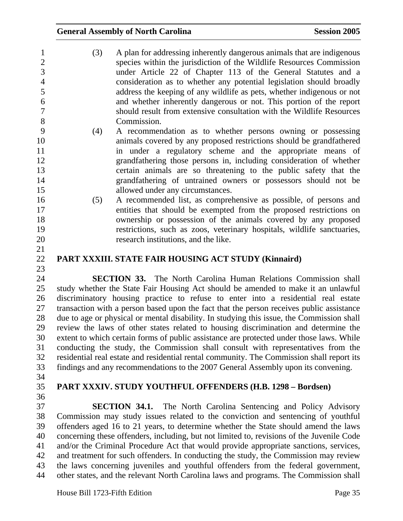| $\mathbf{1}$        | (3) | A plan for addressing inherently dangerous animals that are indigenous                    |
|---------------------|-----|-------------------------------------------------------------------------------------------|
| $\overline{2}$<br>3 |     | species within the jurisdiction of the Wildlife Resources Commission                      |
|                     |     | under Article 22 of Chapter 113 of the General Statutes and a                             |
| $\overline{4}$      |     | consideration as to whether any potential legislation should broadly                      |
| 5                   |     | address the keeping of any wildlife as pets, whether indigenous or not                    |
| 6                   |     | and whether inherently dangerous or not. This portion of the report                       |
| $\overline{7}$<br>8 |     | should result from extensive consultation with the Wildlife Resources                     |
|                     |     | Commission.                                                                               |
| 9                   | (4) | A recommendation as to whether persons owning or possessing                               |
| 10                  |     | animals covered by any proposed restrictions should be grandfathered                      |
| 11                  |     | in under a regulatory scheme and the appropriate means of                                 |
| 12                  |     | grandfathering those persons in, including consideration of whether                       |
| 13                  |     | certain animals are so threatening to the public safety that the                          |
| 14                  |     | grandfathering of untrained owners or possessors should not be                            |
| 15                  |     | allowed under any circumstances.                                                          |
| 16                  | (5) | A recommended list, as comprehensive as possible, of persons and                          |
| 17                  |     | entities that should be exempted from the proposed restrictions on                        |
| 18                  |     | ownership or possession of the animals covered by any proposed                            |
| 19                  |     | restrictions, such as zoos, veterinary hospitals, wildlife sanctuaries,                   |
| 20                  |     | research institutions, and the like.                                                      |
| 21                  |     |                                                                                           |
| 22                  |     | PART XXXIII. STATE FAIR HOUSING ACT STUDY (Kinnaird)                                      |
| 23                  |     |                                                                                           |
| 24                  |     | <b>SECTION 33.</b> The North Carolina Human Relations Commission shall                    |
| 25                  |     | study whether the State Fair Housing Act should be amended to make it an unlawful         |
| 26                  |     | discriminatory housing practice to refuse to enter into a residential real estate         |
| 27                  |     | transaction with a person based upon the fact that the person receives public assistance  |
| 28                  |     | due to age or physical or mental disability. In studying this issue, the Commission shall |
| 29                  |     | review the laws of other states related to housing discrimination and determine the       |

30 extent to which certain forms of public assistance are protected under those laws. While 31 conducting the study, the Commission shall consult with representatives from the 32 residential real estate and residential rental community. The Commission shall report its 33 findings and any recommendations to the 2007 General Assembly upon its convening.

- 34
- 
- 36

35 **PART XXXIV. STUDY YOUTHFUL OFFENDERS (H.B. 1298 – Bordsen)** 

37 **SECTION 34.1.** The North Carolina Sentencing and Policy Advisory 38 Commission may study issues related to the conviction and sentencing of youthful 39 offenders aged 16 to 21 years, to determine whether the State should amend the laws 40 concerning these offenders, including, but not limited to, revisions of the Juvenile Code 41 and/or the Criminal Procedure Act that would provide appropriate sanctions, services, 42 and treatment for such offenders. In conducting the study, the Commission may review 43 the laws concerning juveniles and youthful offenders from the federal government, 44 other states, and the relevant North Carolina laws and programs. The Commission shall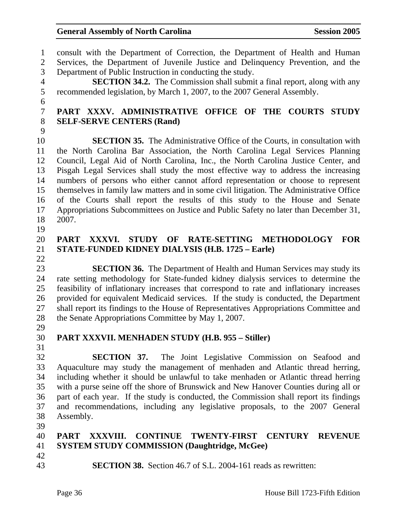1 consult with the Department of Correction, the Department of Health and Human 2 Services, the Department of Juvenile Justice and Delinquency Prevention, and the 3 Department of Public Instruction in conducting the study. 4 **SECTION 34.2.** The Commission shall submit a final report, along with any 5 recommended legislation, by March 1, 2007, to the 2007 General Assembly. 6 7 **PART XXXV. ADMINISTRATIVE OFFICE OF THE COURTS STUDY**  8 **SELF-SERVE CENTERS (Rand)**  9 10 **SECTION 35.** The Administrative Office of the Courts, in consultation with 11 the North Carolina Bar Association, the North Carolina Legal Services Planning 12 Council, Legal Aid of North Carolina, Inc., the North Carolina Justice Center, and 13 Pisgah Legal Services shall study the most effective way to address the increasing 14 numbers of persons who either cannot afford representation or choose to represent 15 themselves in family law matters and in some civil litigation. The Administrative Office 16 of the Courts shall report the results of this study to the House and Senate 17 Appropriations Subcommittees on Justice and Public Safety no later than December 31, 18 2007. 19 20 **PART XXXVI. STUDY OF RATE-SETTING METHODOLOGY FOR**  21 **STATE-FUNDED KIDNEY DIALYSIS (H.B. 1725 – Earle)**  22 23 **SECTION 36.** The Department of Health and Human Services may study its 24 rate setting methodology for State-funded kidney dialysis services to determine the 25 feasibility of inflationary increases that correspond to rate and inflationary increases 26 provided for equivalent Medicaid services. If the study is conducted, the Department 27 shall report its findings to the House of Representatives Appropriations Committee and 28 the Senate Appropriations Committee by May 1, 2007. 29 30 **PART XXXVII. MENHADEN STUDY (H.B. 955 – Stiller)**  31 32 **SECTION 37.** The Joint Legislative Commission on Seafood and 33 Aquaculture may study the management of menhaden and Atlantic thread herring, 34 including whether it should be unlawful to take menhaden or Atlantic thread herring 35 with a purse seine off the shore of Brunswick and New Hanover Counties during all or 36 part of each year. If the study is conducted, the Commission shall report its findings 37 and recommendations, including any legislative proposals, to the 2007 General 38 Assembly. 39 40 **PART XXXVIII. CONTINUE TWENTY-FIRST CENTURY REVENUE**  41 **SYSTEM STUDY COMMISSION (Daughtridge, McGee)**  42 43 **SECTION 38.** Section 46.7 of S.L. 2004-161 reads as rewritten: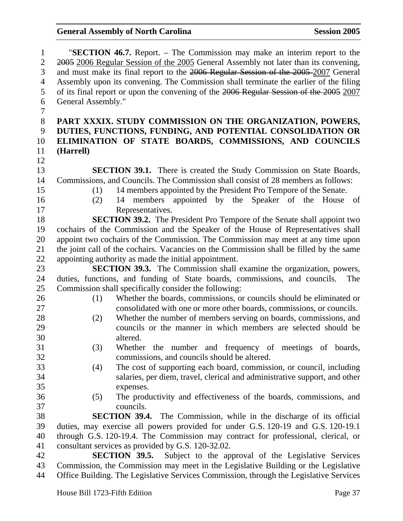| $\mathbf{1}$   | "SECTION 46.7. Report. – The Commission may make an interim report to the               |
|----------------|-----------------------------------------------------------------------------------------|
| $\overline{2}$ | 2005 2006 Regular Session of the 2005 General Assembly not later than its convening,    |
| 3              | and must make its final report to the 2006 Regular Session of the 2005-2007 General     |
| $\overline{4}$ | Assembly upon its convening. The Commission shall terminate the earlier of the filing   |
| 5              | of its final report or upon the convening of the 2006 Regular Session of the 2005 2007  |
| 6              | General Assembly."                                                                      |
| 7              |                                                                                         |
| $8\,$          | PART XXXIX. STUDY COMMISSION ON THE ORGANIZATION, POWERS,                               |
| 9              | DUTIES, FUNCTIONS, FUNDING, AND POTENTIAL CONSOLIDATION OR                              |
| 10             | ELIMINATION OF STATE BOARDS, COMMISSIONS, AND COUNCILS                                  |
| 11             | (Harrell)                                                                               |
| 12             |                                                                                         |
| 13             | <b>SECTION 39.1.</b> There is created the Study Commission on State Boards,             |
| 14             | Commissions, and Councils. The Commission shall consist of 28 members as follows:       |
| 15             | 14 members appointed by the President Pro Tempore of the Senate.<br>(1)                 |
| 16             | members appointed by the Speaker of the House<br>(2)<br>14<br>of                        |
| 17             | Representatives.                                                                        |
| 18             | <b>SECTION 39.2.</b> The President Pro Tempore of the Senate shall appoint two          |
| 19             | cochairs of the Commission and the Speaker of the House of Representatives shall        |
| 20             | appoint two cochairs of the Commission. The Commission may meet at any time upon        |
| 21             | the joint call of the cochairs. Vacancies on the Commission shall be filled by the same |
| 22             | appointing authority as made the initial appointment.                                   |
| 23             | <b>SECTION 39.3.</b> The Commission shall examine the organization, powers,             |
| 24             | duties, functions, and funding of State boards, commissions, and councils.<br>The       |
| 25             | Commission shall specifically consider the following:                                   |
| 26             | Whether the boards, commissions, or councils should be eliminated or<br>(1)             |
| 27             | consolidated with one or more other boards, commissions, or councils.                   |
| 28             | Whether the number of members serving on boards, commissions, and<br>(2)                |
| 29             | councils or the manner in which members are selected should be                          |
| 30             | altered.                                                                                |
| 31             | (3)<br>Whether the number and frequency of meetings of boards,                          |
| 32             | commissions, and councils should be altered.                                            |
| 33             | The cost of supporting each board, commission, or council, including<br>(4)             |
| 34             | salaries, per diem, travel, clerical and administrative support, and other              |
| 35             | expenses.                                                                               |
| 36             | The productivity and effectiveness of the boards, commissions, and<br>(5)               |
| 37             | councils.                                                                               |
| 38             | <b>SECTION 39.4.</b> The Commission, while in the discharge of its official             |
| 39             | duties, may exercise all powers provided for under G.S. 120-19 and G.S. 120-19.1        |
| 40             | through G.S. 120-19.4. The Commission may contract for professional, clerical, or       |
| 41             | consultant services as provided by G.S. 120-32.02.                                      |
| 42             | <b>SECTION 39.5.</b> Subject to the approval of the Legislative Services                |
| 43             | Commission, the Commission may meet in the Legislative Building or the Legislative      |
| 44             | Office Building. The Legislative Services Commission, through the Legislative Services  |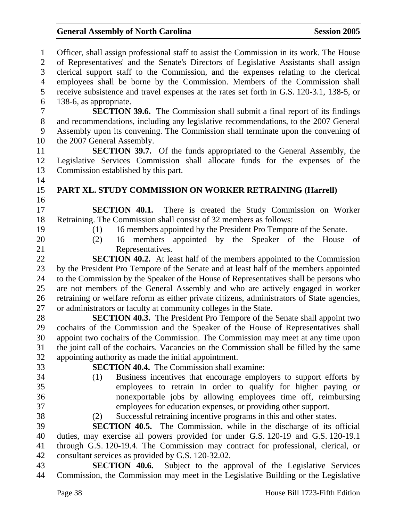| $\mathbf{1}$<br>$\overline{2}$ | Officer, shall assign professional staff to assist the Commission in its work. The House<br>of Representatives' and the Senate's Directors of Legislative Assistants shall assign |
|--------------------------------|-----------------------------------------------------------------------------------------------------------------------------------------------------------------------------------|
| 3                              | clerical support staff to the Commission, and the expenses relating to the clerical                                                                                               |
| $\overline{4}$                 | employees shall be borne by the Commission. Members of the Commission shall                                                                                                       |
| 5                              | receive subsistence and travel expenses at the rates set forth in G.S. 120-3.1, 138-5, or                                                                                         |
| 6                              | 138-6, as appropriate.                                                                                                                                                            |
| $\overline{7}$                 | <b>SECTION 39.6.</b> The Commission shall submit a final report of its findings                                                                                                   |
| $8\,$                          | and recommendations, including any legislative recommendations, to the 2007 General                                                                                               |
| 9                              | Assembly upon its convening. The Commission shall terminate upon the convening of                                                                                                 |
| 10                             | the 2007 General Assembly.                                                                                                                                                        |
| 11                             | <b>SECTION 39.7.</b> Of the funds appropriated to the General Assembly, the                                                                                                       |
| 12                             | Legislative Services Commission shall allocate funds for the expenses of the                                                                                                      |
| 13                             | Commission established by this part.                                                                                                                                              |
| 14                             |                                                                                                                                                                                   |
| 15                             | PART XL. STUDY COMMISSION ON WORKER RETRAINING (Harrell)                                                                                                                          |
| 16                             |                                                                                                                                                                                   |
| 17                             | <b>SECTION 40.1.</b> There is created the Study Commission on Worker                                                                                                              |
| 18                             | Retraining. The Commission shall consist of 32 members as follows:                                                                                                                |
| 19                             | 16 members appointed by the President Pro Tempore of the Senate.<br>(1)                                                                                                           |
| 20                             | 16 members appointed by the Speaker of the House<br>(2)<br>of                                                                                                                     |
| 21                             | Representatives.                                                                                                                                                                  |
| 22                             | <b>SECTION 40.2.</b> At least half of the members appointed to the Commission                                                                                                     |
| 23                             | by the President Pro Tempore of the Senate and at least half of the members appointed                                                                                             |
| 24                             | to the Commission by the Speaker of the House of Representatives shall be persons who                                                                                             |
| 25                             | are not members of the General Assembly and who are actively engaged in worker                                                                                                    |
| 26                             | retraining or welfare reform as either private citizens, administrators of State agencies,                                                                                        |
| 27                             | or administrators or faculty at community colleges in the State.                                                                                                                  |
| 28                             | <b>SECTION 40.3.</b> The President Pro Tempore of the Senate shall appoint two                                                                                                    |
| 29                             | cochairs of the Commission and the Speaker of the House of Representatives shall                                                                                                  |
| 30                             | appoint two cochairs of the Commission. The Commission may meet at any time upon                                                                                                  |
| 31                             | the joint call of the cochairs. Vacancies on the Commission shall be filled by the same                                                                                           |
| 32                             | appointing authority as made the initial appointment.                                                                                                                             |
| 33                             | <b>SECTION 40.4.</b> The Commission shall examine:                                                                                                                                |
| 34                             | Business incentives that encourage employers to support efforts by<br>(1)                                                                                                         |
| 35                             | employees to retrain in order to qualify for higher paying or                                                                                                                     |
| 36                             | nonexportable jobs by allowing employees time off, reimbursing                                                                                                                    |
| 37                             | employees for education expenses, or providing other support.                                                                                                                     |
| 38                             | Successful retraining incentive programs in this and other states.<br>(2)                                                                                                         |
| 39                             | <b>SECTION 40.5.</b> The Commission, while in the discharge of its official                                                                                                       |
| 40                             | duties, may exercise all powers provided for under G.S. 120-19 and G.S. 120-19.1                                                                                                  |
| 41                             | through G.S. 120-19.4. The Commission may contract for professional, clerical, or                                                                                                 |
| 42                             | consultant services as provided by G.S. 120-32.02.                                                                                                                                |
| 43                             | SECTION 40.6. Subject to the approval of the Legislative Services                                                                                                                 |
| 44                             | Commission, the Commission may meet in the Legislative Building or the Legislative                                                                                                |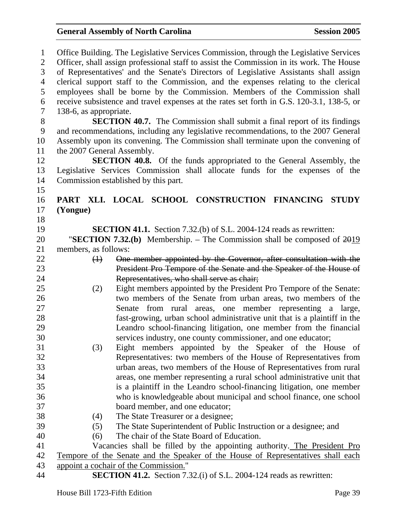| $\mathbf{1}$     | Office Building. The Legislative Services Commission, through the Legislative Services    |  |  |
|------------------|-------------------------------------------------------------------------------------------|--|--|
| $\overline{2}$   | Officer, shall assign professional staff to assist the Commission in its work. The House  |  |  |
| 3                | of Representatives' and the Senate's Directors of Legislative Assistants shall assign     |  |  |
| $\overline{4}$   | clerical support staff to the Commission, and the expenses relating to the clerical       |  |  |
| 5                | employees shall be borne by the Commission. Members of the Commission shall               |  |  |
| 6                | receive subsistence and travel expenses at the rates set forth in G.S. 120-3.1, 138-5, or |  |  |
| $\overline{7}$   | 138-6, as appropriate.                                                                    |  |  |
| 8                | <b>SECTION 40.7.</b> The Commission shall submit a final report of its findings           |  |  |
| $\boldsymbol{9}$ | and recommendations, including any legislative recommendations, to the 2007 General       |  |  |
| 10               | Assembly upon its convening. The Commission shall terminate upon the convening of         |  |  |
| 11               | the 2007 General Assembly.                                                                |  |  |
| 12               | SECTION 40.8. Of the funds appropriated to the General Assembly, the                      |  |  |
| 13               | Legislative Services Commission shall allocate funds for the expenses of the              |  |  |
| 14               | Commission established by this part.                                                      |  |  |
| 15               |                                                                                           |  |  |
| 16               | PART XLI. LOCAL SCHOOL CONSTRUCTION FINANCING STUDY                                       |  |  |
| 17               | (Yongue)                                                                                  |  |  |
| 18               |                                                                                           |  |  |
| 19               | <b>SECTION 41.1.</b> Section 7.32.(b) of S.L. 2004-124 reads as rewritten:                |  |  |
| 20               | "SECTION 7.32.(b) Membership. – The Commission shall be composed of $2019$                |  |  |
| 21               | members, as follows:                                                                      |  |  |
| 22               | One member appointed by the Governor, after consultation with the<br>$\bigoplus$          |  |  |
| 23               | President Pro Tempore of the Senate and the Speaker of the House of                       |  |  |
| 24               | Representatives, who shall serve as chair;                                                |  |  |
| 25               | Eight members appointed by the President Pro Tempore of the Senate:<br>(2)                |  |  |
| 26               | two members of the Senate from urban areas, two members of the                            |  |  |
| 27               | from rural areas, one member representing a large,<br>Senate                              |  |  |
| 28               | fast-growing, urban school administrative unit that is a plaintiff in the                 |  |  |
| 29               | Leandro school-financing litigation, one member from the financial                        |  |  |
| 30               | services industry, one county commissioner, and one educator;                             |  |  |
| 31               | (3)<br>Eight members appointed by the Speaker of the House of                             |  |  |
| 32               | Representatives: two members of the House of Representatives from                         |  |  |
| 33               | urban areas, two members of the House of Representatives from rural                       |  |  |
| 34               | areas, one member representing a rural school administrative unit that                    |  |  |
| 35               | is a plaintiff in the Leandro school-financing litigation, one member                     |  |  |
| 36               | who is knowledgeable about municipal and school finance, one school                       |  |  |
| 37               | board member, and one educator;                                                           |  |  |
| 38               | The State Treasurer or a designee;<br>(4)                                                 |  |  |
| 39               | The State Superintendent of Public Instruction or a designee; and<br>(5)                  |  |  |
| 40               | The chair of the State Board of Education.<br>(6)                                         |  |  |
| 41               | Vacancies shall be filled by the appointing authority. The President Pro                  |  |  |
| 42               | Tempore of the Senate and the Speaker of the House of Representatives shall each          |  |  |
| 43               | appoint a cochair of the Commission."                                                     |  |  |
| 44               | <b>SECTION 41.2.</b> Section 7.32.(i) of S.L. 2004-124 reads as rewritten:                |  |  |
|                  |                                                                                           |  |  |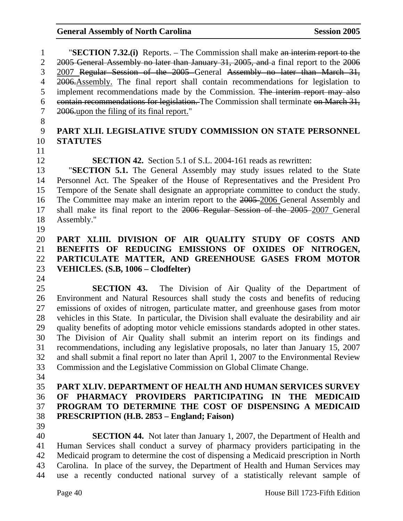1 "**SECTION 7.32.(i)** Reports. – The Commission shall make an interim report to the 2 2005 General Assembly no later than January 31, 2005, and a final report to the 2006 3 2007 Regular Session of the 2005 General Assembly no later than March 31, 4 2006. Assembly. The final report shall contain recommendations for legislation to 5 implement recommendations made by the Commission. The interim report may also 6 contain recommendations for legislation. The Commission shall terminate on March 31, 7 2006.upon the filing of its final report."

8

## 9 **PART XLII. LEGISLATIVE STUDY COMMISSION ON STATE PERSONNEL**  10 **STATUTES**

11

12 **SECTION 42.** Section 5.1 of S.L. 2004-161 reads as rewritten:

13 "**SECTION 5.1.** The General Assembly may study issues related to the State 14 Personnel Act. The Speaker of the House of Representatives and the President Pro 15 Tempore of the Senate shall designate an appropriate committee to conduct the study. 16 The Committee may make an interim report to the 2005 2006 General Assembly and 17 shall make its final report to the 2006 Regular Session of the 2005 2007 General 18 Assembly."

19

#### 20 **PART XLIII. DIVISION OF AIR QUALITY STUDY OF COSTS AND**  21 **BENEFITS OF REDUCING EMISSIONS OF OXIDES OF NITROGEN,**  22 **PARTICULATE MATTER, AND GREENHOUSE GASES FROM MOTOR**  23 **VEHICLES. (S.B, 1006 – Clodfelter)**  24

25 **SECTION 43.** The Division of Air Quality of the Department of 26 Environment and Natural Resources shall study the costs and benefits of reducing 27 emissions of oxides of nitrogen, particulate matter, and greenhouse gases from motor 28 vehicles in this State. In particular, the Division shall evaluate the desirability and air 29 quality benefits of adopting motor vehicle emissions standards adopted in other states. 30 The Division of Air Quality shall submit an interim report on its findings and 31 recommendations, including any legislative proposals, no later than January 15, 2007 32 and shall submit a final report no later than April 1, 2007 to the Environmental Review 33 Commission and the Legislative Commission on Global Climate Change.

34

### 35 **PART XLIV. DEPARTMENT OF HEALTH AND HUMAN SERVICES SURVEY**  36 **OF PHARMACY PROVIDERS PARTICIPATING IN THE MEDICAID**  37 **PROGRAM TO DETERMINE THE COST OF DISPENSING A MEDICAID**  38 **PRESCRIPTION (H.B. 2853 – England; Faison)**

39

40 **SECTION 44.** Not later than January 1, 2007, the Department of Health and 41 Human Services shall conduct a survey of pharmacy providers participating in the 42 Medicaid program to determine the cost of dispensing a Medicaid prescription in North 43 Carolina. In place of the survey, the Department of Health and Human Services may 44 use a recently conducted national survey of a statistically relevant sample of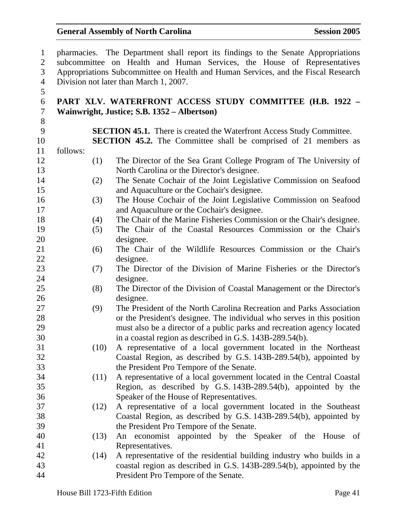| $\mathbf{1}$   |          | pharmacies. The Department shall report its findings to the Senate Appropriations |
|----------------|----------|-----------------------------------------------------------------------------------|
| $\overline{2}$ |          | subcommittee on Health and Human Services, the House of Representatives           |
| $\mathfrak{Z}$ |          | Appropriations Subcommittee on Health and Human Services, and the Fiscal Research |
| $\overline{4}$ |          | Division not later than March 1, 2007.                                            |
| 5              |          |                                                                                   |
| 6              |          | PART XLV. WATERFRONT ACCESS STUDY COMMITTEE (H.B. 1922 -                          |
| $\tau$         |          | Wainwright, Justice; S.B. 1352 – Albertson)                                       |
| $8\,$          |          |                                                                                   |
| 9              |          | <b>SECTION 45.1.</b> There is created the Waterfront Access Study Committee.      |
| 10             |          | <b>SECTION 45.2.</b> The Committee shall be comprised of 21 members as            |
| 11             | follows: |                                                                                   |
| 12             | (1)      | The Director of the Sea Grant College Program of The University of                |
| 13             |          | North Carolina or the Director's designee.                                        |
| 14             | (2)      | The Senate Cochair of the Joint Legislative Commission on Seafood                 |
| 15             |          | and Aquaculture or the Cochair's designee.                                        |
| 16             | (3)      | The House Cochair of the Joint Legislative Commission on Seafood                  |
| 17             |          | and Aquaculture or the Cochair's designee.                                        |
| 18             | (4)      | The Chair of the Marine Fisheries Commission or the Chair's designee.             |
| 19             | (5)      | The Chair of the Coastal Resources Commission or the Chair's                      |
| 20             |          | designee.                                                                         |
| 21             | (6)      | The Chair of the Wildlife Resources Commission or the Chair's                     |
| 22             |          | designee.                                                                         |
| 23             | (7)      | The Director of the Division of Marine Fisheries or the Director's                |
| 24             |          | designee.                                                                         |
| 25             | (8)      | The Director of the Division of Coastal Management or the Director's              |
| 26             |          | designee.                                                                         |
| 27             | (9)      | The President of the North Carolina Recreation and Parks Association              |
| 28             |          | or the President's designee. The individual who serves in this position           |
| 29             |          | must also be a director of a public parks and recreation agency located           |
| 30             |          | in a coastal region as described in G.S. 143B-289.54(b).                          |
| 31             | (10)     | A representative of a local government located in the Northeast                   |
| 32             |          | Coastal Region, as described by G.S. 143B-289.54(b), appointed by                 |
| 33             |          | the President Pro Tempore of the Senate.                                          |
| 34             | (11)     | A representative of a local government located in the Central Coastal             |
| 35             |          | Region, as described by G.S. 143B-289.54(b), appointed by the                     |
| 36             |          | Speaker of the House of Representatives.                                          |
| 37             | (12)     | A representative of a local government located in the Southeast                   |
| 38             |          | Coastal Region, as described by G.S. 143B-289.54(b), appointed by                 |
| 39             |          | the President Pro Tempore of the Senate.                                          |
| 40             | (13)     | An economist appointed by the Speaker of the House of                             |
| 41             |          | Representatives.                                                                  |
| 42             | (14)     | A representative of the residential building industry who builds in a             |
| 43             |          | coastal region as described in G.S. 143B-289.54(b), appointed by the              |
| 44             |          | President Pro Tempore of the Senate.                                              |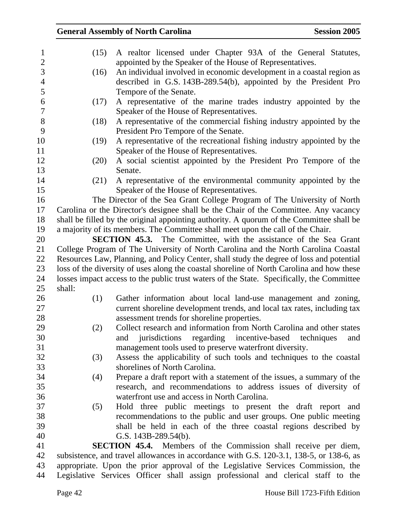### General Assembly of North Carolina Session 2005 1 (15) A realtor licensed under Chapter 93A of the General Statutes, 2 appointed by the Speaker of the House of Representatives. 3 (16) An individual involved in economic development in a coastal region as 4 described in G.S. 143B-289.54(b), appointed by the President Pro 5 Tempore of the Senate. 6 (17) A representative of the marine trades industry appointed by the 7 Speaker of the House of Representatives. 8 (18) A representative of the commercial fishing industry appointed by the 9 President Pro Tempore of the Senate. 10 (19) A representative of the recreational fishing industry appointed by the 11 Speaker of the House of Representatives. 12 (20) A social scientist appointed by the President Pro Tempore of the 13 Senate. 14 (21) A representative of the environmental community appointed by the 15 Speaker of the House of Representatives. 16 The Director of the Sea Grant College Program of The University of North 17 Carolina or the Director's designee shall be the Chair of the Committee. Any vacancy 18 shall be filled by the original appointing authority. A quorum of the Committee shall be 19 a majority of its members. The Committee shall meet upon the call of the Chair. 20 **SECTION 45.3.** The Committee, with the assistance of the Sea Grant 21 College Program of The University of North Carolina and the North Carolina Coastal 22 Resources Law, Planning, and Policy Center, shall study the degree of loss and potential 23 loss of the diversity of uses along the coastal shoreline of North Carolina and how these 24 losses impact access to the public trust waters of the State. Specifically, the Committee 25 shall: 26 (1) Gather information about local land-use management and zoning, 27 current shoreline development trends, and local tax rates, including tax 28 assessment trends for shoreline properties. 29 (2) Collect research and information from North Carolina and other states 30 and jurisdictions regarding incentive-based techniques and 31 management tools used to preserve waterfront diversity. 32 (3) Assess the applicability of such tools and techniques to the coastal 33 shorelines of North Carolina. 34 (4) Prepare a draft report with a statement of the issues, a summary of the 35 research, and recommendations to address issues of diversity of 36 waterfront use and access in North Carolina. 37 (5) Hold three public meetings to present the draft report and 38 recommendations to the public and user groups. One public meeting 39 shall be held in each of the three coastal regions described by 40 G.S. 143B-289.54(b). 41 **SECTION 45.4.** Members of the Commission shall receive per diem, 42 subsistence, and travel allowances in accordance with G.S. 120-3.1, 138-5, or 138-6, as 43 appropriate. Upon the prior approval of the Legislative Services Commission, the 44 Legislative Services Officer shall assign professional and clerical staff to the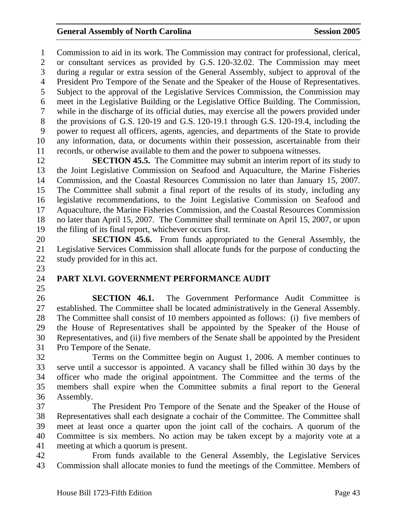1 Commission to aid in its work. The Commission may contract for professional, clerical, 2 or consultant services as provided by G.S. 120-32.02. The Commission may meet 3 during a regular or extra session of the General Assembly, subject to approval of the 4 President Pro Tempore of the Senate and the Speaker of the House of Representatives. 5 Subject to the approval of the Legislative Services Commission, the Commission may 6 meet in the Legislative Building or the Legislative Office Building. The Commission, 7 while in the discharge of its official duties, may exercise all the powers provided under 8 the provisions of G.S. 120-19 and G.S. 120-19.1 through G.S. 120-19.4, including the 9 power to request all officers, agents, agencies, and departments of the State to provide 10 any information, data, or documents within their possession, ascertainable from their 11 records, or otherwise available to them and the power to subpoena witnesses.

12 **SECTION 45.5.** The Committee may submit an interim report of its study to 13 the Joint Legislative Commission on Seafood and Aquaculture, the Marine Fisheries 14 Commission, and the Coastal Resources Commission no later than January 15, 2007. 15 The Committee shall submit a final report of the results of its study, including any 16 legislative recommendations, to the Joint Legislative Commission on Seafood and 17 Aquaculture, the Marine Fisheries Commission, and the Coastal Resources Commission 18 no later than April 15, 2007. The Committee shall terminate on April 15, 2007, or upon 19 the filing of its final report, whichever occurs first.

20 **SECTION 45.6.** From funds appropriated to the General Assembly, the 21 Legislative Services Commission shall allocate funds for the purpose of conducting the 22 study provided for in this act. 23

- 24 **PART XLVI. GOVERNMENT PERFORMANCE AUDIT**
- 25

26 **SECTION 46.1.** The Government Performance Audit Committee is 27 established. The Committee shall be located administratively in the General Assembly. 28 The Committee shall consist of 10 members appointed as follows: (i) five members of 29 the House of Representatives shall be appointed by the Speaker of the House of 30 Representatives, and (ii) five members of the Senate shall be appointed by the President 31 Pro Tempore of the Senate.

32 Terms on the Committee begin on August 1, 2006. A member continues to 33 serve until a successor is appointed. A vacancy shall be filled within 30 days by the 34 officer who made the original appointment. The Committee and the terms of the 35 members shall expire when the Committee submits a final report to the General 36 Assembly.

37 The President Pro Tempore of the Senate and the Speaker of the House of 38 Representatives shall each designate a cochair of the Committee. The Committee shall 39 meet at least once a quarter upon the joint call of the cochairs. A quorum of the 40 Committee is six members. No action may be taken except by a majority vote at a 41 meeting at which a quorum is present.

42 From funds available to the General Assembly, the Legislative Services 43 Commission shall allocate monies to fund the meetings of the Committee. Members of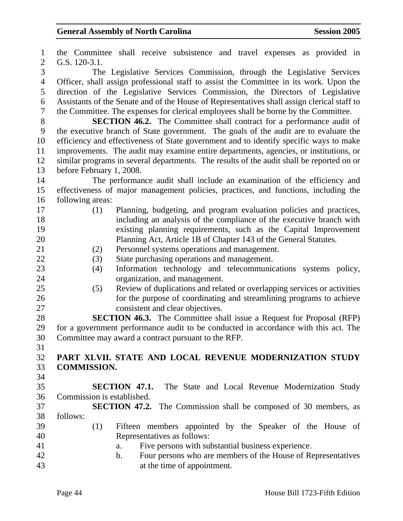1 the Committee shall receive subsistence and travel expenses as provided in 2 G.S. 120-3.1. 3 The Legislative Services Commission, through the Legislative Services 4 Officer, shall assign professional staff to assist the Committee in its work. Upon the 5 direction of the Legislative Services Commission, the Directors of Legislative 6 Assistants of the Senate and of the House of Representatives shall assign clerical staff to 7 the Committee. The expenses for clerical employees shall be borne by the Committee. 8 **SECTION 46.2.** The Committee shall contract for a performance audit of 9 the executive branch of State government. The goals of the audit are to evaluate the 10 efficiency and effectiveness of State government and to identify specific ways to make 11 improvements. The audit may examine entire departments, agencies, or institutions, or 12 similar programs in several departments. The results of the audit shall be reported on or 13 before February 1, 2008. 14 The performance audit shall include an examination of the efficiency and 15 effectiveness of major management policies, practices, and functions, including the 16 following areas: 17 (1) Planning, budgeting, and program evaluation policies and practices, 18 including an analysis of the compliance of the executive branch with 19 existing planning requirements, such as the Capital Improvement 20 Planning Act, Article 1B of Chapter 143 of the General Statutes. 21 (2) Personnel systems operations and management. 22 (3) State purchasing operations and management. 23 (4) Information technology and telecommunications systems policy, 24 organization, and management. 25 (5) Review of duplications and related or overlapping services or activities 26 for the purpose of coordinating and streamlining programs to achieve 27 consistent and clear objectives. 28 **SECTION 46.3.** The Committee shall issue a Request for Proposal (RFP) 29 for a government performance audit to be conducted in accordance with this act. The 30 Committee may award a contract pursuant to the RFP. 31 32 **PART XLVII. STATE AND LOCAL REVENUE MODERNIZATION STUDY**  33 **COMMISSION.**  34 35 **SECTION 47.1.** The State and Local Revenue Modernization Study 36 Commission is established. 37 **SECTION 47.2.** The Commission shall be composed of 30 members, as 38 follows: 39 (1) Fifteen members appointed by the Speaker of the House of 40 Representatives as follows: 41 a. Five persons with substantial business experience. 42 b. Four persons who are members of the House of Representatives 43 at the time of appointment.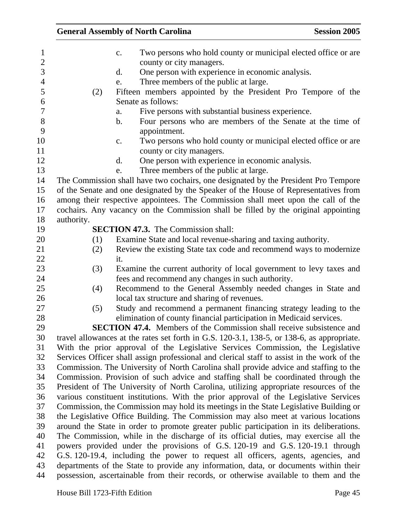|            | <b>General Assembly of North Carolina</b>                                                                                                                            | <b>Session 2005</b> |
|------------|----------------------------------------------------------------------------------------------------------------------------------------------------------------------|---------------------|
|            | Two persons who hold county or municipal elected office or are.<br>c.<br>county or city managers.<br>One person with experience in economic analysis.<br>d.          |                     |
|            | Three members of the public at large.<br>e.                                                                                                                          |                     |
| (2)        | Fifteen members appointed by the President Pro Tempore of the                                                                                                        |                     |
|            | Senate as follows:                                                                                                                                                   |                     |
|            | Five persons with substantial business experience.<br>a.                                                                                                             |                     |
|            | Four persons who are members of the Senate at the time of<br>b.                                                                                                      |                     |
|            | appointment.                                                                                                                                                         |                     |
|            | Two persons who hold county or municipal elected office or are.<br>$C_{\bullet}$                                                                                     |                     |
|            | county or city managers.                                                                                                                                             |                     |
|            | One person with experience in economic analysis.<br>d.                                                                                                               |                     |
|            | Three members of the public at large.<br>e.                                                                                                                          |                     |
|            | The Commission shall have two cochairs, one designated by the President Pro Tempore                                                                                  |                     |
|            | of the Senate and one designated by the Speaker of the House of Representatives from                                                                                 |                     |
|            | among their respective appointees. The Commission shall meet upon the call of the                                                                                    |                     |
|            | cochairs. Any vacancy on the Commission shall be filled by the original appointing                                                                                   |                     |
| authority. | <b>SECTION 47.3.</b> The Commission shall:                                                                                                                           |                     |
| (1)        | Examine State and local revenue-sharing and taxing authority.                                                                                                        |                     |
| (2)        | Review the existing State tax code and recommend ways to modernize                                                                                                   |                     |
|            | it.                                                                                                                                                                  |                     |
| (3)        | Examine the current authority of local government to levy taxes and                                                                                                  |                     |
|            | fees and recommend any changes in such authority.                                                                                                                    |                     |
| (4)        | Recommend to the General Assembly needed changes in State and                                                                                                        |                     |
|            | local tax structure and sharing of revenues.                                                                                                                         |                     |
| (5)        | Study and recommend a permanent financing strategy leading to the                                                                                                    |                     |
|            | elimination of county financial participation in Medicaid services.                                                                                                  |                     |
|            | <b>SECTION 47.4.</b> Members of the Commission shall receive subsistence and                                                                                         |                     |
|            | travel allowances at the rates set forth in G.S. 120-3.1, 138-5, or 138-6, as appropriate.                                                                           |                     |
|            | With the prior approval of the Legislative Services Commission, the Legislative                                                                                      |                     |
|            | Services Officer shall assign professional and clerical staff to assist in the work of the                                                                           |                     |
|            | Commission. The University of North Carolina shall provide advice and staffing to the                                                                                |                     |
|            | Commission. Provision of such advice and staffing shall be coordinated through the                                                                                   |                     |
|            | President of The University of North Carolina, utilizing appropriate resources of the                                                                                |                     |
|            | various constituent institutions. With the prior approval of the Legislative Services                                                                                |                     |
|            | Commission, the Commission may hold its meetings in the State Legislative Building or                                                                                |                     |
|            | the Legislative Office Building. The Commission may also meet at various locations                                                                                   |                     |
|            | around the State in order to promote greater public participation in its deliberations.                                                                              |                     |
|            | The Commission, while in the discharge of its official duties, may exercise all the<br>powers provided under the provisions of G.S. 120-19 and G.S. 120-19.1 through |                     |
|            | G.S. 120-19.4, including the power to request all officers, agents, agencies, and                                                                                    |                     |
|            | departments of the State to provide any information, data, or documents within their                                                                                 |                     |
|            | possession, ascertainable from their records, or otherwise available to them and the                                                                                 |                     |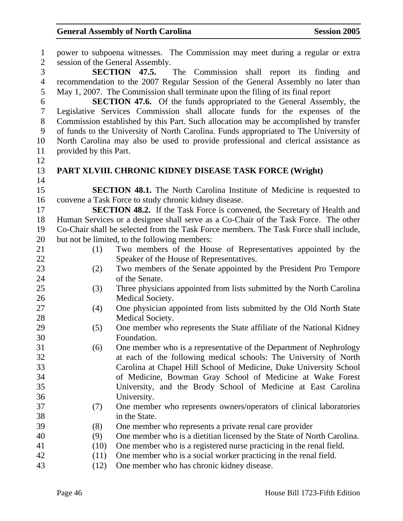| $\mathbf{1}$     |                        | power to subpoena witnesses. The Commission may meet during a regular or extra        |
|------------------|------------------------|---------------------------------------------------------------------------------------|
| $\overline{2}$   |                        | session of the General Assembly.                                                      |
| 3                |                        | <b>SECTION 47.5.</b> The Commission shall report its finding<br>and                   |
| $\overline{4}$   |                        | recommendation to the 2007 Regular Session of the General Assembly no later than      |
| 5                |                        | May 1, 2007. The Commission shall terminate upon the filing of its final report       |
| 6                |                        | <b>SECTION 47.6.</b> Of the funds appropriated to the General Assembly, the           |
| $\boldsymbol{7}$ |                        | Legislative Services Commission shall allocate funds for the expenses of the          |
| 8                |                        | Commission established by this Part. Such allocation may be accomplished by transfer  |
| 9                |                        | of funds to the University of North Carolina. Funds appropriated to The University of |
| 10               |                        | North Carolina may also be used to provide professional and clerical assistance as    |
| 11               | provided by this Part. |                                                                                       |
| 12               |                        |                                                                                       |
| 13               |                        | PART XLVIII. CHRONIC KIDNEY DISEASE TASK FORCE (Wright)                               |
| 14               |                        |                                                                                       |
| 15               |                        | <b>SECTION 48.1.</b> The North Carolina Institute of Medicine is requested to         |
| 16               |                        | convene a Task Force to study chronic kidney disease.                                 |
| 17               |                        | <b>SECTION 48.2.</b> If the Task Force is convened, the Secretary of Health and       |
| 18               |                        | Human Services or a designee shall serve as a Co-Chair of the Task Force. The other   |
| 19               |                        | Co-Chair shall be selected from the Task Force members. The Task Force shall include, |
| 20               |                        | but not be limited, to the following members:                                         |
| 21               | (1)                    | Two members of the House of Representatives appointed by the                          |
| 22               |                        | Speaker of the House of Representatives.                                              |
| 23               | (2)                    | Two members of the Senate appointed by the President Pro Tempore                      |
| 24               |                        | of the Senate.                                                                        |
| 25               | (3)                    | Three physicians appointed from lists submitted by the North Carolina                 |
| 26               |                        | Medical Society.                                                                      |
| 27               | (4)                    | One physician appointed from lists submitted by the Old North State                   |
| 28               |                        | Medical Society.                                                                      |
| 29               | (5)                    | One member who represents the State affiliate of the National Kidney                  |
| 30               |                        | Foundation.                                                                           |
| 31               | (6)                    | One member who is a representative of the Department of Nephrology                    |
| 32               |                        | at each of the following medical schools: The University of North                     |
| 33               |                        | Carolina at Chapel Hill School of Medicine, Duke University School                    |
| 34               |                        | of Medicine, Bowman Gray School of Medicine at Wake Forest                            |
| 35               |                        | University, and the Brody School of Medicine at East Carolina                         |
| 36               |                        | University.                                                                           |
| 37               | (7)                    | One member who represents owners/operators of clinical laboratories                   |
| 38               |                        | in the State.                                                                         |
| 39               | (8)                    | One member who represents a private renal care provider                               |
| 40               | (9)                    | One member who is a dietitian licensed by the State of North Carolina.                |
| 41               | (10)                   | One member who is a registered nurse practicing in the renal field.                   |
| 42               | (11)                   | One member who is a social worker practicing in the renal field.                      |
| 43               | (12)                   | One member who has chronic kidney disease.                                            |
|                  |                        |                                                                                       |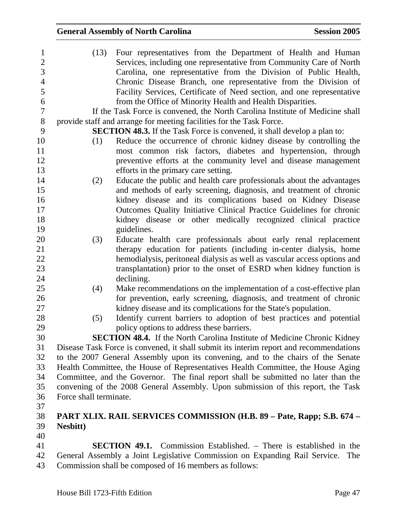| $\mathbf{1}$   | (13)                   | Four representatives from the Department of Health and Human                           |
|----------------|------------------------|----------------------------------------------------------------------------------------|
| $\overline{2}$ |                        | Services, including one representative from Community Care of North                    |
| $\overline{3}$ |                        | Carolina, one representative from the Division of Public Health,                       |
| $\overline{4}$ |                        | Chronic Disease Branch, one representative from the Division of                        |
| 5              |                        | Facility Services, Certificate of Need section, and one representative                 |
| 6              |                        | from the Office of Minority Health and Health Disparities.                             |
| $\tau$         |                        | If the Task Force is convened, the North Carolina Institute of Medicine shall          |
| $8\,$          |                        | provide staff and arrange for meeting facilities for the Task Force.                   |
| 9              |                        | <b>SECTION 48.3.</b> If the Task Force is convened, it shall develop a plan to:        |
| 10             | (1)                    | Reduce the occurrence of chronic kidney disease by controlling the                     |
| 11             |                        | most common risk factors, diabetes and hypertension, through                           |
| 12             |                        | preventive efforts at the community level and disease management                       |
| 13             |                        | efforts in the primary care setting.                                                   |
| 14             | (2)                    | Educate the public and health care professionals about the advantages                  |
| 15             |                        | and methods of early screening, diagnosis, and treatment of chronic                    |
| 16             |                        | kidney disease and its complications based on Kidney Disease                           |
| 17             |                        | Outcomes Quality Initiative Clinical Practice Guidelines for chronic                   |
| 18             |                        | kidney disease or other medically recognized clinical practice                         |
| 19             |                        | guidelines.                                                                            |
| 20             | (3)                    | Educate health care professionals about early renal replacement                        |
| 21             |                        | therapy education for patients (including in-center dialysis, home                     |
| 22             |                        | hemodialysis, peritoneal dialysis as well as vascular access options and               |
| 23             |                        | transplantation) prior to the onset of ESRD when kidney function is                    |
| 24             |                        | declining.                                                                             |
| 25             | (4)                    | Make recommendations on the implementation of a cost-effective plan                    |
| 26             |                        | for prevention, early screening, diagnosis, and treatment of chronic                   |
| 27             |                        | kidney disease and its complications for the State's population.                       |
| 28             | (5)                    | Identify current barriers to adoption of best practices and potential                  |
| 29             |                        | policy options to address these barriers.                                              |
| 30             |                        | <b>SECTION 48.4.</b> If the North Carolina Institute of Medicine Chronic Kidney        |
| 31             |                        | Disease Task Force is convened, it shall submit its interim report and recommendations |
| 32             |                        | to the 2007 General Assembly upon its convening, and to the chairs of the Senate       |
| 33             |                        | Health Committee, the House of Representatives Health Committee, the House Aging       |
| 34             |                        | Committee, and the Governor. The final report shall be submitted no later than the     |
| 35             |                        | convening of the 2008 General Assembly. Upon submission of this report, the Task       |
| 36             | Force shall terminate. |                                                                                        |
| 37             |                        |                                                                                        |
| 38             |                        | PART XLIX. RAIL SERVICES COMMISSION (H.B. 89 – Pate, Rapp; S.B. 674 –                  |
| 39             | <b>Nesbitt</b> )       |                                                                                        |
| 40             |                        |                                                                                        |
| $\Lambda$ 1    |                        | <b>SECTION 40.1</b> Commission Established There is established in the                 |

41 **SECTION 49.1.** Commission Established. – There is established in the 42 General Assembly a Joint Legislative Commission on Expanding Rail Service. The Commission shall be composed of 16 members as follows: Commission shall be composed of 16 members as follows: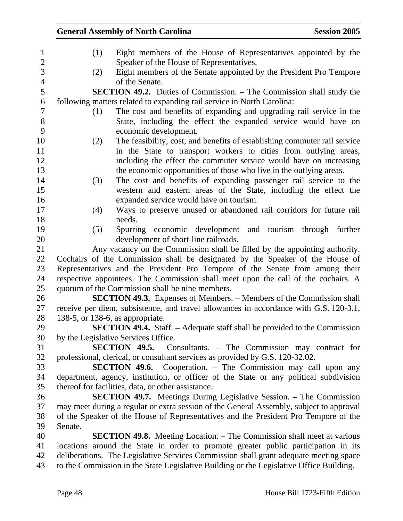### **General Assembly of North Carolina Session 2005**  1 (1) Eight members of the House of Representatives appointed by the 2 Speaker of the House of Representatives. 3 (2) Eight members of the Senate appointed by the President Pro Tempore 4 of the Senate. 5 **SECTION 49.2.** Duties of Commission. – The Commission shall study the 6 following matters related to expanding rail service in North Carolina: 7 (1) The cost and benefits of expanding and upgrading rail service in the 8 State, including the effect the expanded service would have on 9 economic development. 10 (2) The feasibility, cost, and benefits of establishing commuter rail service 11 in the State to transport workers to cities from outlying areas, 12 including the effect the commuter service would have on increasing 13 the economic opportunities of those who live in the outlying areas. 14 (3) The cost and benefits of expanding passenger rail service to the 15 western and eastern areas of the State, including the effect the 16 expanded service would have on tourism. 17 (4) Ways to preserve unused or abandoned rail corridors for future rail 18 needs. 19 (5) Spurring economic development and tourism through further 20 development of short-line railroads. 21 Any vacancy on the Commission shall be filled by the appointing authority. 22 Cochairs of the Commission shall be designated by the Speaker of the House of 23 Representatives and the President Pro Tempore of the Senate from among their 24 respective appointees. The Commission shall meet upon the call of the cochairs. A 25 quorum of the Commission shall be nine members. 26 **SECTION 49.3.** Expenses of Members. – Members of the Commission shall 27 receive per diem, subsistence, and travel allowances in accordance with G.S. 120-3.1, 28 138-5, or 138-6, as appropriate. 29 **SECTION 49.4.** Staff. – Adequate staff shall be provided to the Commission 30 by the Legislative Services Office. 31 **SECTION 49.5.** Consultants. – The Commission may contract for 32 professional, clerical, or consultant services as provided by G.S. 120-32.02. 33 **SECTION 49.6.** Cooperation. – The Commission may call upon any 34 department, agency, institution, or officer of the State or any political subdivision 35 thereof for facilities, data, or other assistance. 36 **SECTION 49.7.** Meetings During Legislative Session. – The Commission

37 may meet during a regular or extra session of the General Assembly, subject to approval 38 of the Speaker of the House of Representatives and the President Pro Tempore of the 39 Senate.

40 **SECTION 49.8.** Meeting Location. – The Commission shall meet at various 41 locations around the State in order to promote greater public participation in its 42 deliberations. The Legislative Services Commission shall grant adequate meeting space 43 to the Commission in the State Legislative Building or the Legislative Office Building.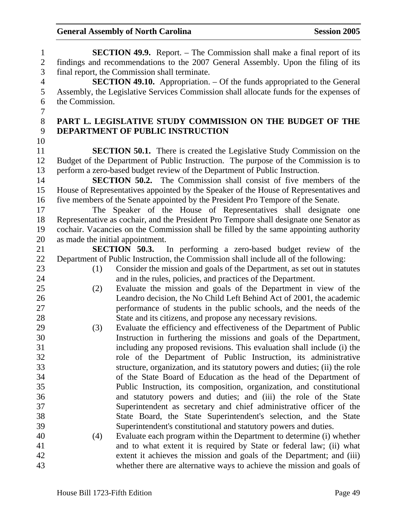1 **SECTION 49.9.** Report. – The Commission shall make a final report of its 2 findings and recommendations to the 2007 General Assembly. Upon the filing of its 3 final report, the Commission shall terminate. 4 **SECTION 49.10.** Appropriation. – Of the funds appropriated to the General 5 Assembly, the Legislative Services Commission shall allocate funds for the expenses of 6 the Commission. 7 8 **PART L. LEGISLATIVE STUDY COMMISSION ON THE BUDGET OF THE**  9 **DEPARTMENT OF PUBLIC INSTRUCTION**  10 11 **SECTION 50.1.** There is created the Legislative Study Commission on the 12 Budget of the Department of Public Instruction. The purpose of the Commission is to 13 perform a zero-based budget review of the Department of Public Instruction. 14 **SECTION 50.2.** The Commission shall consist of five members of the 15 House of Representatives appointed by the Speaker of the House of Representatives and 16 five members of the Senate appointed by the President Pro Tempore of the Senate. 17 The Speaker of the House of Representatives shall designate one 18 Representative as cochair, and the President Pro Tempore shall designate one Senator as 19 cochair. Vacancies on the Commission shall be filled by the same appointing authority 20 as made the initial appointment. 21 **SECTION 50.3.** In performing a zero-based budget review of the 22 Department of Public Instruction, the Commission shall include all of the following: 23 (1) Consider the mission and goals of the Department, as set out in statutes 24 and in the rules, policies, and practices of the Department. 25 (2) Evaluate the mission and goals of the Department in view of the 26 Leandro decision, the No Child Left Behind Act of 2001, the academic 27 performance of students in the public schools, and the needs of the 28 State and its citizens, and propose any necessary revisions. 29 (3) Evaluate the efficiency and effectiveness of the Department of Public 30 Instruction in furthering the missions and goals of the Department, 31 including any proposed revisions. This evaluation shall include (i) the 32 role of the Department of Public Instruction, its administrative 33 structure, organization, and its statutory powers and duties; (ii) the role 34 of the State Board of Education as the head of the Department of 35 Public Instruction, its composition, organization, and constitutional 36 and statutory powers and duties; and (iii) the role of the State 37 Superintendent as secretary and chief administrative officer of the 38 State Board, the State Superintendent's selection, and the State 39 Superintendent's constitutional and statutory powers and duties. 40 (4) Evaluate each program within the Department to determine (i) whether 41 and to what extent it is required by State or federal law; (ii) what 42 extent it achieves the mission and goals of the Department; and (iii) 43 whether there are alternative ways to achieve the mission and goals of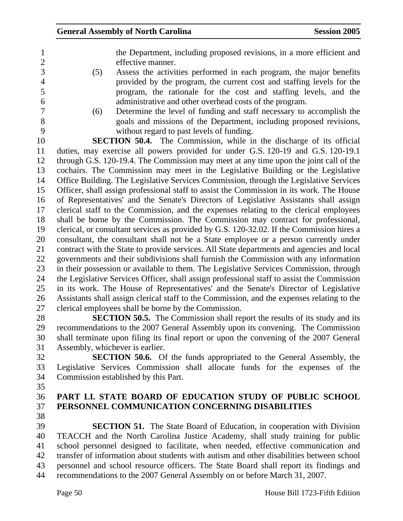| the Department, including proposed revisions, in a more efficient and |
|-----------------------------------------------------------------------|
| effective manner.                                                     |

- 3 (5) Assess the activities performed in each program, the major benefits 4 provided by the program, the current cost and staffing levels for the 5 program, the rationale for the cost and staffing levels, and the 6 administrative and other overhead costs of the program.<br>
(6) Determine the level of funding and staff necessary to
- 

7 (6) Determine the level of funding and staff necessary to accomplish the 8 goals and missions of the Department, including proposed revisions, 9 without regard to past levels of funding.

10 **SECTION 50.4.** The Commission, while in the discharge of its official 11 duties, may exercise all powers provided for under G.S. 120-19 and G.S. 120-19.1 12 through G.S. 120-19.4. The Commission may meet at any time upon the joint call of the 13 cochairs. The Commission may meet in the Legislative Building or the Legislative 14 Office Building. The Legislative Services Commission, through the Legislative Services 15 Officer, shall assign professional staff to assist the Commission in its work. The House 16 of Representatives' and the Senate's Directors of Legislative Assistants shall assign 17 clerical staff to the Commission, and the expenses relating to the clerical employees 18 shall be borne by the Commission. The Commission may contract for professional, 19 clerical, or consultant services as provided by G.S. 120-32.02. If the Commission hires a 20 consultant, the consultant shall not be a State employee or a person currently under 21 contract with the State to provide services. All State departments and agencies and local 22 governments and their subdivisions shall furnish the Commission with any information 23 in their possession or available to them. The Legislative Services Commission, through 24 the Legislative Services Officer, shall assign professional staff to assist the Commission 25 in its work. The House of Representatives' and the Senate's Director of Legislative 26 Assistants shall assign clerical staff to the Commission, and the expenses relating to the 27 clerical employees shall be borne by the Commission.

28 **SECTION 50.5.** The Commission shall report the results of its study and its 29 recommendations to the 2007 General Assembly upon its convening. The Commission 30 shall terminate upon filing its final report or upon the convening of the 2007 General 31 Assembly, whichever is earlier.

32 **SECTION 50.6.** Of the funds appropriated to the General Assembly, the 33 Legislative Services Commission shall allocate funds for the expenses of the 34 Commission established by this Part.

- 35
- 

### 36 **PART LI. STATE BOARD OF EDUCATION STUDY OF PUBLIC SCHOOL**  37 **PERSONNEL COMMUNICATION CONCERNING DISABILITIES**

38

39 **SECTION 51.** The State Board of Education, in cooperation with Division 40 TEACCH and the North Carolina Justice Academy, shall study training for public 41 school personnel designed to facilitate, when needed, effective communication and 42 transfer of information about students with autism and other disabilities between school 43 personnel and school resource officers. The State Board shall report its findings and 44 recommendations to the 2007 General Assembly on or before March 31, 2007.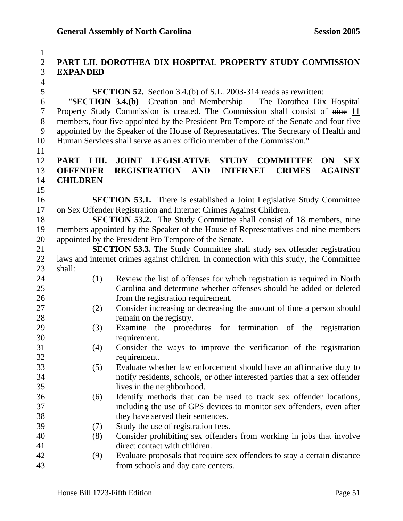| $\mathbf{1}$   |                 |                                                                                         |
|----------------|-----------------|-----------------------------------------------------------------------------------------|
| $\overline{2}$ |                 | PART LII. DOROTHEA DIX HOSPITAL PROPERTY STUDY COMMISSION                               |
| 3              | <b>EXPANDED</b> |                                                                                         |
| $\overline{4}$ |                 |                                                                                         |
| 5              |                 | <b>SECTION 52.</b> Section 3.4.(b) of S.L. 2003-314 reads as rewritten:                 |
| 6              |                 | "SECTION 3.4.(b) Creation and Membership. - The Dorothea Dix Hospital                   |
| $\overline{7}$ |                 | Property Study Commission is created. The Commission shall consist of nine 11           |
| 8              |                 | members, four-five appointed by the President Pro Tempore of the Senate and four-five   |
| 9              |                 | appointed by the Speaker of the House of Representatives. The Secretary of Health and   |
| 10             |                 | Human Services shall serve as an ex officio member of the Commission."                  |
| 11             |                 |                                                                                         |
| 12             | PART LIII.      | <b>JOINT LEGISLATIVE</b><br><b>STUDY</b><br><b>COMMITTEE</b><br><b>SEX</b><br><b>ON</b> |
| 13             | <b>OFFENDER</b> | <b>REGISTRATION AND</b><br><b>INTERNET</b><br><b>CRIMES</b><br><b>AGAINST</b>           |
| 14             | <b>CHILDREN</b> |                                                                                         |
| 15             |                 |                                                                                         |
| 16             |                 | <b>SECTION 53.1.</b> There is established a Joint Legislative Study Committee           |
| 17             |                 | on Sex Offender Registration and Internet Crimes Against Children.                      |
| 18             |                 | <b>SECTION 53.2.</b> The Study Committee shall consist of 18 members, nine              |
| 19             |                 | members appointed by the Speaker of the House of Representatives and nine members       |
| 20             |                 | appointed by the President Pro Tempore of the Senate.                                   |
| 21             |                 | <b>SECTION 53.3.</b> The Study Committee shall study sex offender registration          |
| 22             |                 | laws and internet crimes against children. In connection with this study, the Committee |
| 23             | shall:          |                                                                                         |
| 24             | (1)             | Review the list of offenses for which registration is required in North                 |
| 25             |                 | Carolina and determine whether offenses should be added or deleted                      |
| 26             |                 | from the registration requirement.                                                      |
| 27             | (2)             | Consider increasing or decreasing the amount of time a person should                    |
| 28             |                 | remain on the registry.                                                                 |
| 29             | (3)             | Examine the procedures for termination of the registration                              |
| 30             |                 | requirement.                                                                            |
| 31             | (4)             | Consider the ways to improve the verification of the registration                       |
| 32             |                 | requirement.                                                                            |
| 33             | (5)             | Evaluate whether law enforcement should have an affirmative duty to                     |
| 34             |                 | notify residents, schools, or other interested parties that a sex offender              |
| 35             |                 | lives in the neighborhood.                                                              |
| 36             | (6)             | Identify methods that can be used to track sex offender locations,                      |
| 37             |                 | including the use of GPS devices to monitor sex offenders, even after                   |
| 38             |                 | they have served their sentences.                                                       |
| 39             | (7)             | Study the use of registration fees.                                                     |
| 40             | (8)             | Consider prohibiting sex offenders from working in jobs that involve                    |
| 41             |                 | direct contact with children.                                                           |
| 42             | (9)             | Evaluate proposals that require sex offenders to stay a certain distance                |
| 43             |                 | from schools and day care centers.                                                      |
|                |                 |                                                                                         |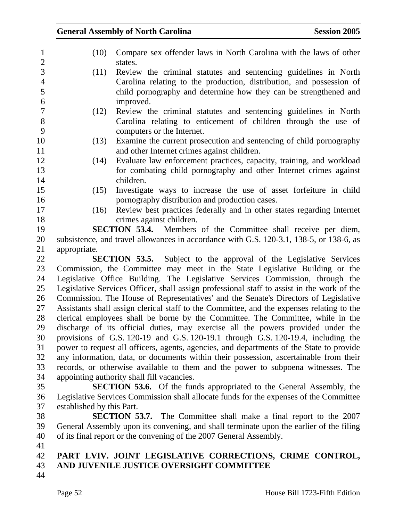| $\mathbf{1}$                     | (10)                                                                                       | Compare sex offender laws in North Carolina with the laws of other                                                                |  |
|----------------------------------|--------------------------------------------------------------------------------------------|-----------------------------------------------------------------------------------------------------------------------------------|--|
| $\overline{2}$<br>$\overline{3}$ |                                                                                            | states.                                                                                                                           |  |
|                                  | (11)                                                                                       | Review the criminal statutes and sentencing guidelines in North                                                                   |  |
| $\overline{4}$<br>5              |                                                                                            | Carolina relating to the production, distribution, and possession of                                                              |  |
| 6                                |                                                                                            | child pornography and determine how they can be strengthened and                                                                  |  |
| $\overline{7}$                   |                                                                                            | improved.                                                                                                                         |  |
| $8\,$                            | (12)                                                                                       | Review the criminal statutes and sentencing guidelines in North<br>Carolina relating to enticement of children through the use of |  |
| 9                                |                                                                                            | computers or the Internet.                                                                                                        |  |
| 10                               | (13)                                                                                       | Examine the current prosecution and sentencing of child pornography                                                               |  |
| 11                               |                                                                                            | and other Internet crimes against children.                                                                                       |  |
| 12                               | (14)                                                                                       | Evaluate law enforcement practices, capacity, training, and workload                                                              |  |
| 13                               |                                                                                            | for combating child pornography and other Internet crimes against                                                                 |  |
| 14                               |                                                                                            | children.                                                                                                                         |  |
| 15                               | (15)                                                                                       | Investigate ways to increase the use of asset forfeiture in child                                                                 |  |
| 16                               |                                                                                            | pornography distribution and production cases.                                                                                    |  |
| 17                               | (16)                                                                                       | Review best practices federally and in other states regarding Internet                                                            |  |
| 18                               |                                                                                            | crimes against children.                                                                                                          |  |
| 19                               |                                                                                            | <b>SECTION 53.4.</b> Members of the Committee shall receive per diem,                                                             |  |
| 20                               |                                                                                            | subsistence, and travel allowances in accordance with G.S. 120-3.1, 138-5, or 138-6, as                                           |  |
| 21                               | appropriate.                                                                               |                                                                                                                                   |  |
| 22                               |                                                                                            | <b>SECTION 53.5.</b> Subject to the approval of the Legislative Services                                                          |  |
| 23                               |                                                                                            | Commission, the Committee may meet in the State Legislative Building or the                                                       |  |
| 24                               | Legislative Office Building. The Legislative Services Commission, through the              |                                                                                                                                   |  |
| 25                               | Legislative Services Officer, shall assign professional staff to assist in the work of the |                                                                                                                                   |  |
| 26                               | Commission. The House of Representatives' and the Senate's Directors of Legislative        |                                                                                                                                   |  |
| 27                               | Assistants shall assign clerical staff to the Committee, and the expenses relating to the  |                                                                                                                                   |  |
| 28                               | clerical employees shall be borne by the Committee. The Committee, while in the            |                                                                                                                                   |  |
| 29                               | discharge of its official duties, may exercise all the powers provided under the           |                                                                                                                                   |  |
| 30                               | provisions of G.S. 120-19 and G.S. 120-19.1 through G.S. 120-19.4, including the           |                                                                                                                                   |  |
| 31                               |                                                                                            | power to request all officers, agents, agencies, and departments of the State to provide                                          |  |
| 32                               |                                                                                            | any information, data, or documents within their possession, ascertainable from their                                             |  |
| 33                               |                                                                                            | records, or otherwise available to them and the power to subpoena witnesses. The                                                  |  |
| 34                               |                                                                                            | appointing authority shall fill vacancies.                                                                                        |  |
| 35                               |                                                                                            | <b>SECTION 53.6.</b> Of the funds appropriated to the General Assembly, the                                                       |  |
| 36                               |                                                                                            | Legislative Services Commission shall allocate funds for the expenses of the Committee                                            |  |
| 37                               | established by this Part.                                                                  |                                                                                                                                   |  |
| 38                               |                                                                                            | <b>SECTION 53.7.</b> The Committee shall make a final report to the 2007                                                          |  |
| 39                               |                                                                                            | General Assembly upon its convening, and shall terminate upon the earlier of the filing                                           |  |
| 40                               |                                                                                            | of its final report or the convening of the 2007 General Assembly.                                                                |  |
| 41                               |                                                                                            |                                                                                                                                   |  |
| 42<br>43                         |                                                                                            | PART LVIV. JOINT LEGISLATIVE CORRECTIONS, CRIME CONTROL,<br>AND JUVENILE JUSTICE OVERSIGHT COMMITTEE                              |  |
| 44                               |                                                                                            |                                                                                                                                   |  |
|                                  |                                                                                            |                                                                                                                                   |  |
|                                  | Page 52                                                                                    | House Bill 1723-Fifth Edition                                                                                                     |  |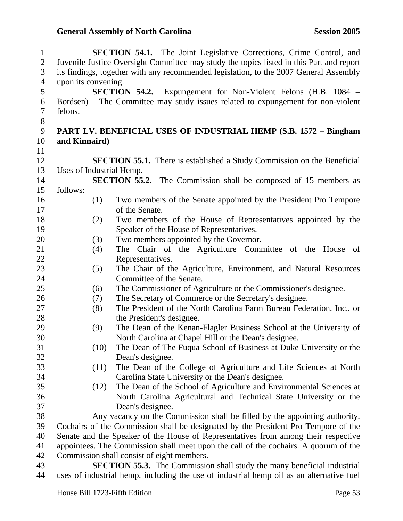| $\mathbf{1}$   |                                                                                          |                                                                                       | <b>SECTION 54.1.</b> The Joint Legislative Corrections, Crime Control, and               |  |
|----------------|------------------------------------------------------------------------------------------|---------------------------------------------------------------------------------------|------------------------------------------------------------------------------------------|--|
| $\overline{2}$ | Juvenile Justice Oversight Committee may study the topics listed in this Part and report |                                                                                       |                                                                                          |  |
| 3              |                                                                                          | its findings, together with any recommended legislation, to the 2007 General Assembly |                                                                                          |  |
| $\overline{4}$ | upon its convening.                                                                      |                                                                                       |                                                                                          |  |
| 5              |                                                                                          |                                                                                       | <b>SECTION 54.2.</b> Expungement for Non-Violent Felons (H.B. 1084 –                     |  |
| 6              |                                                                                          |                                                                                       | Bordsen) – The Committee may study issues related to expungement for non-violent         |  |
| $\overline{7}$ | felons.                                                                                  |                                                                                       |                                                                                          |  |
| $8\,$          |                                                                                          |                                                                                       |                                                                                          |  |
| 9              |                                                                                          |                                                                                       | PART LV. BENEFICIAL USES OF INDUSTRIAL HEMP (S.B. 1572 – Bingham                         |  |
| 10             | and Kinnaird)                                                                            |                                                                                       |                                                                                          |  |
| 11             |                                                                                          |                                                                                       |                                                                                          |  |
| 12             |                                                                                          |                                                                                       | <b>SECTION 55.1.</b> There is established a Study Commission on the Beneficial           |  |
| 13             | Uses of Industrial Hemp.                                                                 |                                                                                       |                                                                                          |  |
| 14             |                                                                                          |                                                                                       | <b>SECTION 55.2.</b> The Commission shall be composed of 15 members as                   |  |
| 15             | follows:                                                                                 |                                                                                       |                                                                                          |  |
| 16             |                                                                                          | (1)                                                                                   | Two members of the Senate appointed by the President Pro Tempore                         |  |
| 17             |                                                                                          |                                                                                       | of the Senate.                                                                           |  |
| 18             |                                                                                          | (2)                                                                                   | Two members of the House of Representatives appointed by the                             |  |
| 19             |                                                                                          |                                                                                       | Speaker of the House of Representatives.                                                 |  |
| 20             |                                                                                          | (3)                                                                                   | Two members appointed by the Governor.                                                   |  |
| 21             |                                                                                          | (4)                                                                                   | The Chair of the Agriculture Committee of the House<br>of                                |  |
| 22             |                                                                                          |                                                                                       | Representatives.                                                                         |  |
| 23             |                                                                                          | (5)                                                                                   | The Chair of the Agriculture, Environment, and Natural Resources                         |  |
| 24             |                                                                                          |                                                                                       | Committee of the Senate.                                                                 |  |
| 25             |                                                                                          | (6)                                                                                   | The Commissioner of Agriculture or the Commissioner's designee.                          |  |
| 26             |                                                                                          | (7)                                                                                   | The Secretary of Commerce or the Secretary's designee.                                   |  |
| 27             |                                                                                          | (8)                                                                                   | The President of the North Carolina Farm Bureau Federation, Inc., or                     |  |
| 28             |                                                                                          |                                                                                       | the President's designee.                                                                |  |
| 29             |                                                                                          | (9)                                                                                   | The Dean of the Kenan-Flagler Business School at the University of                       |  |
| 30             |                                                                                          |                                                                                       | North Carolina at Chapel Hill or the Dean's designee.                                    |  |
| 31             |                                                                                          | (10)                                                                                  | The Dean of The Fuqua School of Business at Duke University or the                       |  |
| 32             |                                                                                          |                                                                                       | Dean's designee.                                                                         |  |
| 33             |                                                                                          | (11)                                                                                  | The Dean of the College of Agriculture and Life Sciences at North                        |  |
| 34             |                                                                                          |                                                                                       | Carolina State University or the Dean's designee.                                        |  |
| 35             |                                                                                          | (12)                                                                                  | The Dean of the School of Agriculture and Environmental Sciences at                      |  |
| 36             |                                                                                          |                                                                                       | North Carolina Agricultural and Technical State University or the                        |  |
| 37             |                                                                                          |                                                                                       | Dean's designee.                                                                         |  |
| 38             |                                                                                          |                                                                                       | Any vacancy on the Commission shall be filled by the appointing authority.               |  |
| 39             |                                                                                          |                                                                                       | Cochairs of the Commission shall be designated by the President Pro Tempore of the       |  |
| 40             |                                                                                          |                                                                                       | Senate and the Speaker of the House of Representatives from among their respective       |  |
| 41             |                                                                                          |                                                                                       | appointees. The Commission shall meet upon the call of the cochairs. A quorum of the     |  |
| 42             |                                                                                          |                                                                                       | Commission shall consist of eight members.                                               |  |
| 43             |                                                                                          |                                                                                       | <b>SECTION 55.3.</b> The Commission shall study the many beneficial industrial           |  |
| 44             |                                                                                          |                                                                                       | uses of industrial hemp, including the use of industrial hemp oil as an alternative fuel |  |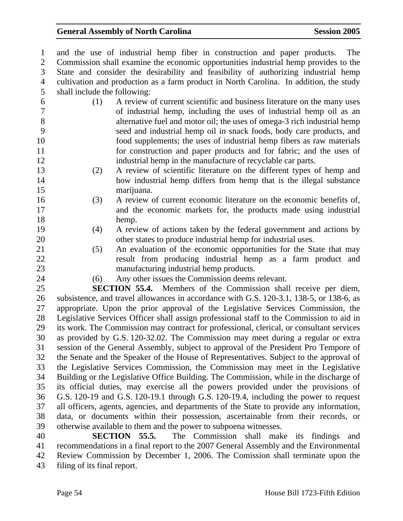1 and the use of industrial hemp fiber in construction and paper products. The 2 Commission shall examine the economic opportunities industrial hemp provides to the 3 State and consider the desirability and feasibility of authorizing industrial hemp 4 cultivation and production as a farm product in North Carolina. In addition, the study 5 shall include the following: 6 (1) A review of current scientific and business literature on the many uses 7 of industrial hemp, including the uses of industrial hemp oil as an 8 alternative fuel and motor oil; the uses of omega-3 rich industrial hemp 9 seed and industrial hemp oil in snack foods, body care products, and 10 food supplements; the uses of industrial hemp fibers as raw materials 11 for construction and paper products and for fabric; and the uses of 12 industrial hemp in the manufacture of recyclable car parts. 13 (2) A review of scientific literature on the different types of hemp and 14 how industrial hemp differs from hemp that is the illegal substance 15 marijuana. 16 (3) A review of current economic literature on the economic benefits of, 17 and the economic markets for, the products made using industrial 18 hemp. 19 (4) A review of actions taken by the federal government and actions by 20 other states to produce industrial hemp for industrial uses. 21 (5) An evaluation of the economic opportunities for the State that may 22 result from producing industrial hemp as a farm product and 23 manufacturing industrial hemp products. 24 (6) Any other issues the Commission deems relevant. 25 **SECTION 55.4.** Members of the Commission shall receive per diem, 26 subsistence, and travel allowances in accordance with G.S. 120-3.1, 138-5, or 138-6, as 27 appropriate. Upon the prior approval of the Legislative Services Commission, the 28 Legislative Services Officer shall assign professional staff to the Commission to aid in 29 its work. The Commission may contract for professional, clerical, or consultant services 30 as provided by G.S. 120-32.02. The Commission may meet during a regular or extra 31 session of the General Assembly, subject to approval of the President Pro Tempore of 32 the Senate and the Speaker of the House of Representatives. Subject to the approval of 33 the Legislative Services Commission, the Commission may meet in the Legislative 34 Building or the Legislative Office Building. The Commission, while in the discharge of 35 its official duties, may exercise all the powers provided under the provisions of 36 G.S. 120-19 and G.S. 120-19.1 through G.S. 120-19.4, including the power to request 37 all officers, agents, agencies, and departments of the State to provide any information, 38 data, or documents within their possession, ascertainable from their records, or 39 otherwise available to them and the power to subpoena witnesses. 40 **SECTION 55.5.** The Commission shall make its findings and 41 recommendations in a final report to the 2007 General Assembly and the Environmental

42 Review Commission by December 1, 2006. The Comission shall terminate upon the 43 filing of its final report.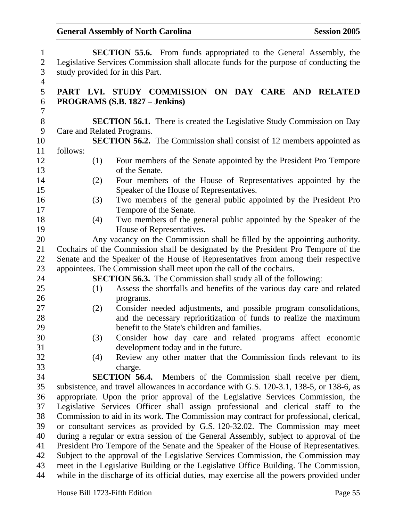| $\mathbf{1}$   | <b>SECTION 55.6.</b> From funds appropriated to the General Assembly, the                 |
|----------------|-------------------------------------------------------------------------------------------|
| $\overline{2}$ | Legislative Services Commission shall allocate funds for the purpose of conducting the    |
| $\mathfrak{Z}$ | study provided for in this Part.                                                          |
| $\overline{4}$ |                                                                                           |
| 5              | PART LVI. STUDY COMMISSION ON DAY CARE AND RELATED                                        |
| 6              | PROGRAMS (S.B. 1827 – Jenkins)                                                            |
| $\tau$         |                                                                                           |
| $8\,$          | <b>SECTION 56.1.</b> There is created the Legislative Study Commission on Day             |
| 9              | Care and Related Programs.                                                                |
| 10             | <b>SECTION 56.2.</b> The Commission shall consist of 12 members appointed as              |
| 11             | follows:                                                                                  |
| 12             | (1)<br>Four members of the Senate appointed by the President Pro Tempore                  |
| 13             | of the Senate.                                                                            |
| 14             | Four members of the House of Representatives appointed by the<br>(2)                      |
| 15             | Speaker of the House of Representatives.                                                  |
| 16             | Two members of the general public appointed by the President Pro<br>(3)                   |
| 17             | Tempore of the Senate.                                                                    |
| 18             | Two members of the general public appointed by the Speaker of the<br>(4)                  |
| 19             | House of Representatives.                                                                 |
| 20             | Any vacancy on the Commission shall be filled by the appointing authority.                |
| 21             | Cochairs of the Commission shall be designated by the President Pro Tempore of the        |
| 22             | Senate and the Speaker of the House of Representatives from among their respective        |
| 23             | appointees. The Commission shall meet upon the call of the cochairs.                      |
| 24             | <b>SECTION 56.3.</b> The Commission shall study all of the following:                     |
| 25             | Assess the shortfalls and benefits of the various day care and related<br>(1)             |
| 26             | programs.                                                                                 |
| 27             | Consider needed adjustments, and possible program consolidations,<br>(2)                  |
| 28             | and the necessary reprioritization of funds to realize the maximum                        |
| 29             | benefit to the State's children and families.                                             |
| 30             | Consider how day care and related programs affect economic<br>(3)                         |
| 31             | development today and in the future.                                                      |
| 32             | Review any other matter that the Commission finds relevant to its<br>(4)                  |
| 33             | charge.                                                                                   |
| 34             | <b>SECTION 56.4.</b> Members of the Commission shall receive per diem,                    |
| 35             | subsistence, and travel allowances in accordance with G.S. 120-3.1, 138-5, or 138-6, as   |
| 36             | appropriate. Upon the prior approval of the Legislative Services Commission, the          |
| 37             | Legislative Services Officer shall assign professional and clerical staff to the          |
| 38             | Commission to aid in its work. The Commission may contract for professional, clerical,    |
| 39             | or consultant services as provided by G.S. 120-32.02. The Commission may meet             |
| 40             | during a regular or extra session of the General Assembly, subject to approval of the     |
| 41             | President Pro Tempore of the Senate and the Speaker of the House of Representatives.      |
| 42             | Subject to the approval of the Legislative Services Commission, the Commission may        |
| 43             | meet in the Legislative Building or the Legislative Office Building. The Commission,      |
| 44             | while in the discharge of its official duties, may exercise all the powers provided under |